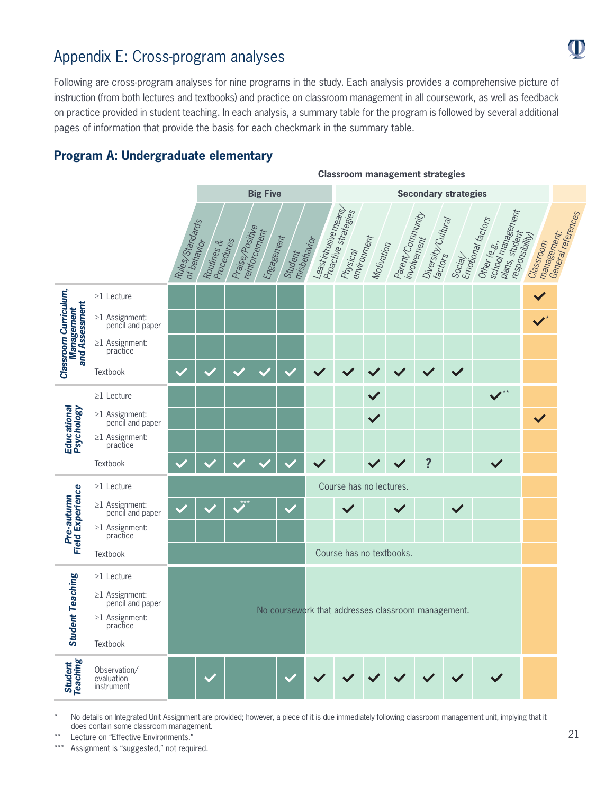# Appendix E: Cross-program analyses

Following are cross-program analyses for nine programs in the study. Each analysis provides a comprehensive picture of instruction (from both lectures and textbooks) and practice on classroom management in all coursework, as well as feedback on practice provided in student teaching. In each analysis, a summary table for the program is followed by several additional pages of information that provide the basis for each checkmark in the summary table.

# **Program A: Undergraduate elementary**



**Classroom management strategies**

No details on Integrated Unit Assignment are provided; however, a piece of it is due immediately following classroom management unit, implying that it does contain some classroom management.

Lecture on "Effective Environments."

Assignment is "suggested," not required.

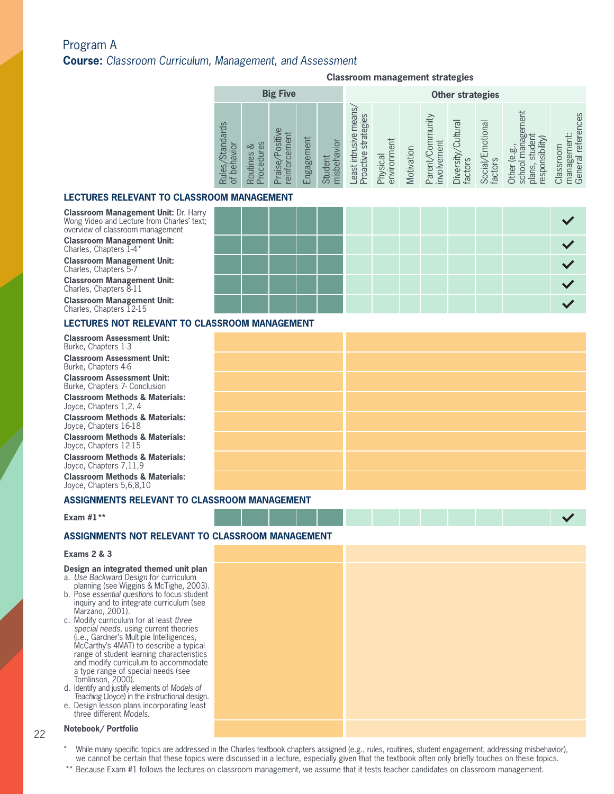# Program A **Course:** *Classroom Curriculum, Management, and Assessment*

#### **Classroom management strategies**

|                                                                   |                               | <b>Big Five</b>                                                                                  |                                                        |                                                                                |                                                        |                                    |            |                                                    | <b>Other strategies</b>                                 |                                                                      |                                                               |                                                         |
|-------------------------------------------------------------------|-------------------------------|--------------------------------------------------------------------------------------------------|--------------------------------------------------------|--------------------------------------------------------------------------------|--------------------------------------------------------|------------------------------------|------------|----------------------------------------------------|---------------------------------------------------------|----------------------------------------------------------------------|---------------------------------------------------------------|---------------------------------------------------------|
| $\omega$<br>ndard:<br>₫<br>ಕ<br>ನ<br>$\overline{\mathbb{Q}}$<br>っ | S<br>చ<br>ocedu<br>ΘS<br>utin | $\sigma$<br><b>Siti</b><br>èr<br>–<br>Φ<br>$\Omega$<br>$\sigma$<br>$\overline{\sigma}$<br>느<br>Œ | 亡<br>$\mathbf{e}$<br>agem<br>$\overline{90}$<br>└<br>ப | vior<br>$\bar{\sigma}$<br>Φ<br>$\mathsf{d}$<br>$\Omega$<br>ğ<br>$\frac{3}{10}$ | mean:<br>strategies<br>Jsive<br>east intru<br>roactive | lent<br>environm<br><b>Tysical</b> | Motivation | nunity<br>ement<br>ਠ<br>involv<br>aren<br>$\Omega$ | $\overline{\sigma}$<br>高<br><b>Diversity</b><br>factors | notiona<br>S<br>$\overline{\overline{\mathbb{C}}}$<br>factor<br>Soci | ā<br>ದಿ<br>≔<br>ia<br>espor<br>ìer<br>S<br>S<br>芦<br>$\omega$ | <b>ICes</b><br>ഉ<br>efe<br>Sro<br>б<br>CD.<br>Sp<br>Ger |

#### **LECTURES RELEVANT TO CLASSR**

**Classroom Management Unit:** Dr. Harry Wong Video and Lecture from Charles' text; overview of classroom management

**Classroom Management Unit:**  Charles, Chapters 1-4\*

**Classroom Management Unit:**  Charles, Chapters 5-7

**Classroom Management Unit:**  Charles, Chapters 8-11

**Classroom Management Unit:**  Charles, Chapters 12-15

#### **LECTURES NOT RELEVANT TO CLASSROOM MANAGEMENT**

**Classroom Assessment Unit:**  Burke, Chapters 1-3

Burke, Chapters 1-3<br>**Classroom Assessment Unit:**<br>Burke. Chapters 4-6 Burke, Chapters 4-6

> **Classroom Assessment Unit:**  Burke, Chapters 7- Conclusion

**Classroom Methods & Materials:**  Joyce, Chapters 1,2, 4

**Classroom Methods & Materials:**  Joyce, Chapters 16-18

**Classroom Methods & Materials:**  Joyce, Chapters 12-15

**Classroom Methods & Materials:**  Joyce, Chapters 7,11,9

**Classroom Methods & Materials:**  Joyce, Chapters 5,6,8,10

#### **ASSIGNMENTS RELEVANT TO CLASSROOM MANAGEMENT**

#### **Exam #1\*\***

### **ASSIGNMENTS NOT RELEVANT TO CLASSROOM MANAGEMENT**

#### **Exams 2 & 3**

#### **Design an integrated themed unit plan**

- a. *Use Backward Design* for curriculum planning (see Wiggins & McTighe, 2003).
- b. Pose *essential questions* to focus student inquiry and to integrate curriculum (see Marzano, 2001).
- c. Modify curriculum for at least *three special needs*, using current theories (i.e., Gardner's Multiple Intelligences, McCarthy's 4MAT) to describe a typical range of student learning characteristics and modify curriculum to accommodate a type range of special needs (see Tomlinson, 2000).
- d. Identify and justify elements of *Models of Teaching* (Joyce) in the instructional design.
- e. Design lesson plans incorporating least three different *Models*.

#### 22 **Notebook/ Portfolio**

- While many specific topics are addressed in the Charles textbook chapters assigned (e.g., rules, routines, student engagement, addressing misbehavior), we cannot be certain that these topics were discussed in a lecture, especially given that the textbook often only briefly touches on these topics.
- 
- \*\* Because Exam #1 follows the lectures on classroom management, we assume that it tests teacher candidates on classroom management.

|  | <b>?OOM MANAGEMENT</b> |  |  |  |  |  |  |
|--|------------------------|--|--|--|--|--|--|
|  |                        |  |  |  |  |  |  |
|  |                        |  |  |  |  |  |  |
|  |                        |  |  |  |  |  |  |
|  |                        |  |  |  |  |  |  |
|  |                        |  |  |  |  |  |  |
|  |                        |  |  |  |  |  |  |

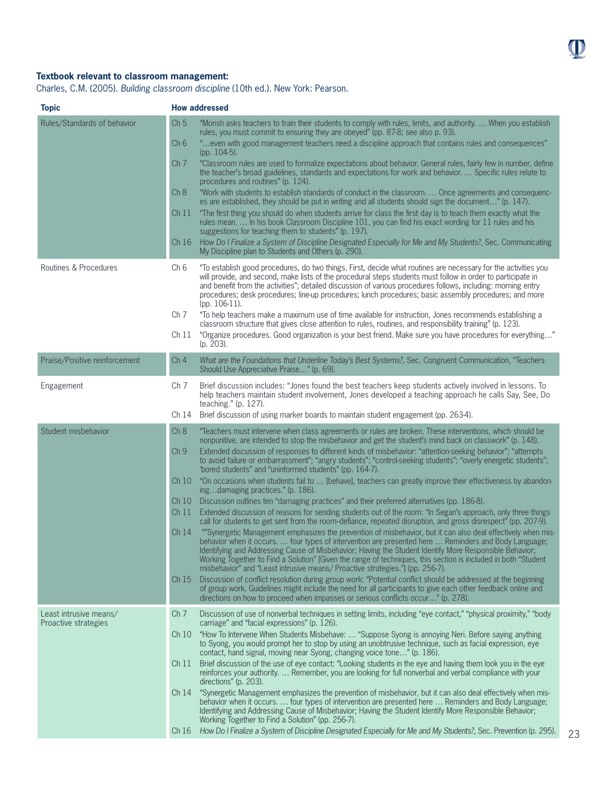# **Textbook relevant to classroom management:**

Charles, C.M. (2005). *Building classroom discipline* (10th ed.). New York: Pearson.

| <b>Topic</b>                                   | <b>How addressed</b>                                                                                                                                                                                                                                                                                                                                                                                                                                                                                                                                   |
|------------------------------------------------|--------------------------------------------------------------------------------------------------------------------------------------------------------------------------------------------------------------------------------------------------------------------------------------------------------------------------------------------------------------------------------------------------------------------------------------------------------------------------------------------------------------------------------------------------------|
| Rules/Standards of behavior                    | Ch <sub>5</sub><br>"Morish asks teachers to train their students to comply with rules, limits, and authority.  When you establish<br>rules, you must commit to ensuring they are obeyed" (pp. 87-8; see also p. 93).<br>"even with good management teachers need a discipline approach that contains rules and consequences""<br>Ch <sub>6</sub><br>(pp. 104-5).                                                                                                                                                                                       |
|                                                | "Classroom rules are used to formalize expectations about behavior. General rules, fairly few in number, define<br>Ch <sub>7</sub><br>the teacher's broad guidelines, standards and expectations for work and behavior.  Specific rules relate to<br>procedures and routines" (p. 124).                                                                                                                                                                                                                                                                |
|                                                | "Work with students to establish standards of conduct in the classroom.  Once agreements and consequenc-<br>Ch 8<br>es are established, they should be put in writing and all students should sign the document" (p. 147).                                                                                                                                                                                                                                                                                                                             |
|                                                | "The first thing you should do when students arrive for class the first day is to teach them exactly what the<br>Ch <sub>11</sub><br>rules mean.  In his book Classroom Discipline 101, you can find his exact wording for 11 rules and his<br>suggestions for teaching them to students" (p. 197).                                                                                                                                                                                                                                                    |
|                                                | How Do I Finalize a System of Discipline Designated Especially for Me and My Students?, Sec. Communicating<br>Ch 16<br>My Discipline plan to Students and Others (p. 290).                                                                                                                                                                                                                                                                                                                                                                             |
| Routines & Procedures                          | Ch <sub>6</sub><br>"To establish good procedures, do two things. First, decide what routines are necessary for the activities you<br>will provide, and second, make lists of the procedural steps students must follow in order to participate in<br>and benefit from the activities"; detailed discussion of various procedures follows, including: morning entry<br>procedures; desk procedures; line-up procedures; lunch procedures; basic assembly procedures; and more<br>(pp. $106-11$ ).                                                       |
|                                                | Ch <sub>7</sub><br>"To help teachers make a maximum use of time available for instruction, Jones recommends establishing a<br>classroom structure that gives close attention to rules, routines, and responsibility training" (p. 123).                                                                                                                                                                                                                                                                                                                |
|                                                | "Organize procedures. Good organization is your best friend. Make sure you have procedures for everything"<br>Ch <sub>11</sub><br>(p. 203).                                                                                                                                                                                                                                                                                                                                                                                                            |
| Praise/Positive reinforcement                  | Ch <sub>4</sub><br>What are the Foundations that Underline Today's Best Systems?, Sec. Congruent Communication, "Teachers<br>Should Use Appreciative Praise" (p. 69).                                                                                                                                                                                                                                                                                                                                                                                  |
| Engagement                                     | Ch <sub>7</sub><br>Brief discussion includes: "Jones found the best teachers keep students actively involved in lessons. To<br>help teachers maintain student involvement, Jones developed a teaching approach he calls Say, See, Do<br>teaching." $(p. 127)$ .                                                                                                                                                                                                                                                                                        |
|                                                | Brief discussion of using marker boards to maintain student engagement (pp. 263-4).<br>Ch 14                                                                                                                                                                                                                                                                                                                                                                                                                                                           |
| Student misbehavior                            | Ch 8<br>"Teachers must intervene when class agreements or rules are broken. These interventions, which should be<br>nonpunitive, are intended to stop the misbehavior and get the student's mind back on classwork" (p. 148).<br>Extended discussion of responses to different kinds of misbehavior: "attention-seeking behavior"; "attempts<br>Ch <sub>9</sub><br>to avoid failure or embarrassment"; "angry students"; "control-seeking students"; "overly energetic students";<br>'bored students" and "uninformed students" (pp. 164-7).           |
|                                                | "On occasions when students fail to  [behave], teachers can greatly improve their effectiveness by abandon-<br>Ch10<br>ingdamaging practices." (p. 186).                                                                                                                                                                                                                                                                                                                                                                                               |
|                                                | Discussion outlines ten "damaging practices" and their preferred alternatives (pp. 186-8).<br>Ch 10<br>Extended discussion of reasons for sending students out of the room: "In Segan's approach, only three things<br>Ch 11                                                                                                                                                                                                                                                                                                                           |
|                                                | call for students to get sent from the room-defiance, repeated disruption, and gross disrespect" (pp. 207-9).                                                                                                                                                                                                                                                                                                                                                                                                                                          |
|                                                | ""Synergetic Management emphasizes the prevention of misbehavior, but it can also deal effectively when mis-<br>Ch <sub>14</sub><br>behavior when it occurs.  four types of intervention are presented here  Reminders and Body Language;<br>Identifying and Addressing Cause of Misbehavior; Having the Student Identify More Responsible Behavior;<br>Working Together to Find a Solution" [Given the range of techniques, this section is included in both "Student<br>misbehavior" and "Least intrusive means/ Proactive strategies." (pp. 256-7). |
|                                                | Discussion of conflict resolution during group work: "Potential conflict should be addressed at the beginning<br>Ch <sub>15</sub><br>of group work. Guidelines might include the need for all participants to give each other feedback online and<br>directions on how to proceed when impasses or serious conflicts occur" (p. 278).                                                                                                                                                                                                                  |
| Least intrusive means/<br>Proactive strategies | Ch <sub>7</sub><br>Discussion of use of nonverbal techniques in setting limits, including "eye contact," "physical proximity," "body<br>carriage" and "facial expressions" (p. 126).                                                                                                                                                                                                                                                                                                                                                                   |
|                                                | "How To Intervene When Students Misbehave:  "Suppose Syong is annoying Neri. Before saying anything<br>Ch10<br>to Syong, you would prompt her to stop by using an unobtrusive technique, such as facial expression, eye<br>contact, hand signal, moving near Syong, changing voice tone" (p. 186).                                                                                                                                                                                                                                                     |
|                                                | Brief discussion of the use of eye contact: "Looking students in the eye and having them look you in the eye<br>Ch <sub>11</sub><br>reinforces your authority.  Remember, you are looking for full nonverbal and verbal compliance with your<br>directions" (p. 203).                                                                                                                                                                                                                                                                                  |
|                                                | "Synergetic Management emphasizes the prevention of misbehavior, but it can also deal effectively when mis-<br>Ch <sub>14</sub><br>behavior when it occurs.  four types of intervention are presented here  Reminders and Body Language;<br>Identifying and Addressing Cause of Misbehavior; Having the Student Identify More Responsible Behavior;<br>Working Together to Find a Solution" (pp. 256-7).<br>How Do I Finalize a System of Discipline Designated Especially for Me and My Students?, Sec. Prevention (p. 295).<br>Ch16                  |

23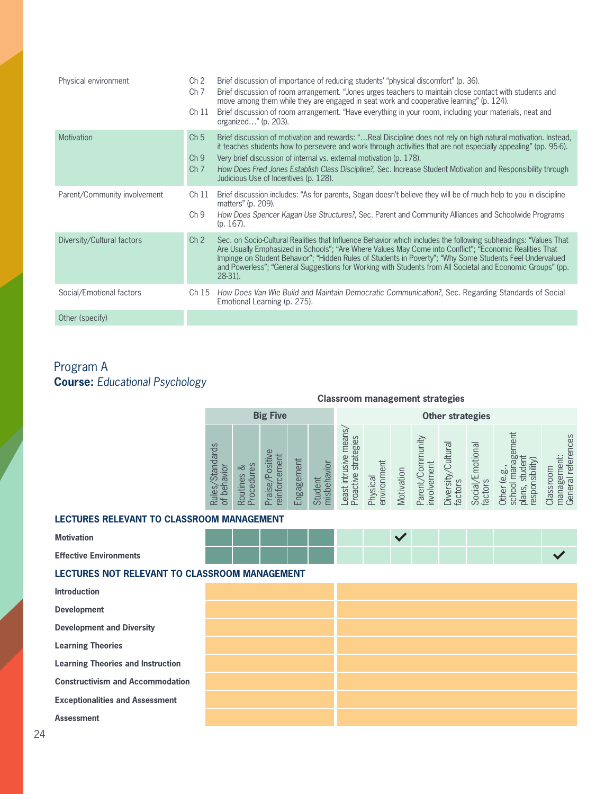| Physical environment         | Ch <sub>2</sub><br>Ch <sub>7</sub><br>Ch 11           | Brief discussion of importance of reducing students' "physical discomfort" (p. 36).<br>Brief discussion of room arrangement. "Jones urges teachers to maintain close contact with students and<br>move among them while they are engaged in seat work and cooperative learning" (p. 124).<br>Brief discussion of room arrangement. "Have everything in your room, including your materials, neat and<br>organized" (p. $203$ ).                                    |
|------------------------------|-------------------------------------------------------|--------------------------------------------------------------------------------------------------------------------------------------------------------------------------------------------------------------------------------------------------------------------------------------------------------------------------------------------------------------------------------------------------------------------------------------------------------------------|
| <b>Motivation</b>            | Ch <sub>5</sub><br>Ch <sub>9</sub><br>Ch <sub>7</sub> | Brief discussion of motivation and rewards: "Real Discipline does not rely on high natural motivation. Instead,<br>it teaches students how to persevere and work through activities that are not especially appealing" (pp. 95-6).<br>Very brief discussion of internal vs. external motivation (p. 178).<br>How Does Fred Jones Establish Class Discipline?, Sec. Increase Student Motivation and Responsibility through<br>Judicious Use of Incentives (p. 128). |
| Parent/Community involvement | Ch 11<br>Ch <sub>9</sub>                              | Brief discussion includes: "As for parents, Segan doesn't believe they will be of much help to you in discipline<br>matters" (p. 209).<br>How Does Spencer Kagan Use Structures?, Sec. Parent and Community Alliances and Schoolwide Programs<br>$(p. 167)$ .                                                                                                                                                                                                      |
| Diversity/Cultural factors   | Ch <sub>2</sub>                                       | Sec. on Socio-Cultural Realities that Influence Behavior which includes the following subheadings: "Values That<br>Are Usually Emphasized in Schools"; "Are Where Values May Come into Conflict"; "Economic Realities That<br>Impinge on Student Behavior"; "Hidden Rules of Students in Poverty"; "Why Some Students Feel Undervalued<br>and Powerless"; "General Suggestions for Working with Students from All Societal and Economic Groups" (pp.<br>$28-31$ ). |
| Social/Emotional factors     | Ch 15                                                 | How Does Van Wie Build and Maintain Democratic Communication?, Sec. Regarding Standards of Social<br>Emotional Learning (p. 275).                                                                                                                                                                                                                                                                                                                                  |
| Other (specify)              |                                                       |                                                                                                                                                                                                                                                                                                                                                                                                                                                                    |

# **2013** Program A **Course:** *Educational Psychology*

# **Classroom management strategies**

|                           |                                                                                                   | <b>Big Five</b>                                                       |                                    |                            | <b>Other strategies</b>                          |                         |            |                                           |                                 |                                             |                                                                                           |                                                         |
|---------------------------|---------------------------------------------------------------------------------------------------|-----------------------------------------------------------------------|------------------------------------|----------------------------|--------------------------------------------------|-------------------------|------------|-------------------------------------------|---------------------------------|---------------------------------------------|-------------------------------------------------------------------------------------------|---------------------------------------------------------|
| <b>Standards</b><br>ules, | Sə<br>nawor<br>చ<br>rocedur<br>$\omega$<br>outine:<br>jed<br>$\overline{\sigma}$<br>∼<br>$\Omega$ | $\omega$<br>ositiv<br>men<br>$\omega$<br>$\Omega$<br>reinforc<br>aise | hent<br>agem<br>$\infty$<br>Ë<br>ш | misbehavior<br>ent<br>Stud | mean<br>strategies<br>east intrusive<br>roactive | environment<br>Physical | Motivation | $m$ ity<br>Commu<br>involvement<br>arent, | Cultura<br>Diversity<br>factors | motional<br><b>Social/E</b><br>S<br>factor: | lent<br>ᇰ<br>nsibility<br><b>bc</b><br>$\omega$<br>respon<br>S,<br>ē<br>èř<br>ಕ<br>夫<br>ਨ | references<br>ent:<br>lassroom<br>듦<br>General<br>nanag |

### **LECTURES RELEVANT TO CLASSROOM MANAGEMENT**

| <b>Motivation</b>             |  |  |  |  |  |  |  |
|-------------------------------|--|--|--|--|--|--|--|
| <b>Effective Environments</b> |  |  |  |  |  |  |  |

### **LECTURES NOT RELEVANT TO CLASSROOM MANAGEMENT**

| <b>Introduction</b>                      |  |  |
|------------------------------------------|--|--|
| <b>Development</b>                       |  |  |
| <b>Development and Diversity</b>         |  |  |
| <b>Learning Theories</b>                 |  |  |
| <b>Learning Theories and Instruction</b> |  |  |
| <b>Constructivism and Accommodation</b>  |  |  |
| <b>Exceptionalities and Assessment</b>   |  |  |
| <b>Assessment</b>                        |  |  |
|                                          |  |  |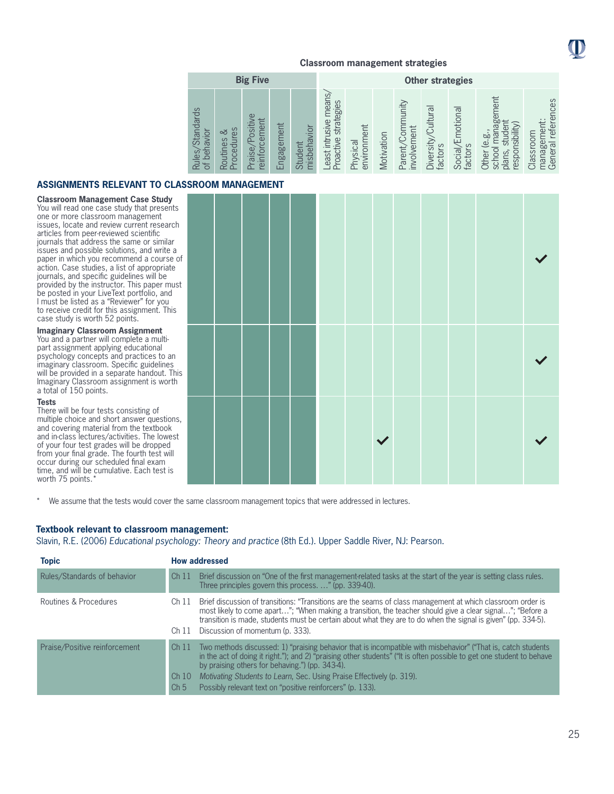

|                                                                                              |                                                       | <b>Big Five</b>                                                             |                    |                            | <b>Other strategies</b>                            |                              |            |                                        |                                                              |                                 |                                                                                            |                                                                                                             |
|----------------------------------------------------------------------------------------------|-------------------------------------------------------|-----------------------------------------------------------------------------|--------------------|----------------------------|----------------------------------------------------|------------------------------|------------|----------------------------------------|--------------------------------------------------------------|---------------------------------|--------------------------------------------------------------------------------------------|-------------------------------------------------------------------------------------------------------------|
| S<br><b>Standard</b><br>$\overline{\Omega}$<br>INBI<br>beh<br><b>Rules</b><br>$\overline{a}$ | es<br>చ<br>rocedur<br>Routines<br>$\overline{\Omega}$ | $\overline{\mathsf{P}}$<br>siti<br>Jer<br>Č<br>$\omega$<br>aise,<br>rojuje. | ement<br>ngag<br>ш | misbehavior<br>ent<br>Stud | means<br>strategies<br>east intrusive<br>Proactive | lent<br>environm<br>Physical | Motivation | hunity<br>involvement<br>БĆ<br>Parenty | $\overline{\sigma}$<br>Cultur<br><b>Diversity</b><br>factors | motional<br>Social/E<br>factors | en<br>agel<br>(Villid)<br>ѿ<br>þý<br>ق<br>respor<br><b>Schoo</b><br><b>Other</b><br>plans, | nces<br>ē<br>refer<br>lassroom<br>ດນ<br>$\overline{a}$<br>60<br>έ<br>mana<br>Gener<br>$\overline{\epsilon}$ |

# **ASSIGNMENTS RELEVANT TO CLASSROOM MANAGEMENT**

**Classroom Management Case Study** 

You will read one case study that presents one or more classroom management issues, locate and review current research articles from peer-reviewed scientific journals that address the same or similar issues and possible solutions, and write a paper in which you recommend a course of action. Case studies, a list of appropriate journals, and specific guidelines will be provided by the instructor. This paper must be posted in your LiveText portfolio, and I must be listed as a "Reviewer" for you to receive credit for this assignment. This case study is worth 52 points.

#### **Imaginary Classroom Assignment**

You and a partner will complete a multipart assignment applying educational psychology concepts and practices to an imaginary classroom. Specific guidelines will be provided in a separate handout. This Imaginary Classroom assignment is worth a total of 150 points.

#### **Tests**

There will be four tests consisting of multiple choice and short answer questions, and covering material from the textbook and in-class lectures/activities. The lowest of your four test grades will be dropped from your final grade. The fourth test will occur during our scheduled final exam time, and will be cumulative. Each test is worth 75 points.

|  | KUUM MARAGEMENT |  |  |              |  |  |  |
|--|-----------------|--|--|--------------|--|--|--|
|  |                 |  |  |              |  |  |  |
|  |                 |  |  |              |  |  |  |
|  |                 |  |  | $\checkmark$ |  |  |  |

\* We assume that the tests would cover the same classroom management topics that were addressed in lectures.

#### **Textbook relevant to classroom management:**

Slavin, R.E. (2006) *Educational psychology: Theory and practice* (8th Ed.). Upper Saddle River, NJ: Pearson.

| <b>Topic</b>                  |                                             | <b>How addressed</b>                                                                                                                                                                                                                                                                                                                                                                                                             |
|-------------------------------|---------------------------------------------|----------------------------------------------------------------------------------------------------------------------------------------------------------------------------------------------------------------------------------------------------------------------------------------------------------------------------------------------------------------------------------------------------------------------------------|
| Rules/Standards of behavior   | Ch <sub>11</sub>                            | Brief discussion on "One of the first management-related tasks at the start of the year is setting class rules.<br>Three principles govern this process. " (pp. 339-40).                                                                                                                                                                                                                                                         |
| Routines & Procedures         | Ch 11                                       | Brief discussion of transitions: "Transitions are the seams of class management at which classroom order is<br>most likely to come apart"; "When making a transition, the teacher should give a clear signal"; "Before a<br>transition is made, students must be certain about what they are to do when the signal is given" (pp. 334-5).<br>Ch 11 Discussion of momentum (p. 333).                                              |
| Praise/Positive reinforcement | Ch <sub>11</sub><br>Ch10<br>Ch <sub>5</sub> | Two methods discussed: 1) "praising behavior that is incompatible with misbehavior" ("That is, catch students<br>in the act of doing it right."); and 2) "praising other students" ("It is often possible to get one student to behave<br>by praising others for behaving.") (pp. 343-4).<br>Motivating Students to Learn, Sec. Using Praise Effectively (p. 319).<br>Possibly relevant text on "positive reinforcers" (p. 133). |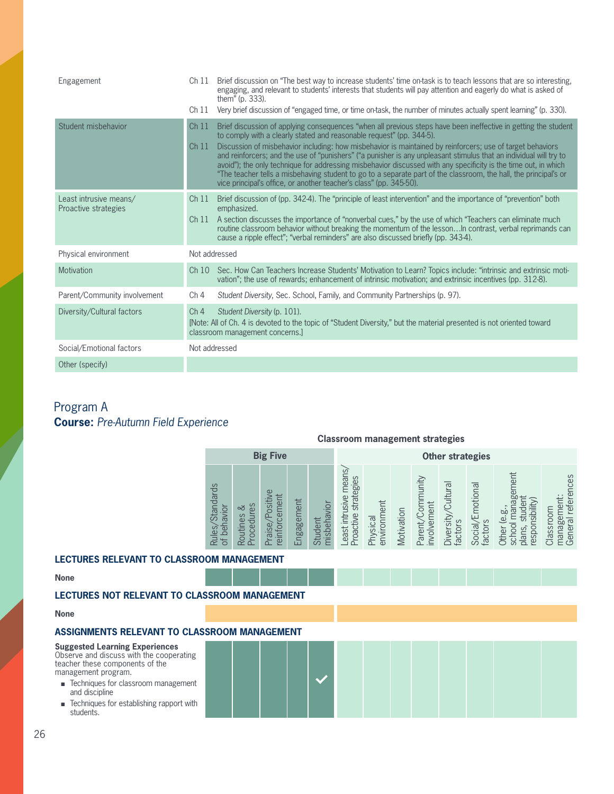| Engagement                                     | Ch 11           | Brief discussion on "The best way to increase students' time on-task is to teach lessons that are so interesting,<br>engaging, and relevant to students' interests that students will pay attention and eagerly do what is asked of<br>them" (p. 333).                                                                                                                                                                                                                                                                                                                                                                                                                                                                                   |
|------------------------------------------------|-----------------|------------------------------------------------------------------------------------------------------------------------------------------------------------------------------------------------------------------------------------------------------------------------------------------------------------------------------------------------------------------------------------------------------------------------------------------------------------------------------------------------------------------------------------------------------------------------------------------------------------------------------------------------------------------------------------------------------------------------------------------|
|                                                | Ch 11           | Very brief discussion of "engaged time, or time on-task, the number of minutes actually spent learning" (p. 330).                                                                                                                                                                                                                                                                                                                                                                                                                                                                                                                                                                                                                        |
| Student misbehavior                            | Ch11<br>Ch11    | Brief discussion of applying consequences "when all previous steps have been ineffective in getting the student<br>to comply with a clearly stated and reasonable request" (pp. 344-5).<br>Discussion of misbehavior including: how misbehavior is maintained by reinforcers; use of target behaviors<br>and reinforcers; and the use of "punishers" ("a punisher is any unpleasant stimulus that an individual will try to<br>avoid"); the only technique for addressing misbehavior discussed with any specificity is the time out, in which<br>"The teacher tells a misbehaving student to go to a separate part of the classroom, the hall, the principal's or<br>vice principal's office, or another teacher's class" (pp. 345-50). |
| Least intrusive means/<br>Proactive strategies | Ch 11           | Brief discussion of (pp. 342-4). The "principle of least intervention" and the importance of "prevention" both<br>emphasized.<br>Ch 11 A section discusses the importance of "nonverbal cues," by the use of which "Teachers can eliminate much<br>routine classroom behavior without breaking the momentum of the lesson In contrast, verbal reprimands can<br>cause a ripple effect"; "verbal reminders" are also discussed briefly (pp. 343-4).                                                                                                                                                                                                                                                                                       |
| Physical environment                           |                 | Not addressed                                                                                                                                                                                                                                                                                                                                                                                                                                                                                                                                                                                                                                                                                                                            |
| Motivation                                     | Ch10            | Sec. How Can Teachers Increase Students' Motivation to Learn? Topics include: "intrinsic and extrinsic moti-<br>vation"; the use of rewards; enhancement of intrinsic motivation; and extrinsic incentives (pp. 312-8).                                                                                                                                                                                                                                                                                                                                                                                                                                                                                                                  |
| Parent/Community involvement                   | Ch <sub>4</sub> | Student Diversity, Sec. School, Family, and Community Partnerships (p. 97).                                                                                                                                                                                                                                                                                                                                                                                                                                                                                                                                                                                                                                                              |
| Diversity/Cultural factors                     | Ch <sub>4</sub> | Student Diversity (p. 101).<br>[Note: All of Ch. 4 is devoted to the topic of "Student Diversity," but the material presented is not oriented toward<br>classroom management concerns.]                                                                                                                                                                                                                                                                                                                                                                                                                                                                                                                                                  |
| Social/Emotional factors                       |                 | Not addressed                                                                                                                                                                                                                                                                                                                                                                                                                                                                                                                                                                                                                                                                                                                            |
| Other (specify)                                |                 |                                                                                                                                                                                                                                                                                                                                                                                                                                                                                                                                                                                                                                                                                                                                          |

# Program A **Course:** *Pre-Autumn Field Experience*

### **Classroom management strategies**

|                           |                                                                        | <b>Big Five</b>                                                         |                               |                                                                       | <b>Other strategies</b>                           |                              |            |                                                    |                                                                   |                                     |                                                                                                                                                          |                                                     |  |
|---------------------------|------------------------------------------------------------------------|-------------------------------------------------------------------------|-------------------------------|-----------------------------------------------------------------------|---------------------------------------------------|------------------------------|------------|----------------------------------------------------|-------------------------------------------------------------------|-------------------------------------|----------------------------------------------------------------------------------------------------------------------------------------------------------|-----------------------------------------------------|--|
| <b>Standards</b><br>Rules | nawor<br>చ<br>$\sigma$<br>outines<br>ᅙ<br>beh<br><b>OCE</b><br>ðf<br>n | Φ<br>emen<br>ositi<br>infor<br>Se,<br>.<br>ನ<br>$\overline{\mathsf{D}}$ | gement<br>$\sigma$<br>po<br>ப | vior<br>$\bar{\mathfrak{D}}$<br>Ìed<br>ᇰ<br>Bn<br>$\frac{1}{2}$<br>க் | means<br>strategies<br>east intrusive<br>roactive | lent<br>environm<br>Physical | Motivation | nunity<br>involvement<br>uo;<br>arent,<br>$\alpha$ | $\overline{\sigma}$<br>Cultur<br><b>Diversity</b><br>S<br>factor: | motional<br>Social/E<br>S<br>factor | Ξ<br>$\overline{\mathtt{\omega}}$<br>bilit<br><b>bc</b><br>$\overline{\mathrm{SI}}$<br>$\omega$<br>pdsə<br>ၯ<br><u>so</u><br><b>)ther</b><br>ಕ<br>Ċ<br>៑ | references<br>nei<br>Classroom<br>nanage<br>General |  |

### **LECTURES RELEVANT TO CLASSROOM MANAGEMENT**

**None**

## **LECTURES NOT RELEVANT TO CLASSROOM MANAGEMENT**

#### **None**

### **ASSIGNMENTS RELEVANT TO CLASSROOM MANAGEMENT**

### **Suggested Learning Experiences**

Observe and discuss with the cooperating teacher these components of the management program.

- Techniques for classroom management and discipline
- $\blacksquare$  Techniques for establishing rapport with students.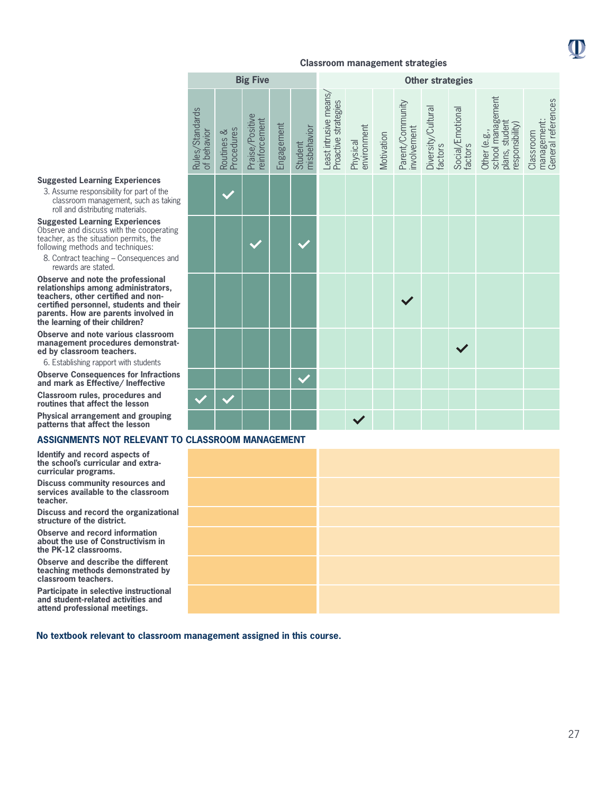

#### **Suggested Learning Experiences**

3. Assume responsibility for part of the classroom management, such as taking roll and distributing materials.

**Suggested Learning Experiences** Observe and discuss with the cooperating teacher, as the situation permits, the following methods and techniques:

8. Contract teaching – Consequences and rewards are stated.

**Observe and note the professional relationships among administrators, teachers, other certified and noncertified personnel, students and their parents. How are parents involved in the learning of their children?**

**Observe and note various classroom management procedures demonstrated by classroom teachers.**

6. Establishing rapport with students

**Observe Consequences for Infractions and mark as Effective/ Ineffective**

**Classroom rules, procedures and routines that affect the lesson**

**Physical arrangement and grouping patterns that affect the lesson**

#### **ASSIGNMENTS NOT RELEVANT TO CLASSROOM MANAGEMENT**

**Identify and record aspects of the school's curricular and extracurricular programs.** 

**Discuss community resources and services available to the classroom teacher.**

**Discuss and record the organizational structure of the district.**

**Observe and record information about the use of Constructivism in the PK-12 classrooms.**

**Observe and describe the different teaching methods demonstrated by classroom teachers.**

**Participate in selective instructional and student-related activities and attend professional meetings.**

|                                |                          | <b>Big Five</b>                  |            |                        |                                               |                         |            |                                 | <b>Other strategies</b>       |                             |                                                                        |                                                |
|--------------------------------|--------------------------|----------------------------------|------------|------------------------|-----------------------------------------------|-------------------------|------------|---------------------------------|-------------------------------|-----------------------------|------------------------------------------------------------------------|------------------------------------------------|
| Rules/Standards<br>of behavior | Routines &<br>Procedures | Praise/Positive<br>reinforcement | Engagement | misbehavior<br>Student | Least intrusive means<br>Proactive strategies | environment<br>Physical | Motivation | Parent/Community<br>involvement | Diversity/Cultural<br>factors | Social/Emotional<br>factors | school management<br>plans, student<br>responsibility)<br>Other (e.g., | General references<br>management:<br>Classroom |
|                                |                          |                                  |            |                        |                                               |                         |            |                                 |                               |                             |                                                                        |                                                |
|                                |                          |                                  |            |                        |                                               |                         |            |                                 |                               |                             |                                                                        |                                                |
|                                |                          |                                  |            |                        |                                               |                         |            |                                 |                               |                             |                                                                        |                                                |
|                                |                          |                                  |            |                        |                                               |                         |            |                                 |                               |                             |                                                                        |                                                |
|                                |                          |                                  |            |                        |                                               |                         |            |                                 |                               |                             |                                                                        |                                                |
|                                |                          |                                  |            |                        |                                               |                         |            |                                 |                               |                             |                                                                        |                                                |
|                                |                          |                                  |            |                        |                                               |                         |            |                                 |                               |                             |                                                                        |                                                |
|                                |                          |                                  |            |                        |                                               |                         |            |                                 |                               |                             |                                                                        |                                                |



**No textbook relevant to classroom management assigned in this course.**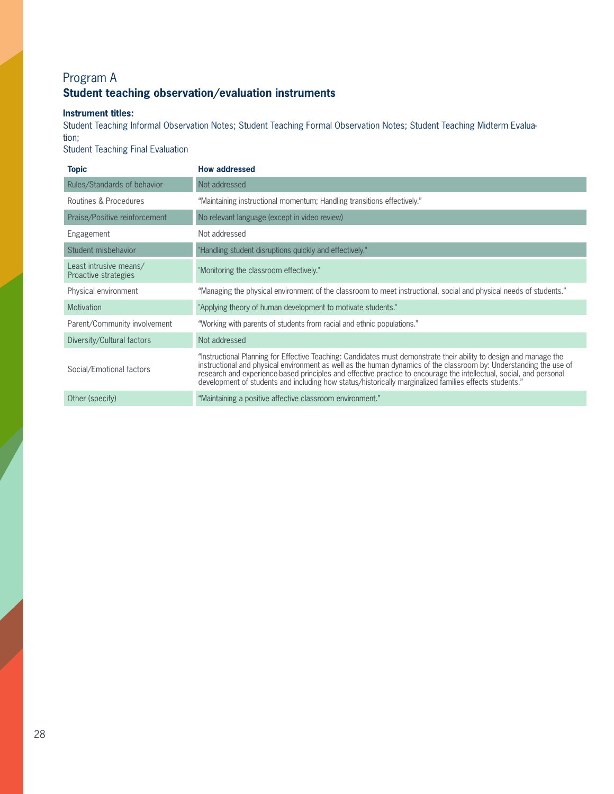# Program A **Student teaching observation/evaluation instruments**

### **Instrument titles:**

Student Teaching Informal Observation Notes; Student Teaching Formal Observation Notes; Student Teaching Midterm Evaluation;

Student Teaching Final Evaluation

| <b>Topic</b>                                   | <b>How addressed</b>                                                                                                                                                                                                                                                                                                                                                                                                                                               |
|------------------------------------------------|--------------------------------------------------------------------------------------------------------------------------------------------------------------------------------------------------------------------------------------------------------------------------------------------------------------------------------------------------------------------------------------------------------------------------------------------------------------------|
| Rules/Standards of behavior                    | Not addressed                                                                                                                                                                                                                                                                                                                                                                                                                                                      |
| Routines & Procedures                          | "Maintaining instructional momentum; Handling transitions effectively."                                                                                                                                                                                                                                                                                                                                                                                            |
| Praise/Positive reinforcement                  | No relevant language (except in video review)                                                                                                                                                                                                                                                                                                                                                                                                                      |
| Engagement                                     | Not addressed                                                                                                                                                                                                                                                                                                                                                                                                                                                      |
| Student misbehavior                            | "Handling student disruptions quickly and effectively."                                                                                                                                                                                                                                                                                                                                                                                                            |
| Least intrusive means/<br>Proactive strategies | "Monitoring the classroom effectively."                                                                                                                                                                                                                                                                                                                                                                                                                            |
| Physical environment                           | "Managing the physical environment of the classroom to meet instructional, social and physical needs of students."                                                                                                                                                                                                                                                                                                                                                 |
| <b>Motivation</b>                              | "Applying theory of human development to motivate students."                                                                                                                                                                                                                                                                                                                                                                                                       |
| Parent/Community involvement                   | "Working with parents of students from racial and ethnic populations."                                                                                                                                                                                                                                                                                                                                                                                             |
| Diversity/Cultural factors                     | Not addressed                                                                                                                                                                                                                                                                                                                                                                                                                                                      |
| Social/Emotional factors                       | "Instructional Planning for Effective Teaching: Candidates must demonstrate their ability to design and manage the<br>instructional and physical environment as well as the human dynamics of the classroom by: Understanding the<br>research and experience-based principles and effective practice to encourage the intellectual, social, and personal<br>development of students and including how status/historically marginalized families effects students." |
| Other (specify)                                | "Maintaining a positive affective classroom environment."                                                                                                                                                                                                                                                                                                                                                                                                          |
|                                                |                                                                                                                                                                                                                                                                                                                                                                                                                                                                    |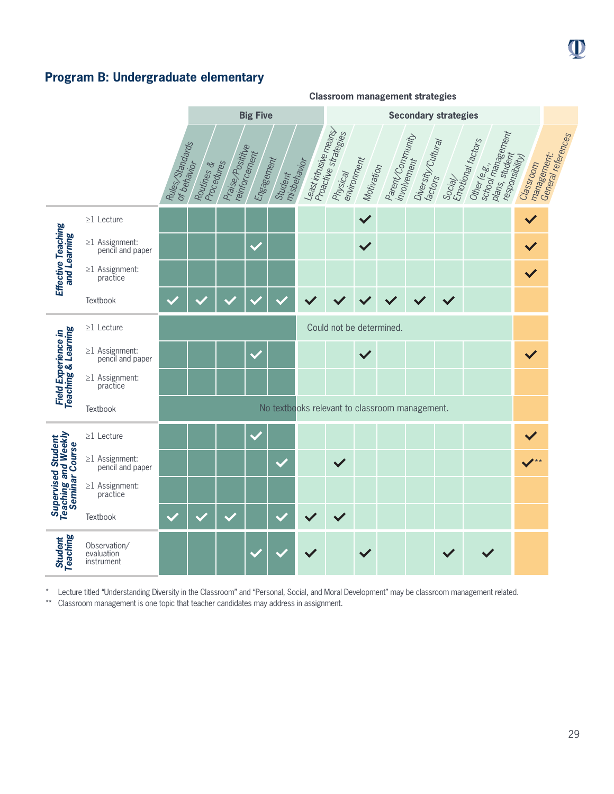# **Program B: Undergraduate elementary**



Lecture titled "Understanding Diversity in the Classroom" and "Personal, Social, and Moral Development" may be classroom management related.

\*\* Classroom management is one topic that teacher candidates may address in assignment.

29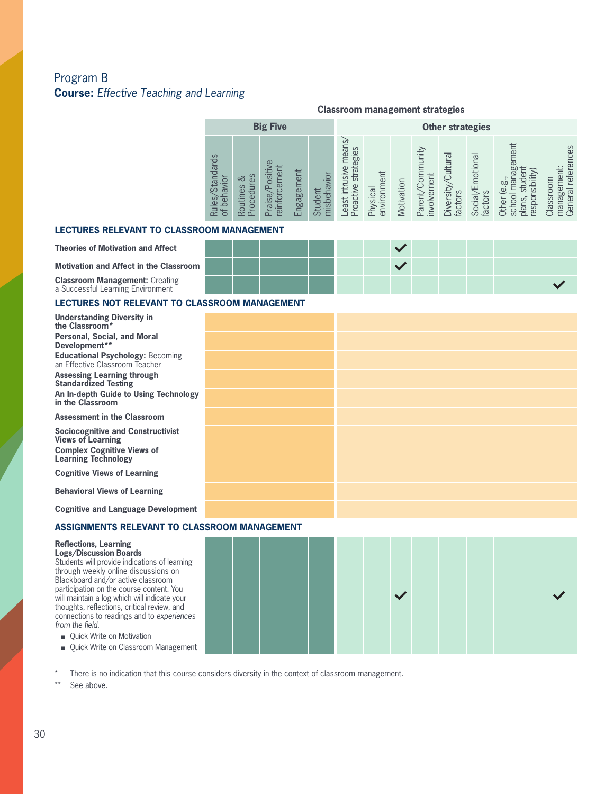# Program B **Course:** *Effective Teaching and Learning*

### **Classroom management strategies**

|                                                   |                                      | <b>Big Five</b>                           |                 |                                 |                                                         | <b>Other strategies</b> |            |                                                 |                                   |                              |                                                                                               |                                                                         |  |  |  |
|---------------------------------------------------|--------------------------------------|-------------------------------------------|-----------------|---------------------------------|---------------------------------------------------------|-------------------------|------------|-------------------------------------------------|-----------------------------------|------------------------------|-----------------------------------------------------------------------------------------------|-------------------------------------------------------------------------|--|--|--|
| $\circ$<br>Standar<br>behavior<br>les<br>$\sigma$ | es<br>చ<br>∖≣<br>utines<br>oced<br>ē | Positive<br>ಕ<br>ā<br>aise<br>einfor<br>ò | ngagement<br>ய் | vior<br>nisbeha<br>Student<br>┶ | near<br>ategies<br>usive<br>击<br>oactive<br>怠<br>east i | environment<br>Physical | Motivation | $\frac{1}{2}$<br>involvement<br>/Cor<br>Parenty | Cultural<br>Diversity,<br>factors | notiona<br>factors<br>Social | $\overline{\mathsf{e}}$<br>CD.<br><b>bû</b><br>≝<br><b>Ou</b><br>ᆕ<br>$\circ$<br>nodsə.<br>èĭ | ces<br>referer<br>ᇰ<br>lanage<br>$\overline{\sigma}$<br>lassro<br>Gener |  |  |  |

#### **LECTURES RELEVANT TO CLASSROOM MANAGEMENT**

| <b>Theories of Motivation and Affect</b>                                   |  |  |  |  |  |  |
|----------------------------------------------------------------------------|--|--|--|--|--|--|
| <b>Motivation and Affect in the Classroom</b>                              |  |  |  |  |  |  |
| <b>Classroom Management: Creating</b><br>a Successful Learning Environment |  |  |  |  |  |  |

### **LECTURES NOT RELEVANT TO CLASSROOM MANAGEMENT**

| <b>Understanding Diversity in</b><br>the Classroom*                       |  |
|---------------------------------------------------------------------------|--|
| <b>Personal, Social, and Moral</b><br>Development**                       |  |
| <b>Educational Psychology: Becoming</b><br>an Effective Classroom Teacher |  |
| <b>Assessing Learning through</b><br><b>Standardized Testing</b>          |  |
| An In-depth Guide to Using Technology<br>in the Classroom                 |  |
| <b>Assessment in the Classroom</b>                                        |  |
| <b>Sociocognitive and Constructivist</b><br><b>Views of Learning</b>      |  |
| <b>Complex Cognitive Views of</b><br><b>Learning Technology</b>           |  |
| <b>Cognitive Views of Learning</b>                                        |  |
| <b>Behavioral Views of Learning</b>                                       |  |
| <b>Cognitive and Language Development</b>                                 |  |

#### **ASSIGNMENTS RELEVANT TO CLASSROOM MANAGEMENT**

#### **Reflections, Learning Logs/Discussion Boards**

Students will provide indications of learning through weekly online discussions on Blackboard and/or active classroom participation on the course content. You will maintain a log which will indicate your thoughts, reflections, critical review, and connections to readings and to *experiences from the field*.

■ Quick Write on Motivation

■ Quick Write on Classroom Management

\* There is no indication that this course considers diversity in the context of classroom management.<br>\*\* See shows

See above.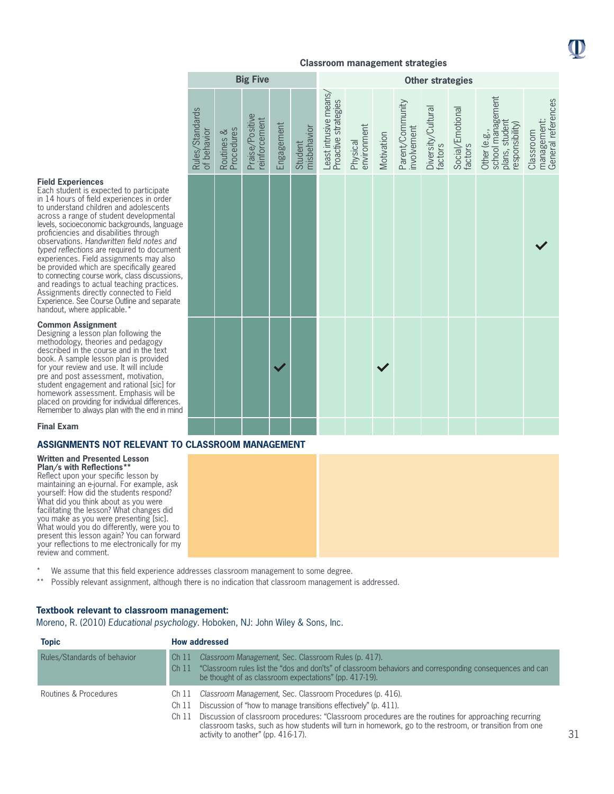

**Big Five Other strategies**

| <b>Field Experiences</b> |
|--------------------------|
|--------------------------|

Each student is expected to participate in 14 hours of field experiences in order to understand children and adolescents across a range of student developmental levels, socioeconomic backgrounds, language proficiencies and disabilities through observations. *Handwritten field notes and typed reflections* are required to document experiences. Field assignments may also be provided which are specifically geared to connecting course work, class discussions, and readings to actual teaching practices. Assignments directly connected to Field Experience. See Course Outline and separate handout, where applicable.<sup>\*</sup>

#### **Common Assignment**

Designing a lesson plan following the methodology, theories and pedagogy described in the course and in the text book. A sample lesson plan is provided for your review and use. It will include pre and post assessment, motivation, student engagement and rational [sic] for homework assessment. Emphasis will be placed on providing for individual differences. Remember to always plan with the end in mind

| Rules/Standards<br>of behavior | Procedures<br>Routines & | Praise/Positive<br>reinforcement | Engagement | misbehavior<br>Student | Least intrusive means/<br>Proactive strategies | environment<br>Physical | Motivation | Parent/Community<br>involvement | Diversity/Cultural<br>factors | Social/Emotional<br>factors | school management<br>plans, student<br>responsibility)<br>Other (e.g., | management:<br>General references<br>Classroom |
|--------------------------------|--------------------------|----------------------------------|------------|------------------------|------------------------------------------------|-------------------------|------------|---------------------------------|-------------------------------|-----------------------------|------------------------------------------------------------------------|------------------------------------------------|
|                                |                          |                                  |            |                        |                                                |                         |            |                                 |                               |                             |                                                                        |                                                |
|                                |                          |                                  |            |                        |                                                |                         |            |                                 |                               |                             |                                                                        |                                                |
|                                |                          |                                  |            |                        |                                                |                         |            |                                 |                               |                             |                                                                        |                                                |

#### **Final Exam**

#### **ASSIGNMENTS NOT RELEVANT TO CLASSROOM MANAGEMENT**

#### **Written and Presented Lesson**

**Plan/s with Reflections\*\*** Reflect upon your specific lesson by maintaining an e-journal. For example, ask yourself: How did the students respond? What did you think about as you were facilitating the lesson? What changes did you make as you were presenting [sic]. What would you do differently, were you to present this lesson again? You can forward your reflections to me electronically for my review and comment.

- 
- \* We assume that this field experience addresses classroom management to some degree.<br>\*\* Possibly relevant assignment although there is no indication that classroom management
- \*\* Possibly relevant assignment, although there is no indication that classroom management is addressed.

#### **Textbook relevant to classroom management:**

Moreno, R. (2010) *Educational psychology*. Hoboken, NJ: John Wiley & Sons, Inc.

| <b>Topic</b>                | <b>How addressed</b>                                                                                                                                                                                                                                                                                                                                                                                             |
|-----------------------------|------------------------------------------------------------------------------------------------------------------------------------------------------------------------------------------------------------------------------------------------------------------------------------------------------------------------------------------------------------------------------------------------------------------|
| Rules/Standards of behavior | Classroom Management, Sec. Classroom Rules (p. 417).<br>Ch 11<br>"Classroom rules list the "dos and don'ts" of classroom behaviors and corresponding consequences and can<br>Ch <sub>11</sub><br>be thought of as classroom expectations" (pp. 417-19).                                                                                                                                                          |
| Routines & Procedures       | Classroom Management, Sec. Classroom Procedures (p. 416).<br>Ch 11<br>Discussion of "how to manage transitions effectively" (p. 411).<br>Ch 11<br>Discussion of classroom procedures: "Classroom procedures are the routines for approaching recurring<br>Ch 11<br>classroom tasks, such as how students will turn in homework, go to the restroom, or transition from one<br>activity to another" (pp. 416-17). |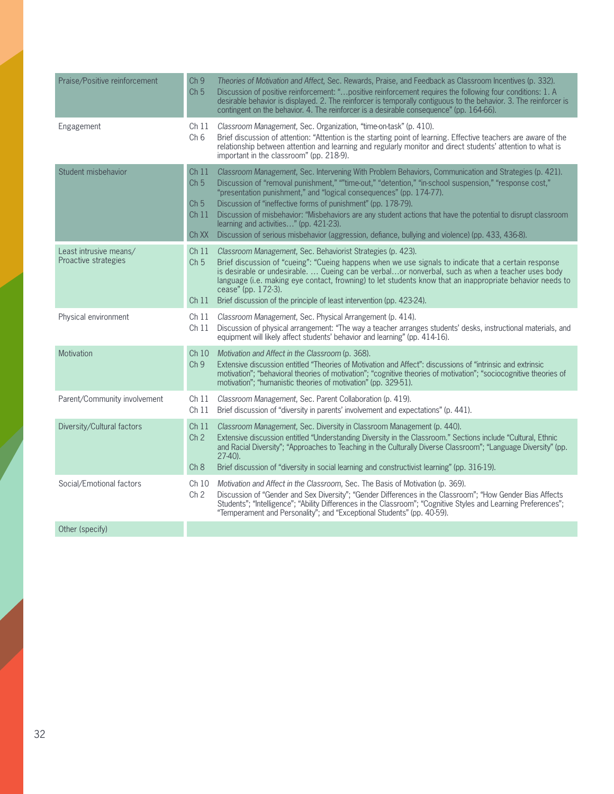| Praise/Positive reinforcement                  | Ch <sub>9</sub><br>Ch <sub>5</sub>                                                  | Theories of Motivation and Affect, Sec. Rewards, Praise, and Feedback as Classroom Incentives (p. 332).<br>Discussion of positive reinforcement: "positive reinforcement requires the following four conditions: 1. A<br>desirable behavior is displayed. 2. The reinforcer is temporally contiguous to the behavior. 3. The reinforcer is<br>contingent on the behavior. 4. The reinforcer is a desirable consequence" (pp. 164-66).                                                                                                                                                                                   |
|------------------------------------------------|-------------------------------------------------------------------------------------|-------------------------------------------------------------------------------------------------------------------------------------------------------------------------------------------------------------------------------------------------------------------------------------------------------------------------------------------------------------------------------------------------------------------------------------------------------------------------------------------------------------------------------------------------------------------------------------------------------------------------|
| Engagement                                     | Ch 11<br>Ch <sub>6</sub>                                                            | Classroom Management, Sec. Organization, "time-on-task" (p. 410).<br>Brief discussion of attention: "Attention is the starting point of learning. Effective teachers are aware of the<br>relationship between attention and learning and regularly monitor and direct students' attention to what is<br>important in the classroom" (pp. 218-9).                                                                                                                                                                                                                                                                        |
| Student misbehavior                            | Ch <sub>11</sub><br>Ch <sub>5</sub><br>Ch <sub>5</sub><br>Ch <sub>11</sub><br>Ch XX | Classroom Management, Sec. Intervening With Problem Behaviors, Communication and Strategies (p. 421).<br>Discussion of "removal punishment," ""time-out," "detention," "in-school suspension," "response cost,"<br>"presentation punishment," and "logical consequences" (pp. 174-77).<br>Discussion of "ineffective forms of punishment" (pp. 178-79).<br>Discussion of misbehavior: "Misbehaviors are any student actions that have the potential to disrupt classroom<br>learning and activities" (pp. 421-23).<br>Discussion of serious misbehavior (aggression, defiance, bullying and violence) (pp. 433, 436-8). |
| Least intrusive means/<br>Proactive strategies | Ch <sub>11</sub><br>Ch <sub>5</sub><br>Ch 11                                        | Classroom Management, Sec. Behaviorist Strategies (p. 423).<br>Brief discussion of "cueing": "Cueing happens when we use signals to indicate that a certain response<br>is desirable or undesirable.  Cueing can be verbalor nonverbal, such as when a teacher uses body<br>language (i.e. making eye contact, frowning) to let students know that an inappropriate behavior needs to<br>cease" (pp. 172-3).<br>Brief discussion of the principle of least intervention (pp. 423-24).                                                                                                                                   |
| Physical environment                           | Ch <sub>11</sub><br>Ch 11                                                           | Classroom Management, Sec. Physical Arrangement (p. 414).<br>Discussion of physical arrangement: "The way a teacher arranges students' desks, instructional materials, and<br>equipment will likely affect students' behavior and learning" (pp. 414-16).                                                                                                                                                                                                                                                                                                                                                               |
| Motivation                                     | Ch10<br>Ch <sub>9</sub>                                                             | Motivation and Affect in the Classroom (p. 368).<br>Extensive discussion entitled "Theories of Motivation and Affect": discussions of "intrinsic and extrinsic<br>motivation"; "behavioral theories of motivation"; "cognitive theories of motivation"; "sociocognitive theories of<br>motivation"; "humanistic theories of motivation" (pp. 329-51).                                                                                                                                                                                                                                                                   |
| Parent/Community involvement                   | Ch 11<br>Ch <sub>11</sub>                                                           | Classroom Management, Sec. Parent Collaboration (p. 419).<br>Brief discussion of "diversity in parents' involvement and expectations" (p. 441).                                                                                                                                                                                                                                                                                                                                                                                                                                                                         |
| Diversity/Cultural factors                     | Ch <sub>11</sub><br>Ch <sub>2</sub><br>Ch 8                                         | Classroom Management, Sec. Diversity in Classroom Management (p. 440).<br>Extensive discussion entitled "Understanding Diversity in the Classroom." Sections include "Cultural, Ethnic<br>and Racial Diversity"; "Approaches to Teaching in the Culturally Diverse Classroom"; "Language Diversity" (pp.<br>$27-40$ ).<br>Brief discussion of "diversity in social learning and constructivist learning" (pp. 316-19).                                                                                                                                                                                                  |
| Social/Emotional factors                       | Ch 10<br>Ch <sub>2</sub>                                                            | Motivation and Affect in the Classroom, Sec. The Basis of Motivation (p. 369).<br>Discussion of "Gender and Sex Diversity"; "Gender Differences in the Classroom"; "How Gender Bias Affects<br>Students"; "Intelligence"; "Ability Differences in the Classroom"; "Cognitive Styles and Learning Preferences";<br>"Temperament and Personality"; and "Exceptional Students" (pp. 40-59).                                                                                                                                                                                                                                |
| Other (specify)                                |                                                                                     |                                                                                                                                                                                                                                                                                                                                                                                                                                                                                                                                                                                                                         |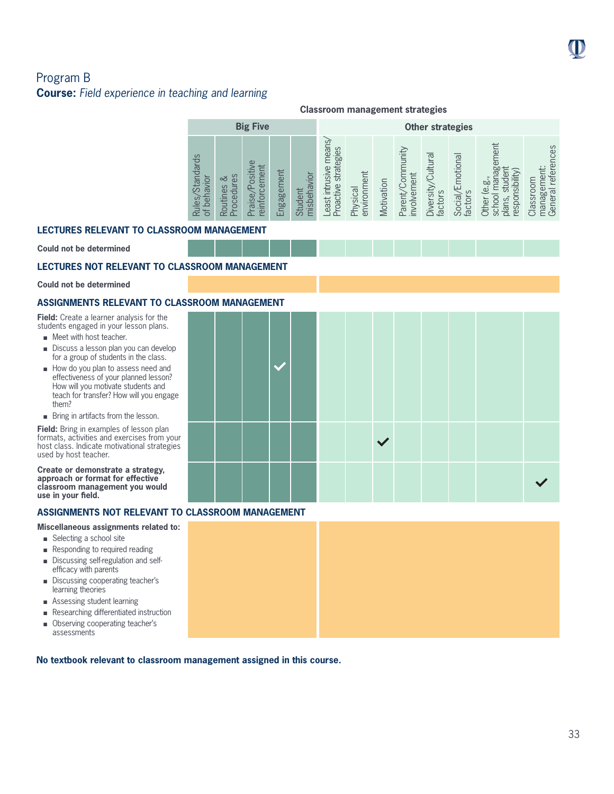# Program B **Course:** *Field experience in teaching and learning*

|                                                                                            | <b>Classroom management strategies</b> |                                                              |                 |                        |                                                    |                         |            |                                     |                                 |                                        |                                                                                           |                                                                      |  |  |
|--------------------------------------------------------------------------------------------|----------------------------------------|--------------------------------------------------------------|-----------------|------------------------|----------------------------------------------------|-------------------------|------------|-------------------------------------|---------------------------------|----------------------------------------|-------------------------------------------------------------------------------------------|----------------------------------------------------------------------|--|--|
|                                                                                            |                                        | <b>Big Five</b>                                              |                 |                        |                                                    | <b>Other strategies</b> |            |                                     |                                 |                                        |                                                                                           |                                                                      |  |  |
| <b>Standards</b><br>$\overline{\mathsf{C}}$<br>NBI<br>beh<br>Rules,<br>$\overline{\sigma}$ | es<br>చ<br>Procedur<br>Routines        | Positive<br>Jer<br>ā<br>aise<br>infor<br>$\overline{\omega}$ | ngagement<br>ப் | misbehavior<br>Student | means<br>strategies<br>east intrusive<br>Proactive | environment<br>Physical | Motivation | Community<br>involvement<br>Parent/ | Cultura<br>Diversity<br>factors | motional<br><b>Social/E</b><br>factors | nent<br>ັດ<br>ā<br>(Vilidy)<br>ρò<br>$\omega$<br>school<br>pdse<br>plans,<br><b>Other</b> | references<br>hent<br>Classroom<br>ক<br><b>bo</b><br>manag<br>Gener: |  |  |

### **LECTURES RELEVANT TO CLASSROOM MANAGEMENT**

**Could not be determined**

### **LECTURES NOT RELEVANT TO CLASSROOM MANAGEMENT**

#### **Could not be determined**

### **ASSIGNMENTS RELEVANT TO CLAS**

**Field:** Create a learner analysis for the students engaged in your lesson plans.

- $\blacksquare$  Meet with host teacher.
- Discuss a lesson plan you can develop for a group of students in the class.
- How do you plan to assess need and effectiveness of your planned lesson? How will you motivate students and teach for transfer? How will you engage them?
- **n** Bring in artifacts from the lesson.

**Field:** Bring in examples of lesson plan formats, activities and exercises from your host class. Indicate motivational strategies used by host teacher.

**Create or demonstrate a strategy, approach or format for effective classroom management you would use in your field.**

### **ASSIGNMENTS NOT RELEVANT TO CLASSROOM MANAGEMENT**

**Miscellaneous assignments related to:** 

- $\blacksquare$  Selecting a school site
- Responding to required reading
- Discussing self-regulation and selfefficacy with parents
- Discussing cooperating teacher's learning theories
- **n** Assessing student learning
- <sup>n</sup> Researching differentiated instruction
- **n** Observing cooperating teacher's assessments

**No textbook relevant to classroom management assigned in this course.**

|  | <b>SROOM MANAGEMENT</b> |  |  |        |  |  |  |
|--|-------------------------|--|--|--------|--|--|--|
|  |                         |  |  |        |  |  |  |
|  |                         |  |  | $\vee$ |  |  |  |
|  |                         |  |  |        |  |  |  |

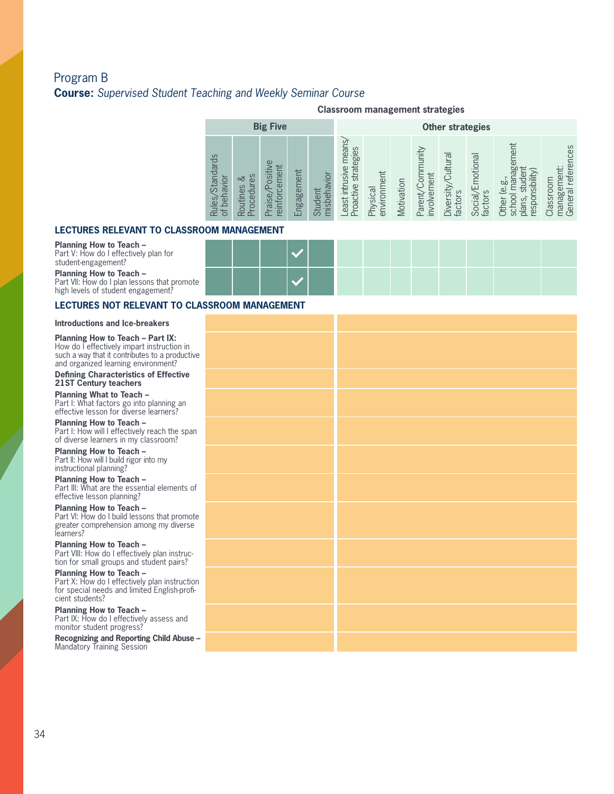# Program B **Course:** *Supervised Student Teaching and Weekly Seminar Course*

#### **Classroom management strategies**

|                                                 |                                      | <b>Big Five</b>                                             |                                     |                                        | <b>Other strategies</b>                           |                              |            |                                                |                                                        |                                            |                                                                                            |                                                                                     |  |  |
|-------------------------------------------------|--------------------------------------|-------------------------------------------------------------|-------------------------------------|----------------------------------------|---------------------------------------------------|------------------------------|------------|------------------------------------------------|--------------------------------------------------------|--------------------------------------------|--------------------------------------------------------------------------------------------|-------------------------------------------------------------------------------------|--|--|
| <b>Standards</b><br>avior<br>beh<br>les,<br>Rul | မိ<br>చ<br>es<br>oced<br>Routin<br>Δ | CD<br>siti<br>ಕ<br>ه<br>≏<br>$\sigma$<br>infor<br>isi<br>මු | hent<br>느<br><b>Bel</b><br>nga<br>ш | vior<br><u>लि</u><br>nisbeh<br>ᇰ<br>Bn | means<br>strategies<br>east intrusive<br>roactive | lent<br>environm<br>Physical | Motivation | ytinumity<br>involvement<br>no.<br>T<br>Parent | $\overline{\sigma}$<br>Cultur<br>Diversity,<br>factors | motional<br><b>Social/E</b><br>S<br>factor | ment<br>ಹ<br>ರೂ<br>sibility<br>ρï<br>Φ<br>pase<br>IS,<br><b>Children</b><br>$\bar{\sigma}$ | references<br>ă<br>Classroom<br>$\overline{\sigma}$<br>$\overline{\omega}$<br>Gener |  |  |

#### **LECTURES RELEVANT TO CLASSRO**

**Planning How to Teach –** 

Part V: How do I effectively plan for student-engagement?

**Planning How to Teach –**  Part VII: How do I plan lessons that promote

high levels of student engagement?

#### **Introductions and Ice-breakers**

How do I effectively impart instructio<br>such a way that it contributes to a pro<br>and organized learning environment? **Planning How to Teach – Part IX:**  How do I effectively impart instruction in such a way that it contributes to a productive

**Defining Characteristics of Effective 21ST Century teachers**

**Planning What to Teach –**  Part I: What factors go into planning an effective lesson for diverse learners?

**Planning How to Teach –**  Part I: How will I effectively reach the span of diverse learners in my classroom?

**Planning How to Teach –**  Part II: How will I build rigor into my instructional planning?

**Planning How to Teach –** Part III: What are the essential elements of effective lesson planning?

**Planning How to Teach –**  Part VI: How do I build lessons that promote greater comprehension among my diverse learners?

**Planning How to Teach –**  Part VIII: How do I effectively plan instruction for small groups and student pairs?

**Planning How to Teach –**  Part X: How do I effectively plan instruction for special needs and limited English-proficient students?

**Planning How to Teach –**  Part IX: How do I effectively assess and monitor student progress?

**Recognizing and Reporting Child Abuse –**  Mandatory Training Session

| JOM MANAGEMEN I |  |  |  |  |  |  |
|-----------------|--|--|--|--|--|--|
|                 |  |  |  |  |  |  |
|                 |  |  |  |  |  |  |

**LECTURES NOT RELEVANT TO CLASSROOM MANAGEMENT**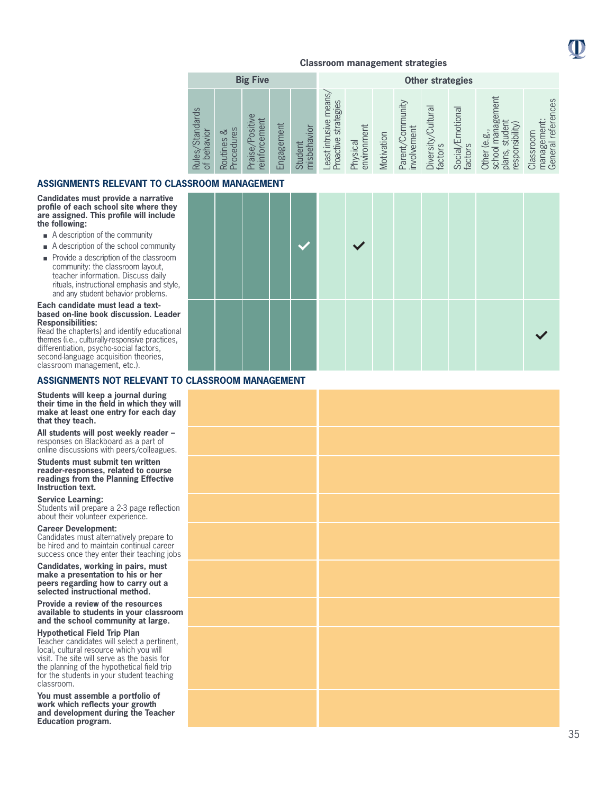

| <b>Big Five</b>                                                                           |                                         |                                                     |            |                                                   |                                                            |                                                   |            |                                                 | <b>Other strategies</b>                               |                                        |                                                                         |                                                   |
|-------------------------------------------------------------------------------------------|-----------------------------------------|-----------------------------------------------------|------------|---------------------------------------------------|------------------------------------------------------------|---------------------------------------------------|------------|-------------------------------------------------|-------------------------------------------------------|----------------------------------------|-------------------------------------------------------------------------|---------------------------------------------------|
| S<br>Standard<br>$\circ$<br>ದ<br>Rules,<br>$\overline{\omega}$<br>$\leftarrow$<br>$\circ$ | es<br>ವ<br>cedur<br>Routines<br>$\circ$ | Œ<br>neni<br>siti<br>Ċ<br>āΓ<br>aise,<br>infor<br>e | Engagement | vior<br>$\overline{a}$<br>nisbeh<br>远<br>Bn<br>க் | means<br>ategies<br>usive<br>Str.<br>roactive<br>宣<br>east | ent<br>environm<br>hysical<br>$\overline{\Omega}$ | Motivation | nunity<br>involvement<br>ŏ<br>arent<br>$\Omega$ | $\overline{\sigma}$<br>Cultur<br>Diversity<br>factors | motional<br><b>Social/E</b><br>factors | lent<br>Φ<br>ōο<br>Nilidisi<br><b>b</b><br>$\omega$<br>espoi<br>èĭ<br>ಸ | references<br>lassroom<br>ক<br><b>bo</b><br>Gener |

### **ASSIGNMENTS RELEVANT TO CLASSROOM MANAGEMENT**

**Candidates must provide a narrative profile of each school site where they are assigned. This profile will include the following:**

- $\blacksquare$  A description of the community
- $\blacksquare$  A description of the school community
- $\blacksquare$  Provide a description of the classroom community: the classroom layout, teacher information. Discuss daily rituals, instructional emphasis and style, and any student behavior problems.

#### **Each candidate must lead a textbased on-line book discussion. Leader Responsibilities:**

Read the chapter(s) and identify educational themes (i.e., culturally-responsive practices, differentiation, psycho-social factors, second-language acquisition theories, classroom management, etc.).

### **ASSIGNMENTS NOT RELEVANT TO CLASSROOM MANAGEMENT**

**Students will keep a journal during their time in the field in which they will make at least one entry for each day that they teach.**

**All students will post weekly reader –**  responses on Blackboard as a part of online discussions with peers/colleagues.

**Students must submit ten written reader-responses, related to course readings from the Planning Effective Instruction text.**

**Service Learning:** 

Students will prepare a 2-3 page reflection about their volunteer experience.

#### **Career Development:**

Candidates must alternatively prepare to be hired and to maintain continual career success once they enter their teaching jobs

**Candidates, working in pairs, must make a presentation to his or her peers regarding how to carry out a selected instructional method.**

**Provide a review of the resources available to students in your classroom and the school community at large.**

#### **Hypothetical Field Trip Plan**

Teacher candidates will select a pertinent, local, cultural resource which you will visit. The site will serve as the basis for the planning of the hypothetical field trip for the students in your student teaching classroom.

**You must assemble a portfolio of work which reflects your growth and development during the Teacher Education program.**

|  | NUUMI MARAHULMEN I |  |        |  |  |  |
|--|--------------------|--|--------|--|--|--|
|  |                    |  | $\vee$ |  |  |  |
|  |                    |  |        |  |  |  |

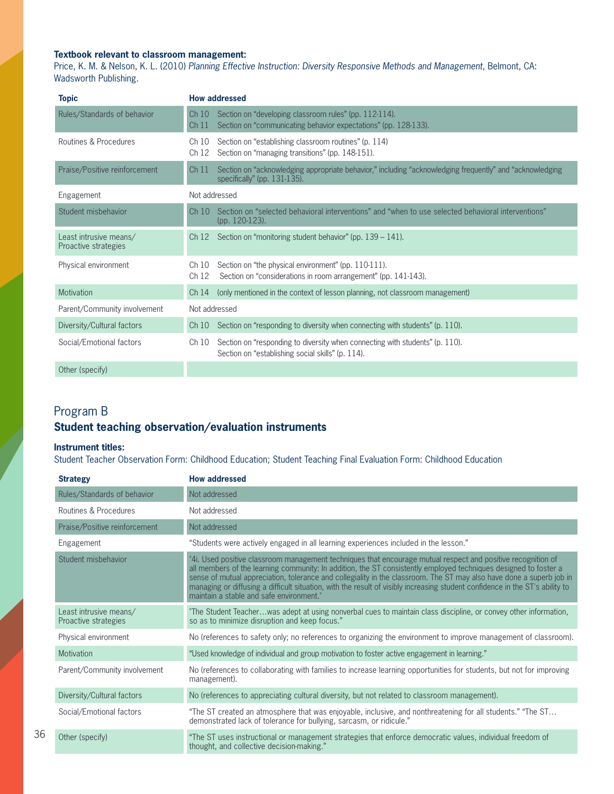### **Textbook relevant to classroom management:**

Price, K. M. & Nelson, K. L. (2010) *Planning Effective Instruction: Diversity Responsive Methods and Management*, Belmont, CA: Wadsworth Publishing.

| <b>Topic</b>                                   | <b>How addressed</b>                                                                                                                                |
|------------------------------------------------|-----------------------------------------------------------------------------------------------------------------------------------------------------|
| Rules/Standards of behavior                    | Ch 10 Section on "developing classroom rules" (pp. 112-114).<br>Section on "communicating behavior expectations" (pp. 128-133).<br>Ch <sub>11</sub> |
| Routines & Procedures                          | Section on "establishing classroom routines" (p. 114)<br>Ch 10<br>Ch 12 Section on "managing transitions" (pp. 148-151).                            |
| Praise/Positive reinforcement                  | Section on "acknowledging appropriate behavior," including "acknowledging frequently" and "acknowledging<br>Ch11<br>specifically" (pp. $131-135$ ). |
| Engagement                                     | Not addressed                                                                                                                                       |
| Student misbehavior                            | Section on "selected behavioral interventions" and "when to use selected behavioral interventions"<br>Ch10<br>(pp. 120-123).                        |
| Least intrusive means/<br>Proactive strategies | Ch 12 Section on "monitoring student behavior" (pp. 139 - 141).                                                                                     |
| Physical environment                           | Section on "the physical environment" (pp. 110-111).<br>Ch10<br>Section on "considerations in room arrangement" (pp. 141-143).<br>Ch <sub>12</sub>  |
| <b>Motivation</b>                              | (only mentioned in the context of lesson planning, not classroom management)<br>Ch 14                                                               |
| Parent/Community involvement                   | Not addressed                                                                                                                                       |
| Diversity/Cultural factors                     | Ch 10 Section on "responding to diversity when connecting with students" (p. 110).                                                                  |
| Social/Emotional factors                       | Section on "responding to diversity when connecting with students" (p. 110).<br>Ch 10<br>Section on "establishing social skills" (p. 114).          |
| Other (specify)                                |                                                                                                                                                     |

Program B

36

# **Student teaching observation/evaluation instruments**

### **Instrument titles:**

Student Teacher Observation Form: Childhood Education; Student Teaching Final Evaluation Form: Childhood Education

| <b>Strategy</b>                                | <b>How addressed</b>                                                                                                                                                                                                                                                                                                                                                                                                                                                                                                                 |
|------------------------------------------------|--------------------------------------------------------------------------------------------------------------------------------------------------------------------------------------------------------------------------------------------------------------------------------------------------------------------------------------------------------------------------------------------------------------------------------------------------------------------------------------------------------------------------------------|
| Rules/Standards of behavior                    | Not addressed                                                                                                                                                                                                                                                                                                                                                                                                                                                                                                                        |
| Routines & Procedures                          | Not addressed                                                                                                                                                                                                                                                                                                                                                                                                                                                                                                                        |
| Praise/Positive reinforcement                  | Not addressed                                                                                                                                                                                                                                                                                                                                                                                                                                                                                                                        |
| Engagement                                     | "Students were actively engaged in all learning experiences included in the lesson."                                                                                                                                                                                                                                                                                                                                                                                                                                                 |
| Student misbehavior                            | "4i. Used positive classroom management techniques that encourage mutual respect and positive recognition of<br>all members of the learning community: In addition, the ST consistently employed techniques designed to foster a<br>sense of mutual appreciation, tolerance and collegiality in the classroom. The ST may also have done a superb job in<br>managing or diffusing a difficult situation, with the result of visibly increasing student confidence in the ST's ability to<br>maintain a stable and safe environment." |
| Least intrusive means/<br>Proactive strategies | "The Student Teacherwas adept at using nonverbal cues to maintain class discipline, or convey other information,<br>so as to minimize disruption and keep focus."                                                                                                                                                                                                                                                                                                                                                                    |
| Physical environment                           | No (references to safety only; no references to organizing the environment to improve management of classroom).                                                                                                                                                                                                                                                                                                                                                                                                                      |
| <b>Motivation</b>                              | "Used knowledge of individual and group motivation to foster active engagement in learning."                                                                                                                                                                                                                                                                                                                                                                                                                                         |
| Parent/Community involvement                   | No (references to collaborating with families to increase learning opportunities for students, but not for improving<br>management).                                                                                                                                                                                                                                                                                                                                                                                                 |
| Diversity/Cultural factors                     | No (references to appreciating cultural diversity, but not related to classroom management).                                                                                                                                                                                                                                                                                                                                                                                                                                         |
| Social/Emotional factors                       | "The ST created an atmosphere that was enjoyable, inclusive, and nonthreatening for all students." "The ST<br>demonstrated lack of tolerance for bullying, sarcasm, or ridicule."                                                                                                                                                                                                                                                                                                                                                    |
| Other (specify)                                | "The ST uses instructional or management strategies that enforce democratic values, individual freedom of<br>thought, and collective decision-making."                                                                                                                                                                                                                                                                                                                                                                               |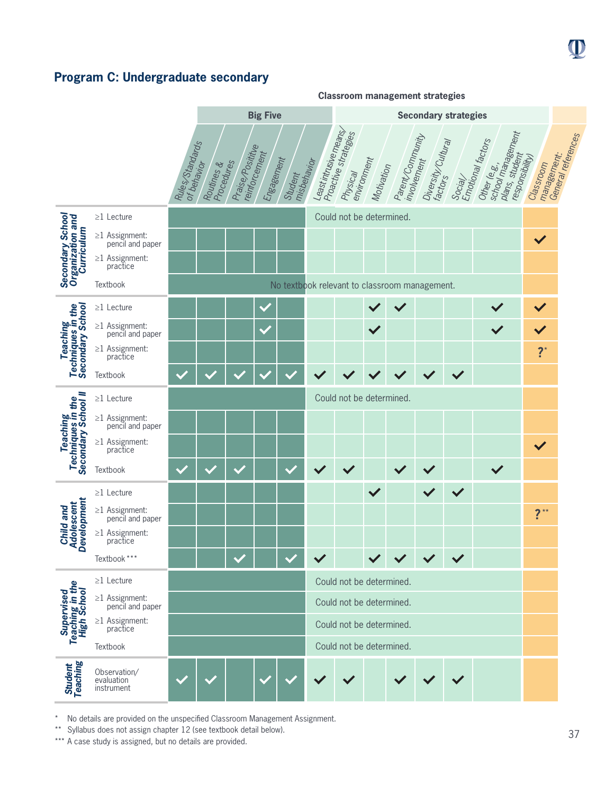# **Program C: Undergraduate secondary**



No details are provided on the unspecified Classroom Management Assignment.

\*\* Syllabus does not assign chapter 12 (see textbook detail below).

\*\*\* A case study is assigned, but no details are provided.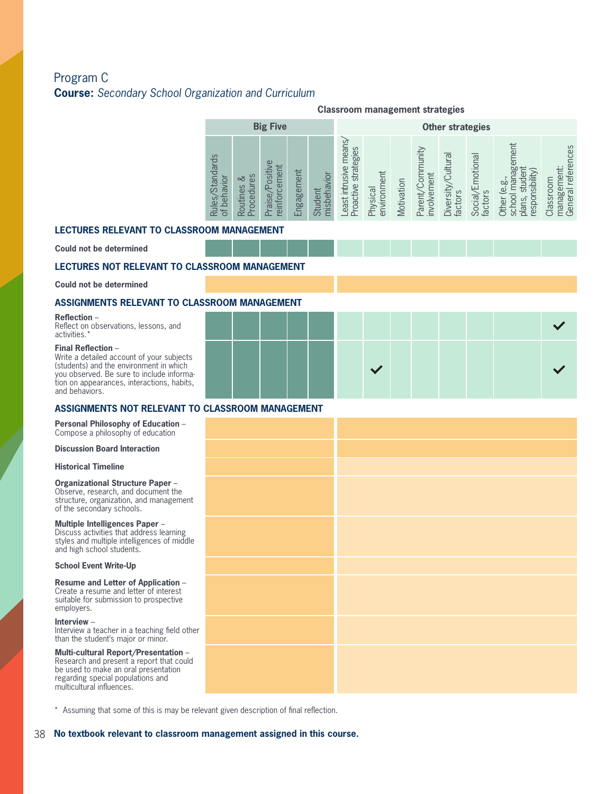# Program C **Course:** *Secondary School Organization and Curriculum*

|                                                                                                                                                                                                                                |                                | <b>Classroom management strategies</b> |                                 |            |                        |                                               |                         |            |                                 |                               |                             |                                                                       |                                                |
|--------------------------------------------------------------------------------------------------------------------------------------------------------------------------------------------------------------------------------|--------------------------------|----------------------------------------|---------------------------------|------------|------------------------|-----------------------------------------------|-------------------------|------------|---------------------------------|-------------------------------|-----------------------------|-----------------------------------------------------------------------|------------------------------------------------|
|                                                                                                                                                                                                                                |                                |                                        | <b>Big Five</b>                 |            |                        |                                               |                         |            |                                 | <b>Other strategies</b>       |                             |                                                                       |                                                |
|                                                                                                                                                                                                                                | Rules/Standards<br>of behavior | Routines &<br>Procedures               | Praise/Positive<br>einforcement | Engagement | misbehavior<br>Student | Least intrusive means<br>Proactive strategies | environment<br>Physical | Motivation | Parent/Community<br>involvement | Diversity/Cultural<br>factors | Social/Emotional<br>factors | school management<br>plans, student<br>esponsibility)<br>Other (e.g., | management:<br>General references<br>Classroom |
| <b>LECTURES RELEVANT TO CLASSROOM MANAGEMENT</b>                                                                                                                                                                               |                                |                                        |                                 |            |                        |                                               |                         |            |                                 |                               |                             |                                                                       |                                                |
| Could not be determined                                                                                                                                                                                                        |                                |                                        |                                 |            |                        |                                               |                         |            |                                 |                               |                             |                                                                       |                                                |
| <b>LECTURES NOT RELEVANT TO CLASSROOM MANAGEMENT</b>                                                                                                                                                                           |                                |                                        |                                 |            |                        |                                               |                         |            |                                 |                               |                             |                                                                       |                                                |
| <b>Could not be determined</b>                                                                                                                                                                                                 |                                |                                        |                                 |            |                        |                                               |                         |            |                                 |                               |                             |                                                                       |                                                |
| ASSIGNMENTS RELEVANT TO CLASSROOM MANAGEMENT                                                                                                                                                                                   |                                |                                        |                                 |            |                        |                                               |                         |            |                                 |                               |                             |                                                                       |                                                |
| Reflection -<br>Reflect on observations, lessons, and<br>activities.*                                                                                                                                                          |                                |                                        |                                 |            |                        |                                               |                         |            |                                 |                               |                             |                                                                       |                                                |
| <b>Final Reflection -</b><br>Write a detailed account of your subjects<br>(students) and the environment in which<br>vou observed. Be sure to include informa-<br>tion on appearances, interactions, habits,<br>and behaviors. |                                |                                        |                                 |            |                        |                                               |                         |            |                                 |                               |                             |                                                                       |                                                |
| ASSIGNMENTS NOT RELEVANT TO CLASSROOM MANAGEMENT                                                                                                                                                                               |                                |                                        |                                 |            |                        |                                               |                         |            |                                 |                               |                             |                                                                       |                                                |
| <b>Personal Philosophy of Education -</b><br>Compose a philosophy of education                                                                                                                                                 |                                |                                        |                                 |            |                        |                                               |                         |            |                                 |                               |                             |                                                                       |                                                |
| <b>Discussion Board Interaction</b>                                                                                                                                                                                            |                                |                                        |                                 |            |                        |                                               |                         |            |                                 |                               |                             |                                                                       |                                                |
| <b>Historical Timeline</b>                                                                                                                                                                                                     |                                |                                        |                                 |            |                        |                                               |                         |            |                                 |                               |                             |                                                                       |                                                |
| <b>Organizational Structure Paper -</b><br>Observe, research, and document the<br>structure, organization, and management<br>of the secondary schools.                                                                         |                                |                                        |                                 |            |                        |                                               |                         |            |                                 |                               |                             |                                                                       |                                                |
| <b>Multiple Intelligences Paper -</b><br>Discuss activities that address learning<br>styles and multiple intelligences of middle<br>and high school students.                                                                  |                                |                                        |                                 |            |                        |                                               |                         |            |                                 |                               |                             |                                                                       |                                                |
| <b>School Event Write-Up</b>                                                                                                                                                                                                   |                                |                                        |                                 |            |                        |                                               |                         |            |                                 |                               |                             |                                                                       |                                                |
| Resume and Letter of Application -<br>Create a resume and letter of interest<br>suitable for submission to prospective<br>employers.                                                                                           |                                |                                        |                                 |            |                        |                                               |                         |            |                                 |                               |                             |                                                                       |                                                |
| Interview $-$<br>Interview a teacher in a teaching field other<br>than the student's major or minor.                                                                                                                           |                                |                                        |                                 |            |                        |                                               |                         |            |                                 |                               |                             |                                                                       |                                                |
| Multi-cultural Report/Presentation -<br>Research and present a report that could<br>be used to make an oral presentation<br>regarding special populations and<br>multicultural influences.                                     |                                |                                        |                                 |            |                        |                                               |                         |            |                                 |                               |                             |                                                                       |                                                |

\* Assuming that some of this is may be relevant given description of final reflection.

38 **No textbook relevant to classroom management assigned in this course.**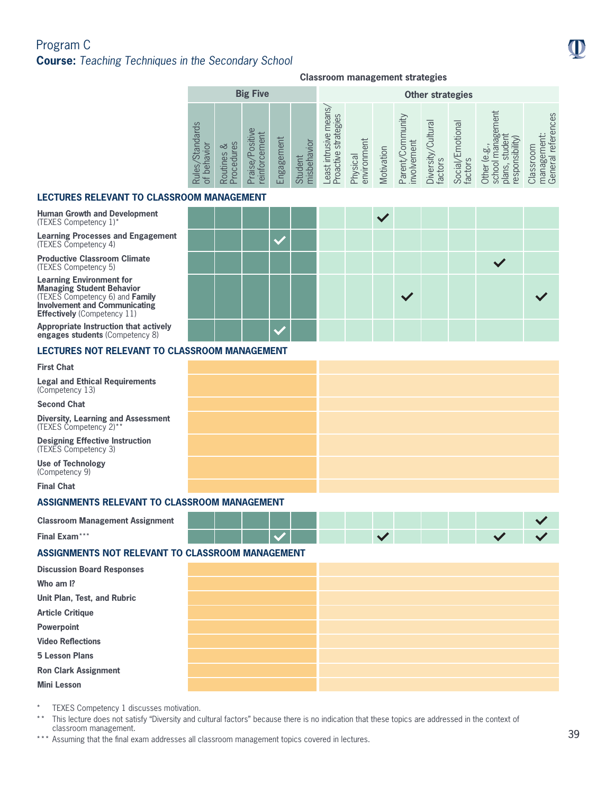# Program C **Course:** *Teaching Techniques in the Secondary School*

### **Classroom management strategies**

|                                                 |                                                                        | <b>Big Five</b>                                  |                   |                                             |                                                    |                         |            |                                         | <b>Other strategies</b>                               |                                                    |                                                                      |                                                                                                    |
|-------------------------------------------------|------------------------------------------------------------------------|--------------------------------------------------|-------------------|---------------------------------------------|----------------------------------------------------|-------------------------|------------|-----------------------------------------|-------------------------------------------------------|----------------------------------------------------|----------------------------------------------------------------------|----------------------------------------------------------------------------------------------------|
| Standards<br>navior<br>beh<br>Rules<br>$\sigma$ | $\omega$<br>చ<br>₿<br>outines<br><b>ocedu</b><br>$\approx$<br>$\Omega$ | $\Omega$<br>ement<br>ositi<br>aise<br>infor<br>ρ | t<br>ngageme<br>ப | <b>isbehavior</b><br>tudent<br>$\circ$<br>는 | means<br>strategies<br>east intrusive<br>Proactive | Physical<br>environment | Motivation | munity<br>involvement<br>Com<br>Parenty | $\overline{\sigma}$<br>Cultur<br>Diversity<br>factors | motional<br>石<br>factors<br>$\overline{a}$<br>Soci | lagement<br>responsibility<br>stude<br>Other (e.g<br>school<br>plans | nces<br>re<br>refe<br>Classroom<br>$\overline{\sigma}$<br><b>bo</b><br>Tiana <sub>ë</sub><br>Gener |

### **LECTURES RELEVANT TO CLASSROOM MANAGEMENT**

#### **Human Growth and Development**  (TEXES Competency 1)\*

**Learning Processes and Engagement** (TEXES Competency 4)

**Productive Classroom Climate**  (TEXES Competency 5)

**Learning Environment for Managing Student Behavior** (TEXES Competency 6) and **Family Involvement and Communicating Effectively** (Competency 11)

**Appropriate Instruction that actively engages students** (Competency 8)

### **LECTURES NOT RELEVANT TO CLASSROOM MANAGEMENT**

#### **First Chat**

**Legal and Ethical Requirements**  (Competency 13)

**Second Chat**

**Diversity, Learning and Assessment**  (TEXES Competency 2)\*\*

**Classroom Management Assignment**

**Designing Effective Instruction**  (TEXES Competency 3)

**Use of Technology**  (Competency 9)

**Final Chat**

**Final Exam**\*\*\*

### **ASSIGNMENTS RELEVANT TO CLASSROOM MANAGEMENT**

### **ASSIGNMENTS NOT RELEVANT TO CLASSROOM MANAGEMENT**

| <b>Discussion Board Responses</b> |  |
|-----------------------------------|--|
| Who am I?                         |  |
| Unit Plan, Test, and Rubric       |  |
| <b>Article Critique</b>           |  |
| Powerpoint                        |  |
| <b>Video Reflections</b>          |  |
| <b>5 Lesson Plans</b>             |  |
| <b>Ron Clark Assignment</b>       |  |
| <b>Mini Lesson</b>                |  |

- TEXES Competency 1 discusses motivation.
- \*\* This lecture does not satisfy "Diversity and cultural factors" because there is no indication that these topics are addressed in the context of classroom management.
- \*\*\* Assuming that the final exam addresses all classroom management topics covered in lectures.

| JOM MANAGEMENT |  |  |  |            |              |  |  |
|----------------|--|--|--|------------|--------------|--|--|
|                |  |  |  | $\sqrt{2}$ |              |  |  |
|                |  |  |  |            |              |  |  |
|                |  |  |  |            |              |  |  |
|                |  |  |  |            | $\checkmark$ |  |  |
|                |  |  |  |            |              |  |  |

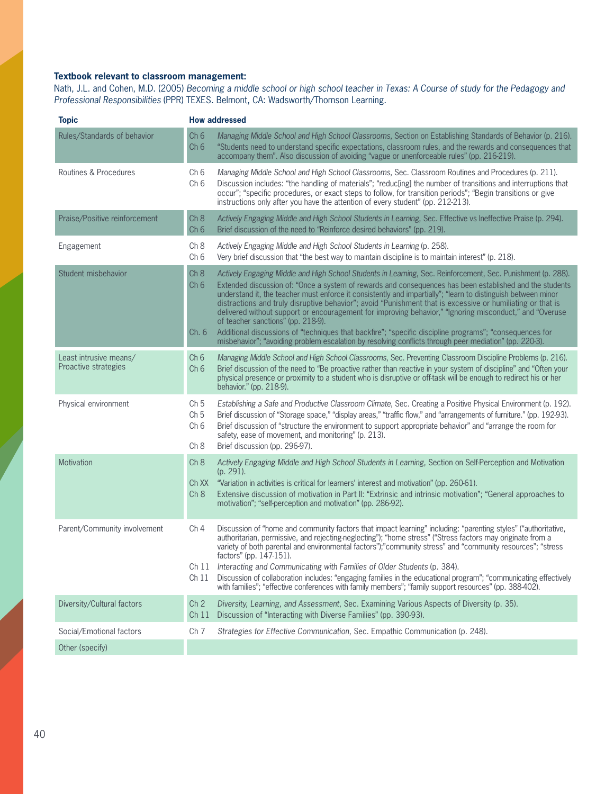### **Textbook relevant to classroom management:**

Nath, J.L. and Cohen, M.D. (2005) *Becoming a middle school or high school teacher in Texas: A Course of study for the Pedagogy and Professional Responsibilities* (PPR) TEXES. Belmont, CA: Wadsworth/Thomson Learning.

| <b>Topic</b>                                   | <b>How addressed</b>                                                                                                                                                                                                                                                                                                                                                                                                                                                                                                                                                                                                                                                                                                                                                                                                                                             |
|------------------------------------------------|------------------------------------------------------------------------------------------------------------------------------------------------------------------------------------------------------------------------------------------------------------------------------------------------------------------------------------------------------------------------------------------------------------------------------------------------------------------------------------------------------------------------------------------------------------------------------------------------------------------------------------------------------------------------------------------------------------------------------------------------------------------------------------------------------------------------------------------------------------------|
| Rules/Standards of behavior                    | Ch <sub>6</sub><br>Managing Middle School and High School Classrooms, Section on Establishing Standards of Behavior (p. 216).<br>Ch <sub>6</sub><br>"Students need to understand specific expectations, classroom rules, and the rewards and consequences that<br>accompany them". Also discussion of avoiding "vague or unenforceable rules" (pp. 216-219).                                                                                                                                                                                                                                                                                                                                                                                                                                                                                                     |
| Routines & Procedures                          | Ch <sub>6</sub><br>Managing Middle School and High School Classrooms, Sec. Classroom Routines and Procedures (p. 211).<br>Ch <sub>6</sub><br>Discussion includes: "the handling of materials"; "reduc[ing] the number of transitions and interruptions that<br>occur"; "specific procedures, or exact steps to follow, for transition periods"; "Begin transitions or give<br>instructions only after you have the attention of every student" (pp. 212-213).                                                                                                                                                                                                                                                                                                                                                                                                    |
| Praise/Positive reinforcement                  | Actively Engaging Middle and High School Students in Learning, Sec. Effective vs Ineffective Praise (p. 294).<br>Ch <sub>8</sub><br>Brief discussion of the need to "Reinforce desired behaviors" (pp. 219).<br>Ch <sub>6</sub>                                                                                                                                                                                                                                                                                                                                                                                                                                                                                                                                                                                                                                  |
| Engagement                                     | Ch 8<br>Actively Engaging Middle and High School Students in Learning (p. 258).<br>Very brief discussion that "the best way to maintain discipline is to maintain interest" (p. 218).<br>Ch <sub>6</sub>                                                                                                                                                                                                                                                                                                                                                                                                                                                                                                                                                                                                                                                         |
| Student misbehavior                            | Ch 8<br>Actively Engaging Middle and High School Students in Learning, Sec. Reinforcement, Sec. Punishment (p. 288).<br>Extended discussion of: "Once a system of rewards and consequences has been established and the students<br>Ch <sub>6</sub><br>understand it, the teacher must enforce it consistently and impartially"; "learn to distinguish between minor<br>distractions and truly disruptive behavior"; avoid "Punishment that is excessive or humiliating or that is<br>delivered without support or encouragement for improving behavior," "Ignoring misconduct," and "Overuse<br>of teacher sanctions" (pp. 218-9).<br>Additional discussions of "techniques that backfire"; "specific discipline programs"; "consequences for<br>Ch.6<br>misbehavior"; "avoiding problem escalation by resolving conflicts through peer mediation" (pp. 220-3). |
| Least intrusive means/<br>Proactive strategies | Ch <sub>6</sub><br>Managing Middle School and High School Classrooms, Sec. Preventing Classroom Discipline Problems (p. 216).<br>Ch <sub>6</sub><br>Brief discussion of the need to "Be proactive rather than reactive in your system of discipline" and "Often your<br>physical presence or proximity to a student who is disruptive or off-task will be enough to redirect his or her<br>behavior." (pp. 218-9).                                                                                                                                                                                                                                                                                                                                                                                                                                               |
| Physical environment                           | Ch <sub>5</sub><br>Establishing a Safe and Productive Classroom Climate, Sec. Creating a Positive Physical Environment (p. 192).<br>Brief discussion of "Storage space," "display areas," "traffic flow," and "arrangements of furniture." (pp. 192-93).<br>Ch <sub>5</sub><br>Ch <sub>6</sub><br>Brief discussion of "structure the environment to support appropriate behavior" and "arrange the room for<br>safety, ease of movement, and monitoring" (p. 213).<br>Brief discussion (pp. 296-97).<br>Ch 8                                                                                                                                                                                                                                                                                                                                                     |
| Motivation                                     | Actively Engaging Middle and High School Students in Learning, Section on Self-Perception and Motivation<br>Ch 8<br>(p. 291).<br>Ch XX<br>"Variation in activities is critical for learners' interest and motivation" (pp. 260-61).<br>Ch 8<br>Extensive discussion of motivation in Part II: "Extrinsic and intrinsic motivation"; "General approaches to<br>motivation"; "self-perception and motivation" (pp. 286-92).                                                                                                                                                                                                                                                                                                                                                                                                                                        |
| Parent/Community involvement                   | Ch <sub>4</sub><br>Discussion of "home and community factors that impact learning" including: "parenting styles" ("authoritative,<br>authoritarian, permissive, and rejecting-neglecting"); "home stress" ("Stress factors may originate from a<br>variety of both parental and environmental factors");"community stress" and "community resources"; "stress<br>factors" (pp. 147-151).<br>Ch 11 Interacting and Communicating with Families of Older Students (p. 384).<br>Discussion of collaboration includes: "engaging families in the educational program"; "communicating effectively<br>Ch 11<br>with families"; "effective conferences with family members"; "family support resources" (pp. 388-402).                                                                                                                                                 |
| Diversity/Cultural factors                     | Ch <sub>2</sub><br>Diversity, Learning, and Assessment, Sec. Examining Various Aspects of Diversity (p. 35).<br>Discussion of "Interacting with Diverse Families" (pp. 390-93).<br>Ch <sub>11</sub>                                                                                                                                                                                                                                                                                                                                                                                                                                                                                                                                                                                                                                                              |
| Social/Emotional factors                       | Ch <sub>7</sub><br>Strategies for Effective Communication, Sec. Empathic Communication (p. 248).                                                                                                                                                                                                                                                                                                                                                                                                                                                                                                                                                                                                                                                                                                                                                                 |
| Other (specify)                                |                                                                                                                                                                                                                                                                                                                                                                                                                                                                                                                                                                                                                                                                                                                                                                                                                                                                  |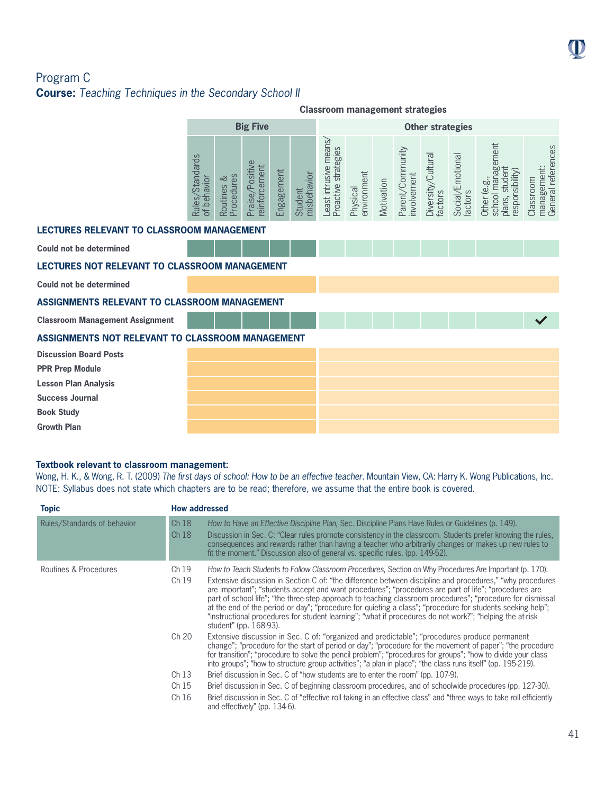# Program C **Course:** *Teaching Techniques in the Secondary School II*

|                                                  |                                |                             |                                         |            |                        |                                                | <b>Classroom management strategies</b> |            |                                 |                               |                             |                                                                        |                                                |
|--------------------------------------------------|--------------------------------|-----------------------------|-----------------------------------------|------------|------------------------|------------------------------------------------|----------------------------------------|------------|---------------------------------|-------------------------------|-----------------------------|------------------------------------------------------------------------|------------------------------------------------|
|                                                  |                                |                             | <b>Big Five</b>                         |            |                        | <b>Other strategies</b>                        |                                        |            |                                 |                               |                             |                                                                        |                                                |
|                                                  | Rules/Standards<br>of behavior | Procedures<br>ವ<br>Routines | Praise/Positive<br><i>reinforcement</i> | Engagement | misbehavior<br>Student | Least intrusive means,<br>Proactive strategies | environment<br>Physical                | Motivation | Parent/Community<br>involvement | Diversity/Cultural<br>factors | Social/Emotional<br>factors | school management<br>plans, student<br>responsibility)<br>Other (e.g., | management:<br>General references<br>Classroom |
| <b>LECTURES RELEVANT TO CLASSROOM MANAGEMENT</b> |                                |                             |                                         |            |                        |                                                |                                        |            |                                 |                               |                             |                                                                        |                                                |
| <b>Could not be determined</b>                   |                                |                             |                                         |            |                        |                                                |                                        |            |                                 |                               |                             |                                                                        |                                                |
| LECTURES NOT RELEVANT TO CLASSROOM MANAGEMENT    |                                |                             |                                         |            |                        |                                                |                                        |            |                                 |                               |                             |                                                                        |                                                |
| <b>Could not be determined</b>                   |                                |                             |                                         |            |                        |                                                |                                        |            |                                 |                               |                             |                                                                        |                                                |
| ASSIGNMENTS RELEVANT TO CLASSROOM MANAGEMENT     |                                |                             |                                         |            |                        |                                                |                                        |            |                                 |                               |                             |                                                                        |                                                |
| <b>Classroom Management Assignment</b>           |                                |                             |                                         |            |                        |                                                |                                        |            |                                 |                               |                             |                                                                        | $\checkmark$                                   |
| ASSIGNMENTS NOT RELEVANT TO CLASSROOM MANAGEMENT |                                |                             |                                         |            |                        |                                                |                                        |            |                                 |                               |                             |                                                                        |                                                |
| <b>Discussion Board Posts</b>                    |                                |                             |                                         |            |                        |                                                |                                        |            |                                 |                               |                             |                                                                        |                                                |
| <b>PPR Prep Module</b>                           |                                |                             |                                         |            |                        |                                                |                                        |            |                                 |                               |                             |                                                                        |                                                |
| <b>Lesson Plan Analysis</b>                      |                                |                             |                                         |            |                        |                                                |                                        |            |                                 |                               |                             |                                                                        |                                                |
| <b>Success Journal</b>                           |                                |                             |                                         |            |                        |                                                |                                        |            |                                 |                               |                             |                                                                        |                                                |
| <b>Book Study</b>                                |                                |                             |                                         |            |                        |                                                |                                        |            |                                 |                               |                             |                                                                        |                                                |
| <b>Growth Plan</b>                               |                                |                             |                                         |            |                        |                                                |                                        |            |                                 |                               |                             |                                                                        |                                                |

### **Textbook relevant to classroom management:**

Wong, H. K., & Wong, R. T. (2009) *The first days of school: How to be an effective teacher*. Mountain View, CA: Harry K. Wong Publications, Inc. NOTE: Syllabus does not state which chapters are to be read; therefore, we assume that the entire book is covered.

| <b>Topic</b>                | <b>How addressed</b> |                                                                                                                                                                                                                                                                                                                                                                                                                                                                                                                                                                                                                                                                                                 |
|-----------------------------|----------------------|-------------------------------------------------------------------------------------------------------------------------------------------------------------------------------------------------------------------------------------------------------------------------------------------------------------------------------------------------------------------------------------------------------------------------------------------------------------------------------------------------------------------------------------------------------------------------------------------------------------------------------------------------------------------------------------------------|
| Rules/Standards of behavior | Ch18<br>Ch18         | How to Have an Effective Discipline Plan, Sec. Discipline Plans Have Rules or Guidelines (p. 149).<br>Discussion in Sec. C: "Clear rules promote consistency in the classroom. Students prefer knowing the rules,<br>consequences and rewards rather than having a teacher who arbitrarily changes or makes up new rules to<br>fit the moment." Discussion also of general vs. specific rules. (pp. 149-52).                                                                                                                                                                                                                                                                                    |
| Routines & Procedures       | Ch 19<br>Ch 19       | How to Teach Students to Follow Classroom Procedures, Section on Why Procedures Are Important (p. 170).<br>Extensive discussion in Section C of: "the difference between discipline and procedures," "why procedures<br>are important"; "students accept and want procedures"; "procedures are part of life"; "procedures are<br>part of school life"; "the three-step approach to teaching classroom procedures"; "procedure for dismissal<br>at the end of the period or day"; "procedure for quieting a class"; "procedure for students seeking help";<br>"instructional procedures for student learning"; "what if procedures do not work?"; "helping the at-risk<br>student" (pp. 168-93). |
|                             | Ch 20                | Extensive discussion in Sec. C of: "organized and predictable"; "procedures produce permanent<br>change"; "procedure for the start of period or day"; "procedure for the movement of paper"; "the procedure<br>for transition"; "procedure to solve the pencil problem"; "procedures for groups"; "how to divide your class<br>into groups"; "how to structure group activities"; "a plan in place"; "the class runs itself" (pp. 195-219).                                                                                                                                                                                                                                                     |
|                             | Ch 13                | Brief discussion in Sec. C of "how students are to enter the room" (pp. 107-9).                                                                                                                                                                                                                                                                                                                                                                                                                                                                                                                                                                                                                 |
|                             | Ch 15                | Brief discussion in Sec. C of beginning classroom procedures, and of schoolwide procedures (pp. 127-30).                                                                                                                                                                                                                                                                                                                                                                                                                                                                                                                                                                                        |
|                             | Ch16                 | Brief discussion in Sec. C of "effective roll taking in an effective class" and "three ways to take roll efficiently<br>and effectively" (pp. 134-6).                                                                                                                                                                                                                                                                                                                                                                                                                                                                                                                                           |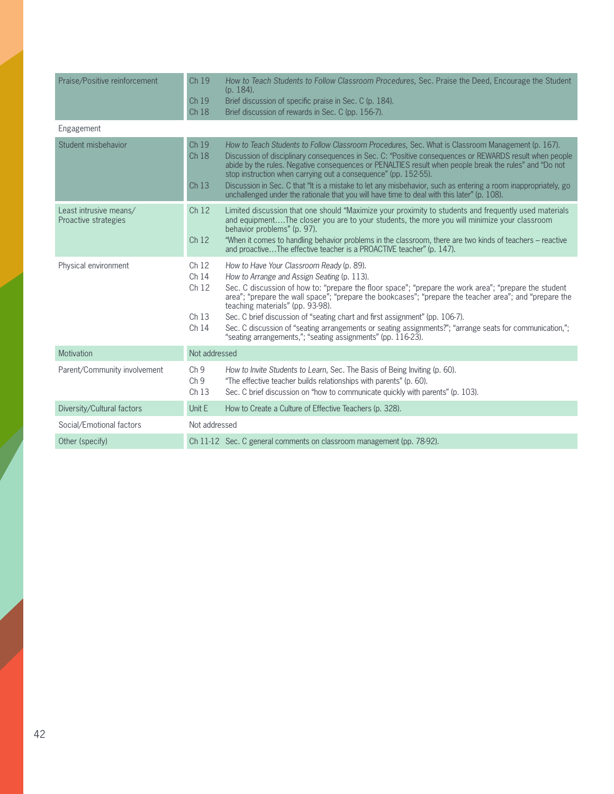| Praise/Positive reinforcement                  | Ch 19<br>Ch 19<br>Ch 18                                                    | How to Teach Students to Follow Classroom Procedures, Sec. Praise the Deed, Encourage the Student<br>$(p. 184)$ .<br>Brief discussion of specific praise in Sec. C (p. 184).<br>Brief discussion of rewards in Sec. C (pp. 156-7).                                                                                                                                                                                                                                                                                                                                                                          |
|------------------------------------------------|----------------------------------------------------------------------------|-------------------------------------------------------------------------------------------------------------------------------------------------------------------------------------------------------------------------------------------------------------------------------------------------------------------------------------------------------------------------------------------------------------------------------------------------------------------------------------------------------------------------------------------------------------------------------------------------------------|
| Engagement                                     |                                                                            |                                                                                                                                                                                                                                                                                                                                                                                                                                                                                                                                                                                                             |
| Student misbehavior                            | Ch 19<br>Ch 18<br>Ch 13                                                    | How to Teach Students to Follow Classroom Procedures, Sec. What is Classroom Management (p. 167).<br>Discussion of disciplinary consequences in Sec. C: "Positive consequences or REWARDS result when people<br>abide by the rules. Negative consequences or PENALTIES result when people break the rules" and "Do not<br>stop instruction when carrying out a consequence" (pp. 152-55).<br>Discussion in Sec. C that "It is a mistake to let any misbehavior, such as entering a room inappropriately, go<br>unchallenged under the rationale that you will have time to deal with this later" (p. 108).  |
| Least intrusive means/<br>Proactive strategies | Ch <sub>12</sub><br>Ch <sub>12</sub>                                       | Limited discussion that one should "Maximize your proximity to students and frequently used materials<br>and equipmentThe closer you are to your students, the more you will minimize your classroom<br>behavior problems" (p. 97).<br>"When it comes to handling behavior problems in the classroom, there are two kinds of teachers – reactive<br>and proactiveThe effective teacher is a PROACTIVE teacher" (p. 147).                                                                                                                                                                                    |
| Physical environment                           | Ch <sub>12</sub><br>Ch 14<br>Ch 12<br>Ch <sub>13</sub><br>Ch <sub>14</sub> | How to Have Your Classroom Ready (p. 89).<br>How to Arrange and Assign Seating (p. 113).<br>Sec. C discussion of how to: "prepare the floor space"; "prepare the work area"; "prepare the student<br>area"; "prepare the wall space"; "prepare the bookcases"; "prepare the teacher area"; and "prepare the<br>teaching materials" (pp. 93-98).<br>Sec. C brief discussion of "seating chart and first assignment" (pp. 106-7).<br>Sec. C discussion of "seating arrangements or seating assignments?"; "arrange seats for communication,";<br>"seating arrangements,"; "seating assignments" (pp. 116-23). |
| Motivation                                     | Not addressed                                                              |                                                                                                                                                                                                                                                                                                                                                                                                                                                                                                                                                                                                             |
| Parent/Community involvement                   | Ch <sub>9</sub><br>Ch <sub>9</sub><br>Ch 13                                | How to Invite Students to Learn, Sec. The Basis of Being Inviting (p. 60).<br>"The effective teacher builds relationships with parents" (p. 60).<br>Sec. C brief discussion on "how to communicate quickly with parents" (p. 103).                                                                                                                                                                                                                                                                                                                                                                          |
| Diversity/Cultural factors                     | Unit E                                                                     | How to Create a Culture of Effective Teachers (p. 328).                                                                                                                                                                                                                                                                                                                                                                                                                                                                                                                                                     |
| Social/Emotional factors                       | Not addressed                                                              |                                                                                                                                                                                                                                                                                                                                                                                                                                                                                                                                                                                                             |
| Other (specify)                                |                                                                            | Ch 11-12 Sec. C general comments on classroom management (pp. 78-92).                                                                                                                                                                                                                                                                                                                                                                                                                                                                                                                                       |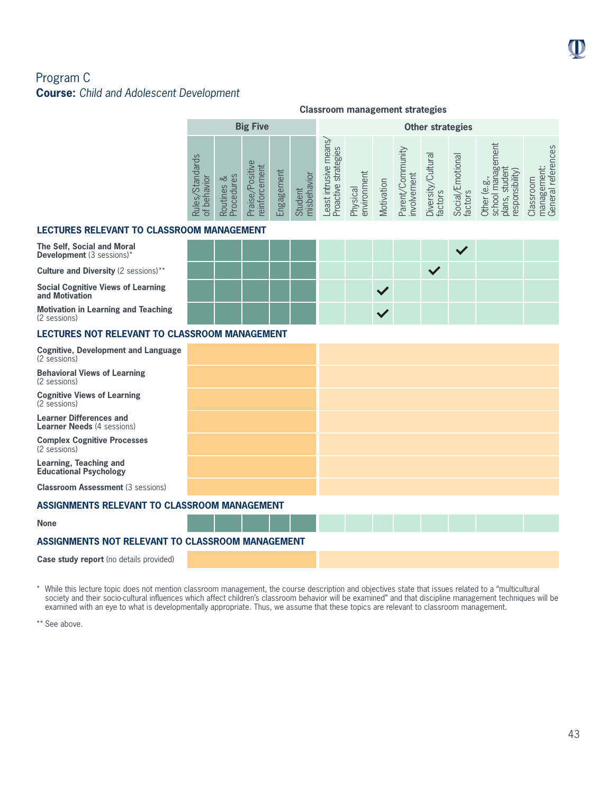# Program C **Course:** *Child and Adolescent Development*

|                                              |                               |                                                                      |            |                                  | <b>Classroom management strategies</b>                    |                         |            |                                    |                                      |                                              |                                                                                                        |                                                                      |  |  |
|----------------------------------------------|-------------------------------|----------------------------------------------------------------------|------------|----------------------------------|-----------------------------------------------------------|-------------------------|------------|------------------------------------|--------------------------------------|----------------------------------------------|--------------------------------------------------------------------------------------------------------|----------------------------------------------------------------------|--|--|
|                                              |                               | <b>Big Five</b>                                                      |            |                                  |                                                           | <b>Other strategies</b> |            |                                    |                                      |                                              |                                                                                                        |                                                                      |  |  |
| $\circ$<br>Standard<br>es,<br>$\sigma$<br>Ru | ΘS<br>ವ<br>ocedur<br>Routines | ent<br>Positiw<br>Ē<br>aise<br>infor<br>$\overline{\mathtt{\omega}}$ | Engagement | vior<br>nisbeha<br>ent<br>ᅙ<br>ō | nean<br>ategies<br>usive<br>Str.<br>roactive<br>宫<br>east | environment<br>Physical | Motivation | $\n  n$<br>involvement<br>Parent/C | ultural<br>sity,<br>factors<br>Diver | notional<br><b>Social/E</b><br>ပ္ပ<br>factor | ent<br>Φ<br>ōι<br>sibility)<br><b>b</b><br>$\overline{e}$<br>espor<br>school<br><b>Other</b><br>plans, | ces<br>refe<br>Classroom<br>ಹಿ<br>$\overline{\sigma}$<br>Gener<br>ШĐ |  |  |

### **LECTURES RELEVANT TO CLASSROOM MANAGEMENT**

**The Self, Social and Moral Development** (3 sessions)\*

**and Motivation**

(2 sessions)

 $\checkmark$ **Culture and Diversity** (2 sessions)\*\*  $\checkmark$ **Social Cognitive Views of Learning Motivation in Learning and Teaching**

### **LECTURES NOT RELEVANT TO CLASSROOM MANAGEMENT**

| <b>Cognitive, Development and Language</b><br>(2 sessions)          |  |  |  |  |
|---------------------------------------------------------------------|--|--|--|--|
| <b>Behavioral Views of Learning</b><br>(2 sessions)                 |  |  |  |  |
| <b>Cognitive Views of Learning</b><br>(2 sessions)                  |  |  |  |  |
| <b>Learner Differences and</b><br><b>Learner Needs (4 sessions)</b> |  |  |  |  |
| <b>Complex Cognitive Processes</b><br>(2 sessions)                  |  |  |  |  |
| Learning, Teaching and<br><b>Educational Psychology</b>             |  |  |  |  |
| <b>Classroom Assessment (3 sessions)</b>                            |  |  |  |  |
| ASSIGNMENTS RELEVANT TO CLASSROOM MANAGEMENT                        |  |  |  |  |
| <b>None</b>                                                         |  |  |  |  |
| ASSIGNMENTS NOT RELEVANT TO CLASSROOM MANAGEMENT                    |  |  |  |  |
| <b>Case study report</b> (no details provided)                      |  |  |  |  |

\* While this lecture topic does not mention classroom management, the course description and objectives state that issues related to a "multicultural society and their socio-cultural influences which affect children's classroom behavior will be examined" and that discipline management techniques will be examined with an eye to what is developmentally appropriate. Thus, we assume that these topics are relevant to classroom management.

\*\* See above.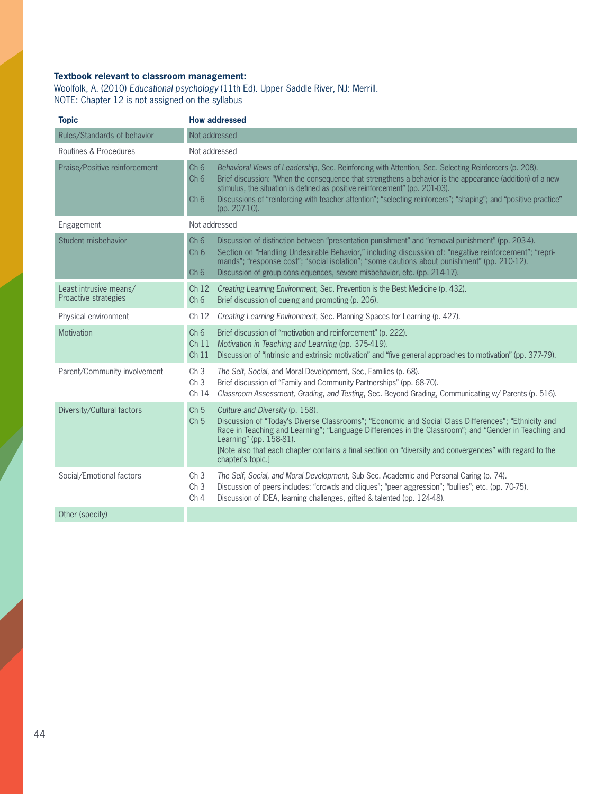# **Textbook relevant to classroom management:**

Woolfolk, A. (2010) *Educational psychology* (11th Ed). Upper Saddle River, NJ: Merrill. NOTE: Chapter 12 is not assigned on the syllabus

| <b>Topic</b>                                   |                                                         | <b>How addressed</b>                                                                                                                                                                                                                                                                                                                                                                                                                   |
|------------------------------------------------|---------------------------------------------------------|----------------------------------------------------------------------------------------------------------------------------------------------------------------------------------------------------------------------------------------------------------------------------------------------------------------------------------------------------------------------------------------------------------------------------------------|
| Rules/Standards of behavior                    |                                                         | Not addressed                                                                                                                                                                                                                                                                                                                                                                                                                          |
| Routines & Procedures                          |                                                         | Not addressed                                                                                                                                                                                                                                                                                                                                                                                                                          |
| Praise/Positive reinforcement                  | Ch <sub>6</sub><br>Ch <sub>6</sub><br>Ch <sub>6</sub>   | Behavioral Views of Leadership, Sec. Reinforcing with Attention, Sec. Selecting Reinforcers (p. 208).<br>Brief discussion: "When the consequence that strengthens a behavior is the appearance (addition) of a new<br>stimulus, the situation is defined as positive reinforcement" (pp. 201-03).<br>Discussions of "reinforcing with teacher attention"; "selecting reinforcers"; "shaping"; and "positive practice"<br>(pp. 207-10). |
| Engagement                                     |                                                         | Not addressed                                                                                                                                                                                                                                                                                                                                                                                                                          |
| Student misbehavior                            | Ch <sub>6</sub><br>Ch <sub>6</sub><br>Ch <sub>6</sub>   | Discussion of distinction between "presentation punishment" and "removal punishment" (pp. 203-4).<br>Section on "Handling Undesirable Behavior," including discussion of: "negative reinforcement"; "repri-<br>mands"; "response cost"; "social isolation"; "some cautions about punishment" (pp. 210-12).<br>Discussion of group cons equences, severe misbehavior, etc. (pp. 214-17).                                                |
| Least intrusive means/<br>Proactive strategies | Ch12<br>Ch 6                                            | Creating Learning Environment, Sec. Prevention is the Best Medicine (p. 432).<br>Brief discussion of cueing and prompting (p. 206).                                                                                                                                                                                                                                                                                                    |
| Physical environment                           | Ch <sub>12</sub>                                        | Creating Learning Environment, Sec. Planning Spaces for Learning (p. 427).                                                                                                                                                                                                                                                                                                                                                             |
| Motivation                                     | Ch <sub>6</sub><br>Ch <sub>11</sub><br>Ch <sub>11</sub> | Brief discussion of "motivation and reinforcement" (p. 222).<br>Motivation in Teaching and Learning (pp. 375-419).<br>Discussion of "intrinsic and extrinsic motivation" and "five general approaches to motivation" (pp. 377-79).                                                                                                                                                                                                     |
| Parent/Community involvement                   | Ch <sub>3</sub><br>Ch <sub>3</sub><br>Ch <sub>14</sub>  | The Self, Social, and Moral Development, Sec, Families (p. 68).<br>Brief discussion of "Family and Community Partnerships" (pp. 68-70).<br>Classroom Assessment, Grading, and Testing, Sec. Beyond Grading, Communicating w/ Parents (p. 516).                                                                                                                                                                                         |
| Diversity/Cultural factors                     | Ch <sub>5</sub><br>Ch <sub>5</sub>                      | Culture and Diversity (p. 158).<br>Discussion of "Today's Diverse Classrooms"; "Economic and Social Class Differences"; "Ethnicity and<br>Race in Teaching and Learning"; "Language Differences in the Classroom"; and "Gender in Teaching and<br>Learning" (pp. 158-81).<br>[Note also that each chapter contains a final section on "diversity and convergences" with regard to the<br>chapter's topic.]                             |
| Social/Emotional factors                       | Ch <sub>3</sub><br>Ch <sub>3</sub><br>Ch <sub>4</sub>   | The Self, Social, and Moral Development, Sub Sec. Academic and Personal Caring (p. 74).<br>Discussion of peers includes: "crowds and cliques"; "peer aggression"; "bullies"; etc. (pp. 70-75).<br>Discussion of IDEA, learning challenges, gifted & talented (pp. 124-48).                                                                                                                                                             |
| Other (specify)                                |                                                         |                                                                                                                                                                                                                                                                                                                                                                                                                                        |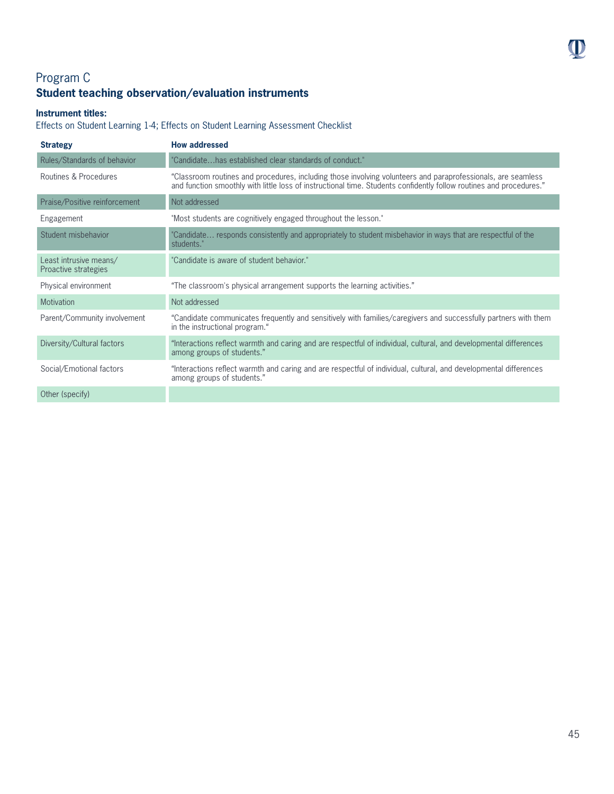# Program C **Student teaching observation/evaluation instruments**

### **Instrument titles:**

Effects on Student Learning 1-4; Effects on Student Learning Assessment Checklist

| <b>Strategy</b>                                | <b>How addressed</b>                                                                                                                                                                                                                |
|------------------------------------------------|-------------------------------------------------------------------------------------------------------------------------------------------------------------------------------------------------------------------------------------|
| Rules/Standards of behavior                    | "Candidatehas established clear standards of conduct."                                                                                                                                                                              |
| Routines & Procedures                          | "Classroom routines and procedures, including those involving volunteers and paraprofessionals, are seamless<br>and function smoothly with little loss of instructional time. Students confidently follow routines and procedures." |
| Praise/Positive reinforcement                  | Not addressed                                                                                                                                                                                                                       |
| Engagement                                     | "Most students are cognitively engaged throughout the lesson."                                                                                                                                                                      |
| Student misbehavior                            | "Candidate responds consistently and appropriately to student misbehavior in ways that are respectful of the<br>students."                                                                                                          |
| Least intrusive means/<br>Proactive strategies | "Candidate is aware of student behavior."                                                                                                                                                                                           |
| Physical environment                           | "The classroom's physical arrangement supports the learning activities."                                                                                                                                                            |
| Motivation                                     | Not addressed                                                                                                                                                                                                                       |
| Parent/Community involvement                   | "Candidate communicates frequently and sensitively with families/caregivers and successfully partners with them<br>in the instructional program."                                                                                   |
| Diversity/Cultural factors                     | "Interactions reflect warmth and caring and are respectful of individual, cultural, and developmental differences<br>among groups of students."                                                                                     |
| Social/Emotional factors                       | "Interactions reflect warmth and caring and are respectful of individual, cultural, and developmental differences<br>among groups of students."                                                                                     |
| Other (specify)                                |                                                                                                                                                                                                                                     |

 $\mathbf 0$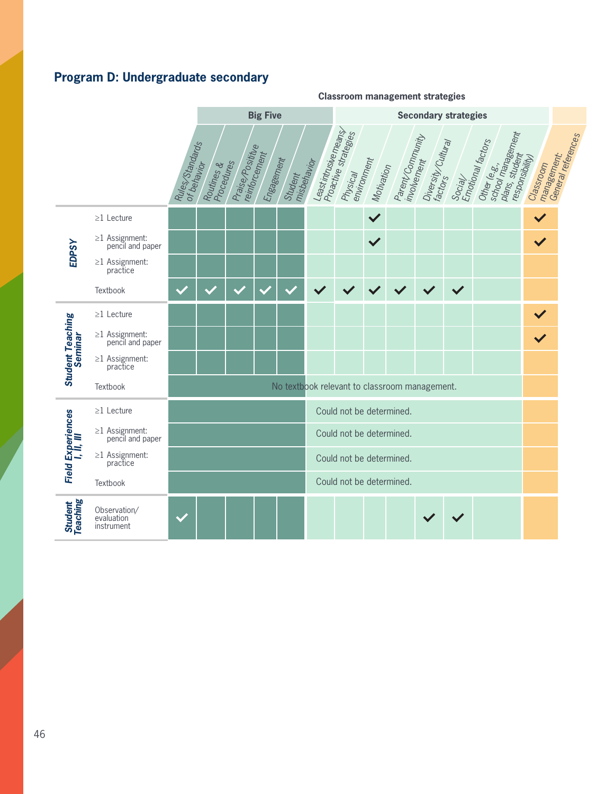# **Program D: Undergraduate secondary**

#### **Classroom management strategies Big Five Secondary strategies** Least intrusive means<br>Proactive strategies<br>Physical<br>emisical Emotional factors Other <sup>can dectors</sup><br>school man<br>plans, student ment<br>responsibility)<br>Considiation Parent/Community<br><sup>Involve</sup>nent<br>p manajemom<br>Genagement:<br>General references 1 Praise/Posititue Diversity/Cultural Rules/Standards<br>of behavior<br>c Physical<br>environment reinforcement Engagement Classroom Motivation Student<br>misbehavior<br>, Routines &<br>Procedures<br>Cedures Social/  $\checkmark$  $\checkmark$ ≥1 Lecture ≥1 Assignment:  $\checkmark$ *EDPSY* pencil and paper ≥1 Assignment: practice Textbook  $\checkmark$  $\checkmark$  $\checkmark$  $\checkmark$ ≥1 Lecture  $\checkmark$ *Student Teaching*  ≥1 Assignment: **2013** *Seminar* pencil and paper ≥1 Assignment: practice No textbook relevant to classroom management.Textbook *I, II, III* ≥1 Lecture Could not be determined. *Field Experiences*  ≥1 Assignment: Could not be determined. pencil and paper ≥1 Assignment: Could not be determined. practice Could not be determined. Textbook *Student Teaching* Observation/ evaluation instrument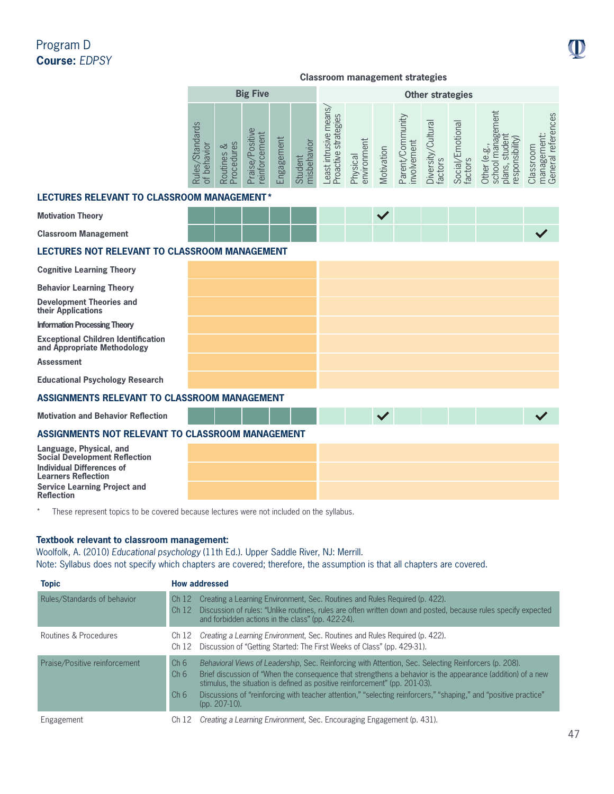# Program D **Course:** *EDPSY*

### **Classroom management strategies**

|                                                                                                                                                                          | <b>Big Five</b>                |                          |                                         |            |                        | <b>Other strategies</b>                      |                         |              |                                 |                                      |                             |                                                                        |                                                |
|--------------------------------------------------------------------------------------------------------------------------------------------------------------------------|--------------------------------|--------------------------|-----------------------------------------|------------|------------------------|----------------------------------------------|-------------------------|--------------|---------------------------------|--------------------------------------|-----------------------------|------------------------------------------------------------------------|------------------------------------------------|
|                                                                                                                                                                          | Rules/Standards<br>of behavior | Procedures<br>Routines & | Praise/Positive<br><i>reinforcement</i> | Engagement | misbehavior<br>Student | east intrusive means<br>Proactive strategies | environment<br>Physical | Motivation   | Parent/Community<br>involvement | Diversity/Cultural<br><b>factors</b> | Social/Emotional<br>factors | school management<br>plans, student<br>responsibility)<br>Other (e.g., | General references<br>management:<br>Classroom |
| <b>LECTURES RELEVANT TO CLASSROOM MANAGEMENT*</b>                                                                                                                        |                                |                          |                                         |            |                        |                                              |                         |              |                                 |                                      |                             |                                                                        |                                                |
| <b>Motivation Theory</b>                                                                                                                                                 |                                |                          |                                         |            |                        |                                              |                         | $\checkmark$ |                                 |                                      |                             |                                                                        |                                                |
| <b>Classroom Management</b>                                                                                                                                              |                                |                          |                                         |            |                        |                                              |                         |              |                                 |                                      |                             |                                                                        | $\checkmark$                                   |
| <b>LECTURES NOT RELEVANT TO CLASSROOM MANAGEMENT</b>                                                                                                                     |                                |                          |                                         |            |                        |                                              |                         |              |                                 |                                      |                             |                                                                        |                                                |
| <b>Cognitive Learning Theory</b>                                                                                                                                         |                                |                          |                                         |            |                        |                                              |                         |              |                                 |                                      |                             |                                                                        |                                                |
| <b>Behavior Learning Theory</b>                                                                                                                                          |                                |                          |                                         |            |                        |                                              |                         |              |                                 |                                      |                             |                                                                        |                                                |
| <b>Development Theories and</b><br>their Applications                                                                                                                    |                                |                          |                                         |            |                        |                                              |                         |              |                                 |                                      |                             |                                                                        |                                                |
| <b>Information Processing Theory</b>                                                                                                                                     |                                |                          |                                         |            |                        |                                              |                         |              |                                 |                                      |                             |                                                                        |                                                |
| <b>Exceptional Children Identification</b><br>and Appropriate Methodology                                                                                                |                                |                          |                                         |            |                        |                                              |                         |              |                                 |                                      |                             |                                                                        |                                                |
| <b>Assessment</b>                                                                                                                                                        |                                |                          |                                         |            |                        |                                              |                         |              |                                 |                                      |                             |                                                                        |                                                |
| <b>Educational Psychology Research</b>                                                                                                                                   |                                |                          |                                         |            |                        |                                              |                         |              |                                 |                                      |                             |                                                                        |                                                |
| <b>ASSIGNMENTS RELEVANT TO CLASSROOM MANAGEMENT</b>                                                                                                                      |                                |                          |                                         |            |                        |                                              |                         |              |                                 |                                      |                             |                                                                        |                                                |
| <b>Motivation and Behavior Reflection</b>                                                                                                                                |                                |                          |                                         |            |                        |                                              |                         | $\checkmark$ |                                 |                                      |                             |                                                                        |                                                |
| ASSIGNMENTS NOT RELEVANT TO CLASSROOM MANAGEMENT                                                                                                                         |                                |                          |                                         |            |                        |                                              |                         |              |                                 |                                      |                             |                                                                        |                                                |
| Language, Physical, and<br><b>Social Development Reflection</b><br><b>Individual Differences of</b><br><b>Learners Reflection</b><br><b>Service Learning Project and</b> |                                |                          |                                         |            |                        |                                              |                         |              |                                 |                                      |                             |                                                                        |                                                |
| <b>Reflection</b>                                                                                                                                                        |                                |                          |                                         |            |                        |                                              |                         |              |                                 |                                      |                             |                                                                        |                                                |

\* These represent topics to be covered because lectures were not included on the syllabus.

### **Textbook relevant to classroom management:**

Woolfolk, A. (2010) *Educational psychology* (11th Ed.). Upper Saddle River, NJ: Merrill. Note: Syllabus does not specify which chapters are covered; therefore, the assumption is that all chapters are covered.

| <b>Topic</b>                  | <b>How addressed</b>                                                                                                                                                                                                                                                                                                                                                                                                                                                                                |  |
|-------------------------------|-----------------------------------------------------------------------------------------------------------------------------------------------------------------------------------------------------------------------------------------------------------------------------------------------------------------------------------------------------------------------------------------------------------------------------------------------------------------------------------------------------|--|
| Rules/Standards of behavior   | Creating a Learning Environment, Sec. Routines and Rules Required (p. 422).<br>Ch12<br>Discussion of rules: "Unlike routines, rules are often written down and posted, because rules specify expected<br>Ch <sub>12</sub><br>and forbidden actions in the class" (pp. 422-24).                                                                                                                                                                                                                      |  |
| Routines & Procedures         | Creating a Learning Environment, Sec. Routines and Rules Required (p. 422).<br>Ch 12<br>Discussion of "Getting Started: The First Weeks of Class" (pp. 429-31).<br>Ch <sub>12</sub>                                                                                                                                                                                                                                                                                                                 |  |
| Praise/Positive reinforcement | Behavioral Views of Leadership, Sec. Reinforcing with Attention, Sec. Selecting Reinforcers (p. 208).<br>Ch <sub>6</sub><br>Ch <sub>6</sub><br>Brief discussion of "When the consequence that strengthens a behavior is the appearance (addition) of a new<br>stimulus, the situation is defined as positive reinforcement" (pp. 201-03).<br>Discussions of "reinforcing with teacher attention," "selecting reinforcers," "shaping," and "positive practice"<br>Ch <sub>6</sub><br>$(pp. 207-10).$ |  |
| Engagement                    | Creating a Learning Environment, Sec. Encouraging Engagement (p. 431).<br>Ch 12                                                                                                                                                                                                                                                                                                                                                                                                                     |  |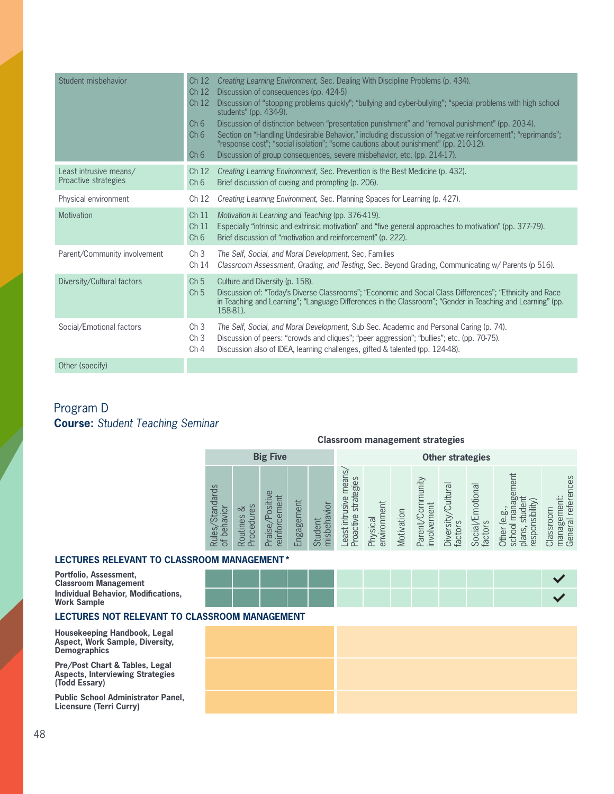| Student misbehavior                            | Ch <sub>12</sub><br>Ch <sub>12</sub><br>Ch <sub>12</sub><br>Ch6<br>Ch 6<br>Ch6 | Creating Learning Environment, Sec. Dealing With Discipline Problems (p. 434).<br>Discussion of consequences (pp. 424-5)<br>Discussion of "stopping problems quickly"; "bullying and cyber-bullying"; "special problems with high school<br>students" (pp. 434-9).<br>Discussion of distinction between "presentation punishment" and "removal punishment" (pp. 203-4).<br>Section on "Handling Undesirable Behavior," including discussion of "negative reinforcement"; "reprimands";<br>"response cost"; "social isolation"; "some cautions about punishment" (pp. 210-12).<br>Discussion of group consequences, severe misbehavior, etc. (pp. 214-17). |
|------------------------------------------------|--------------------------------------------------------------------------------|-----------------------------------------------------------------------------------------------------------------------------------------------------------------------------------------------------------------------------------------------------------------------------------------------------------------------------------------------------------------------------------------------------------------------------------------------------------------------------------------------------------------------------------------------------------------------------------------------------------------------------------------------------------|
| Least intrusive means/<br>Proactive strategies | Ch <sub>12</sub><br>Ch 6                                                       | Creating Learning Environment, Sec. Prevention is the Best Medicine (p. 432).<br>Brief discussion of cueing and prompting (p. 206).                                                                                                                                                                                                                                                                                                                                                                                                                                                                                                                       |
| Physical environment                           | Ch <sub>12</sub>                                                               | Creating Learning Environment, Sec. Planning Spaces for Learning (p. 427).                                                                                                                                                                                                                                                                                                                                                                                                                                                                                                                                                                                |
| Motivation                                     | Ch <sub>11</sub><br>Ch <sub>11</sub><br>Ch 6                                   | Motivation in Learning and Teaching (pp. 376-419).<br>Especially "intrinsic and extrinsic motivation" and "five general approaches to motivation" (pp. 377-79).<br>Brief discussion of "motivation and reinforcement" (p. 222).                                                                                                                                                                                                                                                                                                                                                                                                                           |
| Parent/Community involvement                   | Ch <sub>3</sub><br>Ch 14                                                       | The Self, Social, and Moral Development, Sec, Families<br>Classroom Assessment, Grading, and Testing, Sec. Beyond Grading, Communicating w/ Parents (p 516).                                                                                                                                                                                                                                                                                                                                                                                                                                                                                              |
| Diversity/Cultural factors                     | Ch <sub>5</sub><br>Ch <sub>5</sub>                                             | Culture and Diversity (p. 158).<br>Discussion of: "Today's Diverse Classrooms"; "Economic and Social Class Differences"; "Ethnicity and Race<br>in Teaching and Learning"; "Language Differences in the Classroom"; "Gender in Teaching and Learning" (pp.<br>158-81).                                                                                                                                                                                                                                                                                                                                                                                    |
| Social/Emotional factors                       | Ch <sub>3</sub><br>Ch <sub>3</sub><br>Ch 4                                     | The Self, Social, and Moral Development, Sub Sec. Academic and Personal Caring (p. 74).<br>Discussion of peers: "crowds and cliques"; "peer aggression"; "bullies"; etc. (pp. 70-75).<br>Discussion also of IDEA, learning challenges, gifted & talented (pp. 124-48).                                                                                                                                                                                                                                                                                                                                                                                    |
| Other (specify)                                |                                                                                |                                                                                                                                                                                                                                                                                                                                                                                                                                                                                                                                                                                                                                                           |

# Program D **Course:** *Student Teaching Seminar*

### **Classroom management strategies**

|                                             |                                 | <b>Big Five</b>                                     |                |                        | <b>Other strategies</b>                            |                         |            |                                 |                                 |                             |                                                                                                                         |                                                |  |  |
|---------------------------------------------|---------------------------------|-----------------------------------------------------|----------------|------------------------|----------------------------------------------------|-------------------------|------------|---------------------------------|---------------------------------|-----------------------------|-------------------------------------------------------------------------------------------------------------------------|------------------------------------------------|--|--|
| <b>Standards</b><br>behavior<br>Rules,<br>Ъ | ocedures<br>చ<br>Routines<br>هَ | $\omega$<br>cement<br>Positiv<br>infor<br>aise<br>ഉ | ngagement<br>ш | misbehavior<br>Student | means<br>strategies<br>east intrusive<br>Proactive | environment<br>Physical | Motivation | Parent/Community<br>involvement | Cultura<br>Diversity<br>factors | Social/Emotional<br>factors | ement<br>ಠೂ<br>⊨<br>nsibility)<br>○<br>ρò<br>$\overline{6}$<br>to.<br>respon<br>oodps<br>ns,<br><b>Other</b><br>ಕ<br>ਨੋ | General references<br>management:<br>Classroom |  |  |

### **LECTURES RELEVANT TO CLASSROOM MANAGEMENT\***

| Portfolio, Assessment,<br><b>Classroom Management</b>            |  |  |  |  |  |  |  |
|------------------------------------------------------------------|--|--|--|--|--|--|--|
| <b>Individual Behavior, Modifications,</b><br><b>Work Sample</b> |  |  |  |  |  |  |  |

### **LECTURES NOT RELEVANT TO CLASSROOM MANAGEMENT**

**Housekeeping Handbook, Legal Aspect, Work Sample, Diversity, Demographics**

**Pre/Post Chart & Tables, Legal Aspects, Interviewing Strategies (Todd Essary)**

**Public School Administrator Panel, Licensure (Terri Curry)**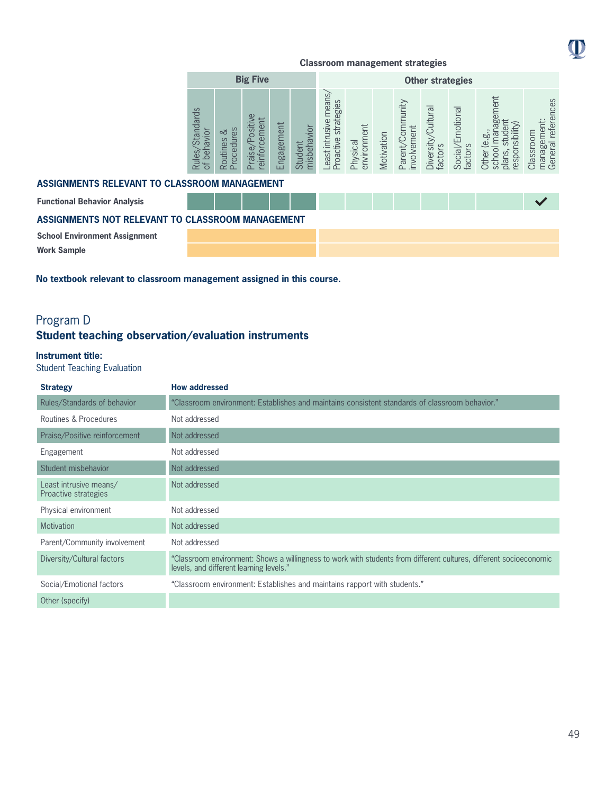

|                                                  | <b>Big Five</b>                           |                             |                                 |            | <b>Other strategies</b> |                                               |                         |            |                                 |                               |                             |                                                                           |                                                |
|--------------------------------------------------|-------------------------------------------|-----------------------------|---------------------------------|------------|-------------------------|-----------------------------------------------|-------------------------|------------|---------------------------------|-------------------------------|-----------------------------|---------------------------------------------------------------------------|------------------------------------------------|
| ASSIGNMENTS RELEVANT TO CLASSROOM MANAGEMENT     | <b>Standards</b><br>of behavior<br>Rules, | Procedures<br>ವ<br>Routines | Praise/Positive<br>einforcement | Engagement | misbehavior<br>Student  | Least intrusive means<br>Proactive strategies | environment<br>Physical | Motivation | Parent/Community<br>involvement | Diversity/Cultural<br>factors | Social/Emotional<br>factors | school management<br>student<br>responsibility)<br>Other (e.g.,<br>plans, | management:<br>General references<br>Classroom |
|                                                  |                                           |                             |                                 |            |                         |                                               |                         |            |                                 |                               |                             |                                                                           |                                                |
| <b>Functional Behavior Analysis</b>              |                                           |                             |                                 |            |                         |                                               |                         |            |                                 |                               |                             |                                                                           |                                                |
| ASSIGNMENTS NOT RELEVANT TO CLASSROOM MANAGEMENT |                                           |                             |                                 |            |                         |                                               |                         |            |                                 |                               |                             |                                                                           |                                                |
| <b>School Environment Assignment</b>             |                                           |                             |                                 |            |                         |                                               |                         |            |                                 |                               |                             |                                                                           |                                                |
| <b>Work Sample</b>                               |                                           |                             |                                 |            |                         |                                               |                         |            |                                 |                               |                             |                                                                           |                                                |

**No textbook relevant to classroom management assigned in this course.**

# Program D **Student teaching observation/evaluation instruments**

### **Instrument title:**

Student Teaching Evaluation

| <b>Strategy</b>                                | <b>How addressed</b>                                                                                                                                          |
|------------------------------------------------|---------------------------------------------------------------------------------------------------------------------------------------------------------------|
| Rules/Standards of behavior                    | "Classroom environment: Establishes and maintains consistent standards of classroom behavior."                                                                |
| Routines & Procedures                          | Not addressed                                                                                                                                                 |
| Praise/Positive reinforcement                  | Not addressed                                                                                                                                                 |
| Engagement                                     | Not addressed                                                                                                                                                 |
| Student misbehavior                            | Not addressed                                                                                                                                                 |
| Least intrusive means/<br>Proactive strategies | Not addressed                                                                                                                                                 |
| Physical environment                           | Not addressed                                                                                                                                                 |
| <b>Motivation</b>                              | Not addressed                                                                                                                                                 |
| Parent/Community involvement                   | Not addressed                                                                                                                                                 |
| Diversity/Cultural factors                     | "Classroom environment: Shows a willingness to work with students from different cultures, different socioeconomic<br>levels, and different learning levels." |
| Social/Emotional factors                       | "Classroom environment: Establishes and maintains rapport with students."                                                                                     |
| Other (specify)                                |                                                                                                                                                               |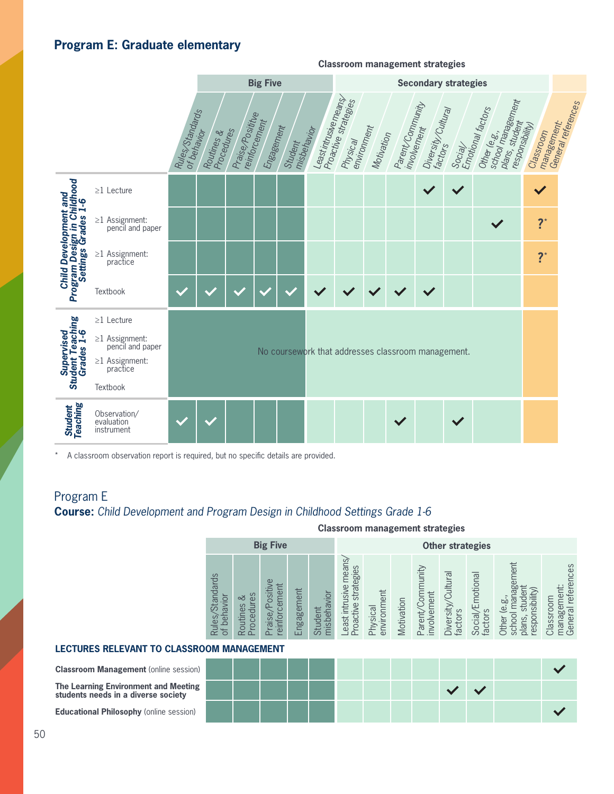# **Program E: Graduate elementary**



A classroom observation report is required, but no specific details are provided.

# Program E

# **Course:** *Child Development and Program Design in Childhood Settings Grade 1-6*

**Classroom management strategies**

|                               | <b>Big Five</b>                  |                                                                                          |                                                  |                                                     |                                                   | <b>Other strategies</b>            |            |                                         |                                                     |                                      |                                                   |                                                                         |  |  |
|-------------------------------|----------------------------------|------------------------------------------------------------------------------------------|--------------------------------------------------|-----------------------------------------------------|---------------------------------------------------|------------------------------------|------------|-----------------------------------------|-----------------------------------------------------|--------------------------------------|---------------------------------------------------|-------------------------------------------------------------------------|--|--|
| Standards<br>avior<br>ð<br>65 | Šε<br>చ<br>$\sigma$<br>ē<br>utin | G)<br>ಠ<br>⋿<br>$\overline{v}$<br>$\overline{\mathtt{\omega}}$<br>Δ<br>Œ<br>S<br>__<br>Φ | ent<br>θĽ<br>60<br>В<br>$\overline{\omega}$<br>ш | jor<br>$\overline{\mathcal{Q}}$<br>hisber<br>ರ<br>≣ | mean:<br>strategies<br>east intrusive<br>roactive | lent<br>environm<br><b>Tysical</b> | Motivation | ytinur<br>involvement<br>ìo.<br>Parenty | $\overline{\sigma}$<br>ultu<br>Diversity<br>factors | motional<br>ပ္ပ<br>Social/<br>factor | a<br>Ba<br>sibility<br>ά<br>logsə<br>ă<br>ئة<br>S | references<br>Classroor<br>$\overline{\sigma}$<br>ōι<br>maria;<br>Gener |  |  |

### **LECTURES RELEVANT TO CLASSROOM MANAGEMENT**

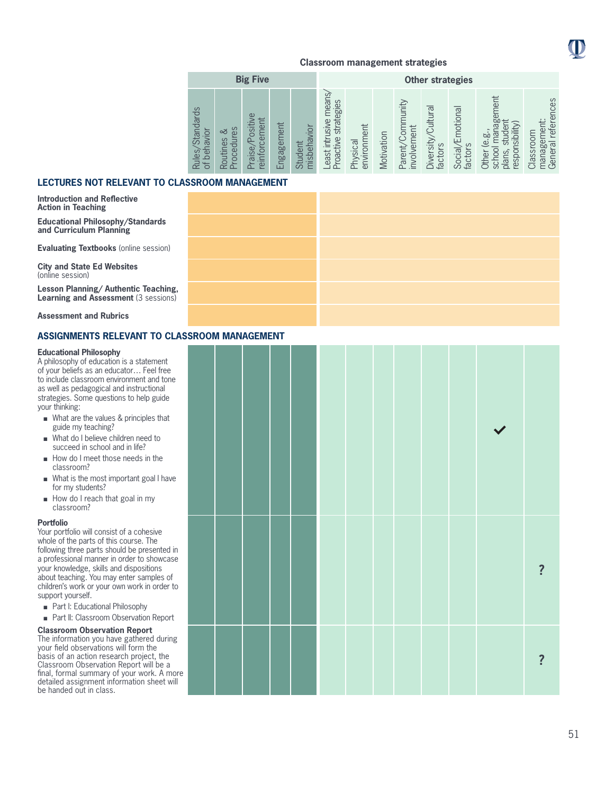

|                                                                   |                                                                 | <b>Big Five</b>                            |                |                        | <b>Other strategies</b>                                |                         |            |                                            |                                 |                                        |                                                                                                            |                                                         |  |
|-------------------------------------------------------------------|-----------------------------------------------------------------|--------------------------------------------|----------------|------------------------|--------------------------------------------------------|-------------------------|------------|--------------------------------------------|---------------------------------|----------------------------------------|------------------------------------------------------------------------------------------------------------|---------------------------------------------------------|--|
| $\sigma$<br>Standard<br>behavior<br>Rules,<br>$\overline{\sigma}$ | es<br>చ<br>rocedur<br>$\sigma$<br>toutine<br>$\sim$<br>$\Omega$ | Positive<br>ement<br>reinforc<br>aise<br>≏ | ngagement<br>ш | misbehavior<br>Student | means<br>strategies<br>intrusive<br>roactive<br>east i | Physical<br>environment | Motivation | arent/Community<br>involvement<br>$\Omega$ | Cultura<br>Diversity<br>factors | motional<br><b>Social/E</b><br>factors | nent<br>nager<br>nsibility)<br>ge<br>σī<br>щs<br>$\overline{0}$<br>respor<br>chool<br>plans,<br>Other<br>ഗ | references<br>θĦ<br>Classroom<br>Φ<br>manage<br>General |  |

### **LECTURES NOT RELEVANT TO CLASSROOM MANAGEMENT**

**Introduction and Reflective Action in Teaching**

**Educational Philosophy/Standards and Curriculum Planning**

**Evaluating Textbooks** (online session)

**City and State Ed Websites** (online session)

**Lesson Planning/ Authentic Teaching, Learning and Assessment (3 sessions)** 

**Assessment and Rubrics**

### **ASSIGNMENTS RELEVANT TO CLASS**

#### **Educational Philosophy**

A philosophy of education is a statement of your beliefs as an educator… Feel free to include classroom environment and tone as well as pedagogical and instructional strategies. Some questions to help guide your thinking:

- **n** What are the values & principles that guide my teaching?
- $\blacksquare$  What do I believe children need to succeed in school and in life?
- $\blacksquare$  How do I meet those needs in the classroom?
- $\blacksquare$  What is the most important goal I have for my students?
- $\blacksquare$  How do I reach that goal in my classroom?

#### **Portfolio**

Your portfolio will consist of a cohesive whole of the parts of this course. The following three parts should be presented in a professional manner in order to showcase your knowledge, skills and dispositions about teaching. You may enter samples of children's work or your own work in order to support yourself.

- Part I: Educational Philosophy
- Part II: Classroom Observation Report

#### **Classroom Observation Report**

The information you have gathered during your field observations will form the basis of an action research project, the Classroom Observation Report will be a final, formal summary of your work. A more detailed assignment information sheet will be handed out in class.

| <b>SROOM MANAGEMENT</b> |  |  |  |  |              |                         |
|-------------------------|--|--|--|--|--------------|-------------------------|
|                         |  |  |  |  | $\checkmark$ |                         |
|                         |  |  |  |  |              | $\overline{\mathbf{?}}$ |
|                         |  |  |  |  |              | $\overline{\mathbf{?}}$ |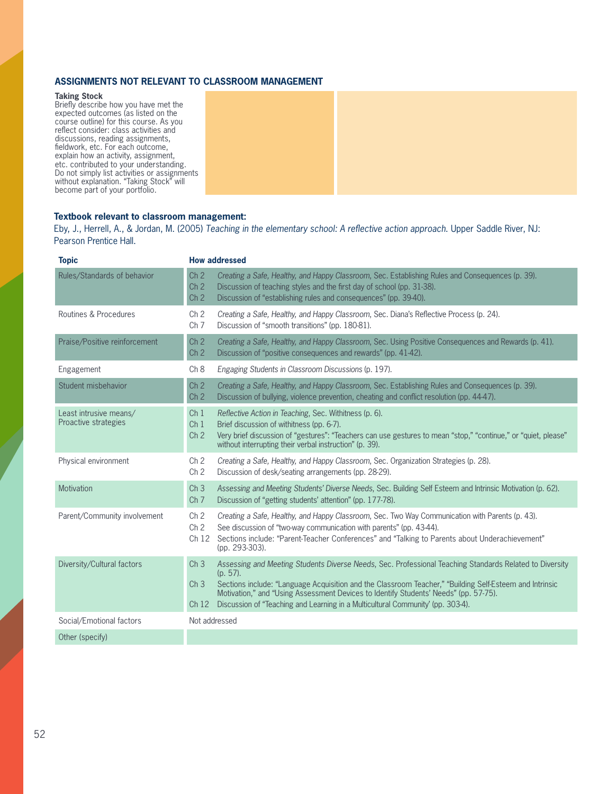### **ASSIGNMENTS NOT RELEVANT TO CLASSROOM MANAGEMENT**

#### **Taking Stock**

Briefly describe how you have met the expected outcomes (as listed on the course outline) for this course. As you reflect consider: class activities and discussions, reading assignments, fieldwork, etc. For each outcome, explain how an activity, assignment, etc. contributed to your understanding. Do not simply list activities or assignments without explanation. "Taking Stock" will become part of your portfolio.

### **Textbook relevant to classroom management:**

Eby, J., Herrell, A., & Jordan, M. (2005) *Teaching in the elementary school: A reflective action approach*. Upper Saddle River, NJ: Pearson Prentice Hall.

| <b>Topic</b>                                   | <b>How addressed</b>                                                                                                                                                                                                                                                                                                                                                                                                                                                   |
|------------------------------------------------|------------------------------------------------------------------------------------------------------------------------------------------------------------------------------------------------------------------------------------------------------------------------------------------------------------------------------------------------------------------------------------------------------------------------------------------------------------------------|
| Rules/Standards of behavior                    | Ch <sub>2</sub><br>Creating a Safe, Healthy, and Happy Classroom, Sec. Establishing Rules and Consequences (p. 39).<br>Discussion of teaching styles and the first day of school (pp. 31-38).<br>Ch <sub>2</sub><br>Ch <sub>2</sub><br>Discussion of "establishing rules and consequences" (pp. 39-40).                                                                                                                                                                |
| Routines & Procedures                          | Ch <sub>2</sub><br>Creating a Safe, Healthy, and Happy Classroom, Sec. Diana's Reflective Process (p. 24).<br>Ch <sub>7</sub><br>Discussion of "smooth transitions" (pp. 180-81).                                                                                                                                                                                                                                                                                      |
| Praise/Positive reinforcement                  | Ch <sub>2</sub><br>Creating a Safe, Healthy, and Happy Classroom, Sec. Using Positive Consequences and Rewards (p. 41).<br>Ch <sub>2</sub><br>Discussion of "positive consequences and rewards" (pp. 41-42).                                                                                                                                                                                                                                                           |
| Engagement                                     | Ch 8<br>Engaging Students in Classroom Discussions (p. 197).                                                                                                                                                                                                                                                                                                                                                                                                           |
| Student misbehavior                            | Ch <sub>2</sub><br>Creating a Safe, Healthy, and Happy Classroom, Sec. Establishing Rules and Consequences (p. 39).<br>Discussion of bullying, violence prevention, cheating and conflict resolution (pp. 44-47).<br>Ch <sub>2</sub>                                                                                                                                                                                                                                   |
| Least intrusive means/<br>Proactive strategies | Ch <sub>1</sub><br>Reflective Action in Teaching, Sec. Withitness (p. 6).<br>Brief discussion of withitness (pp. 6-7).<br>Ch <sub>1</sub><br>Ch <sub>2</sub><br>Very brief discussion of "gestures": "Teachers can use gestures to mean "stop," "continue," or "quiet, please"<br>without interrupting their verbal instruction" (p. 39).                                                                                                                              |
| Physical environment                           | Ch <sub>2</sub><br>Creating a Safe, Healthy, and Happy Classroom, Sec. Organization Strategies (p. 28).<br>Ch <sub>2</sub><br>Discussion of desk/seating arrangements (pp. 28-29).                                                                                                                                                                                                                                                                                     |
| Motivation                                     | Ch <sub>3</sub><br>Assessing and Meeting Students' Diverse Needs, Sec. Building Self Esteem and Intrinsic Motivation (p. 62).<br>Ch <sub>7</sub><br>Discussion of "getting students' attention" (pp. 177-78).                                                                                                                                                                                                                                                          |
| Parent/Community involvement                   | Creating a Safe, Healthy, and Happy Classroom, Sec. Two Way Communication with Parents (p. 43).<br>Ch <sub>2</sub><br>Ch <sub>2</sub><br>See discussion of "two-way communication with parents" (pp. 43-44).<br>Sections include: "Parent-Teacher Conferences" and "Talking to Parents about Underachievement"<br>Ch <sub>12</sub><br>(pp. 293-303).                                                                                                                   |
| Diversity/Cultural factors                     | Assessing and Meeting Students Diverse Needs, Sec. Professional Teaching Standards Related to Diversity<br>Ch <sub>3</sub><br>$(p. 57)$ .<br>Sections include: "Language Acquisition and the Classroom Teacher," "Building Self-Esteem and Intrinsic<br>Ch <sub>3</sub><br>Motivation," and "Using Assessment Devices to Identify Students' Needs" (pp. 57-75).<br>Discussion of "Teaching and Learning in a Multicultural Community' (pp. 303-4).<br>Ch <sub>12</sub> |
| Social/Emotional factors                       | Not addressed                                                                                                                                                                                                                                                                                                                                                                                                                                                          |
| Other (specify)                                |                                                                                                                                                                                                                                                                                                                                                                                                                                                                        |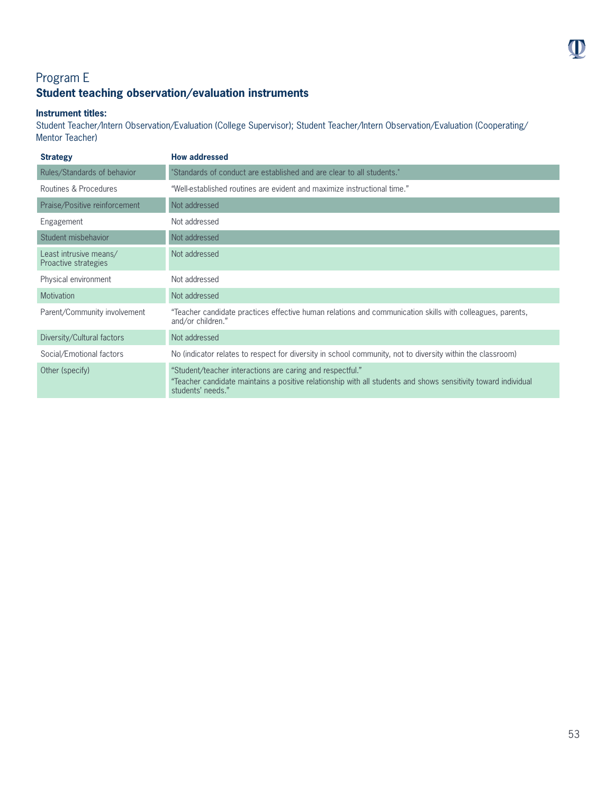# Program E **Student teaching observation/evaluation instruments**

### **Instrument titles:**

Student Teacher/Intern Observation/Evaluation (College Supervisor); Student Teacher/Intern Observation/Evaluation (Cooperating/ Mentor Teacher)

| <b>Strategy</b>                                | <b>How addressed</b>                                                                                                                                                                             |
|------------------------------------------------|--------------------------------------------------------------------------------------------------------------------------------------------------------------------------------------------------|
| Rules/Standards of behavior                    | "Standards of conduct are established and are clear to all students."                                                                                                                            |
| Routines & Procedures                          | "Well-established routines are evident and maximize instructional time."                                                                                                                         |
| Praise/Positive reinforcement                  | Not addressed                                                                                                                                                                                    |
| Engagement                                     | Not addressed                                                                                                                                                                                    |
| Student misbehavior                            | Not addressed                                                                                                                                                                                    |
| Least intrusive means/<br>Proactive strategies | Not addressed                                                                                                                                                                                    |
| Physical environment                           | Not addressed                                                                                                                                                                                    |
| <b>Motivation</b>                              | Not addressed                                                                                                                                                                                    |
| Parent/Community involvement                   | "Teacher candidate practices effective human relations and communication skills with colleagues, parents,<br>and/or children."                                                                   |
| Diversity/Cultural factors                     | Not addressed                                                                                                                                                                                    |
| Social/Emotional factors                       | No (indicator relates to respect for diversity in school community, not to diversity within the classroom)                                                                                       |
| Other (specify)                                | "Student/teacher interactions are caring and respectful."<br>"Teacher candidate maintains a positive relationship with all students and shows sensitivity toward individual<br>students' needs." |

 $\mathbf 0$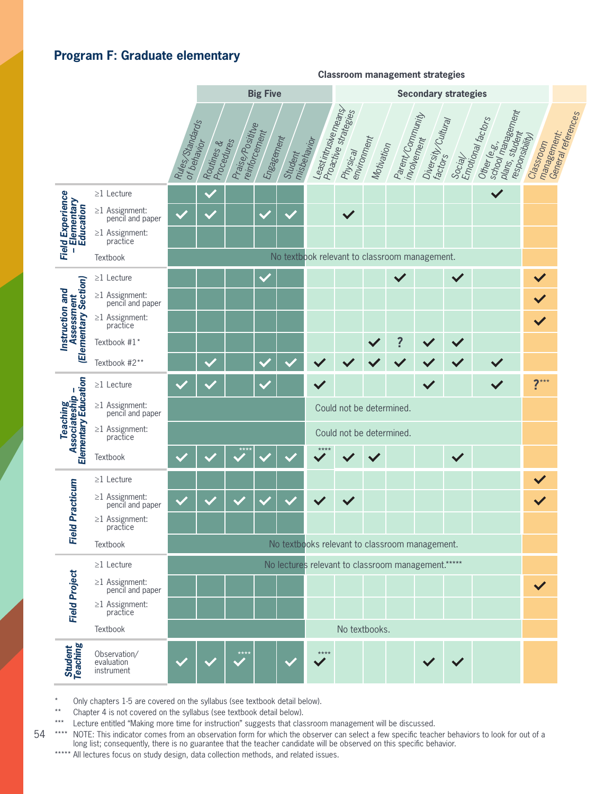# **Program F: Graduate elementary**

| Least intrusive means<br>Proactive strategies<br>school management<br>General references<br>Parent/Community<br>Emotional factors<br>Diversity/Cultural<br>Rules Standards<br>Praise/Posititve<br>reinforcement<br>plans, student<br>management.<br>responsibility)<br>Engagement<br>environment<br>involvement<br>misbehavior<br>Procedures<br>Other (e.g.,<br>Classroom<br>of behavior<br>Routines &<br>Motivation<br>Physical<br>Student<br>$SOc_{ij}/\sqrt{2}$<br>$\checkmark$<br>Field Experience<br>-Elementary<br>Education<br>$\geq$ 1 Lecture<br>$\geq$ 1 Assignment:<br>pencil and paper<br>$\checkmark$<br>$\checkmark$<br>$\geq$ 1 Assignment:<br>practice<br>No textbook relevant to classroom management.<br>Textbook<br>$\checkmark$<br>$\checkmark$<br>$\checkmark$<br>$\geq$ 1 Lecture<br>(Elementary Section)<br>Instruction and<br>$\geq$ 1 Assignment:<br>pencil and paper<br>Assessment<br>$\checkmark$<br>$\geq$ 1 Assignment:<br>practice<br>$\checkmark$<br>$\ddot{?}$<br>Textbook #1*<br>Textbook #2**<br>$\checkmark$<br>$\checkmark$<br>Teaching<br>Associateship –<br>Elementary Education<br>$2***$<br>$\checkmark$<br>$\checkmark$<br>$\checkmark$<br>$\geq$ 1 Lecture<br>$\geq$ 1 Assignment:<br>pencil and paper<br>Could not be determined.<br>$\geq$ 1 Assignment: practice<br>Could not be determined.<br>$\checkmark$<br>Textbook<br>$\geq$ 1 Lecture<br>Id Practicum<br>$\geq$ 1 Assignment:<br>$\checkmark$<br>$\checkmark$<br>pencil and paper<br>$\geq$ 1 Assignment:<br>practice<br>۴e<br>No textbooks relevant to classroom management.<br>Textbook<br>No lectures relevant to classroom management.*****<br>$\geq$ 1 Lecture<br><b>Field Project</b><br>$\geq$ 1 Assignment:<br>pencil and paper<br>$\checkmark$<br>$\geq$ 1 Assignment:<br>practice<br>No textbooks.<br>Textbook<br><b>Student</b><br>Teaching<br>Observation/<br>$***$<br>evaluation<br>instrument |  |  |  | <b>Big Five</b> |  |  | <b>Secondary strategies</b> |  |  |  |  |  |  |  |
|-----------------------------------------------------------------------------------------------------------------------------------------------------------------------------------------------------------------------------------------------------------------------------------------------------------------------------------------------------------------------------------------------------------------------------------------------------------------------------------------------------------------------------------------------------------------------------------------------------------------------------------------------------------------------------------------------------------------------------------------------------------------------------------------------------------------------------------------------------------------------------------------------------------------------------------------------------------------------------------------------------------------------------------------------------------------------------------------------------------------------------------------------------------------------------------------------------------------------------------------------------------------------------------------------------------------------------------------------------------------------------------------------------------------------------------------------------------------------------------------------------------------------------------------------------------------------------------------------------------------------------------------------------------------------------------------------------------------------------------------------------------------------------------------------------------------------------------------------------------------------------------------------------------------|--|--|--|-----------------|--|--|-----------------------------|--|--|--|--|--|--|--|
|                                                                                                                                                                                                                                                                                                                                                                                                                                                                                                                                                                                                                                                                                                                                                                                                                                                                                                                                                                                                                                                                                                                                                                                                                                                                                                                                                                                                                                                                                                                                                                                                                                                                                                                                                                                                                                                                                                                 |  |  |  |                 |  |  |                             |  |  |  |  |  |  |  |
|                                                                                                                                                                                                                                                                                                                                                                                                                                                                                                                                                                                                                                                                                                                                                                                                                                                                                                                                                                                                                                                                                                                                                                                                                                                                                                                                                                                                                                                                                                                                                                                                                                                                                                                                                                                                                                                                                                                 |  |  |  |                 |  |  |                             |  |  |  |  |  |  |  |
|                                                                                                                                                                                                                                                                                                                                                                                                                                                                                                                                                                                                                                                                                                                                                                                                                                                                                                                                                                                                                                                                                                                                                                                                                                                                                                                                                                                                                                                                                                                                                                                                                                                                                                                                                                                                                                                                                                                 |  |  |  |                 |  |  |                             |  |  |  |  |  |  |  |
|                                                                                                                                                                                                                                                                                                                                                                                                                                                                                                                                                                                                                                                                                                                                                                                                                                                                                                                                                                                                                                                                                                                                                                                                                                                                                                                                                                                                                                                                                                                                                                                                                                                                                                                                                                                                                                                                                                                 |  |  |  |                 |  |  |                             |  |  |  |  |  |  |  |
|                                                                                                                                                                                                                                                                                                                                                                                                                                                                                                                                                                                                                                                                                                                                                                                                                                                                                                                                                                                                                                                                                                                                                                                                                                                                                                                                                                                                                                                                                                                                                                                                                                                                                                                                                                                                                                                                                                                 |  |  |  |                 |  |  |                             |  |  |  |  |  |  |  |
|                                                                                                                                                                                                                                                                                                                                                                                                                                                                                                                                                                                                                                                                                                                                                                                                                                                                                                                                                                                                                                                                                                                                                                                                                                                                                                                                                                                                                                                                                                                                                                                                                                                                                                                                                                                                                                                                                                                 |  |  |  |                 |  |  |                             |  |  |  |  |  |  |  |
|                                                                                                                                                                                                                                                                                                                                                                                                                                                                                                                                                                                                                                                                                                                                                                                                                                                                                                                                                                                                                                                                                                                                                                                                                                                                                                                                                                                                                                                                                                                                                                                                                                                                                                                                                                                                                                                                                                                 |  |  |  |                 |  |  |                             |  |  |  |  |  |  |  |
|                                                                                                                                                                                                                                                                                                                                                                                                                                                                                                                                                                                                                                                                                                                                                                                                                                                                                                                                                                                                                                                                                                                                                                                                                                                                                                                                                                                                                                                                                                                                                                                                                                                                                                                                                                                                                                                                                                                 |  |  |  |                 |  |  |                             |  |  |  |  |  |  |  |
|                                                                                                                                                                                                                                                                                                                                                                                                                                                                                                                                                                                                                                                                                                                                                                                                                                                                                                                                                                                                                                                                                                                                                                                                                                                                                                                                                                                                                                                                                                                                                                                                                                                                                                                                                                                                                                                                                                                 |  |  |  |                 |  |  |                             |  |  |  |  |  |  |  |
|                                                                                                                                                                                                                                                                                                                                                                                                                                                                                                                                                                                                                                                                                                                                                                                                                                                                                                                                                                                                                                                                                                                                                                                                                                                                                                                                                                                                                                                                                                                                                                                                                                                                                                                                                                                                                                                                                                                 |  |  |  |                 |  |  |                             |  |  |  |  |  |  |  |
|                                                                                                                                                                                                                                                                                                                                                                                                                                                                                                                                                                                                                                                                                                                                                                                                                                                                                                                                                                                                                                                                                                                                                                                                                                                                                                                                                                                                                                                                                                                                                                                                                                                                                                                                                                                                                                                                                                                 |  |  |  |                 |  |  |                             |  |  |  |  |  |  |  |
|                                                                                                                                                                                                                                                                                                                                                                                                                                                                                                                                                                                                                                                                                                                                                                                                                                                                                                                                                                                                                                                                                                                                                                                                                                                                                                                                                                                                                                                                                                                                                                                                                                                                                                                                                                                                                                                                                                                 |  |  |  |                 |  |  |                             |  |  |  |  |  |  |  |
|                                                                                                                                                                                                                                                                                                                                                                                                                                                                                                                                                                                                                                                                                                                                                                                                                                                                                                                                                                                                                                                                                                                                                                                                                                                                                                                                                                                                                                                                                                                                                                                                                                                                                                                                                                                                                                                                                                                 |  |  |  |                 |  |  |                             |  |  |  |  |  |  |  |
|                                                                                                                                                                                                                                                                                                                                                                                                                                                                                                                                                                                                                                                                                                                                                                                                                                                                                                                                                                                                                                                                                                                                                                                                                                                                                                                                                                                                                                                                                                                                                                                                                                                                                                                                                                                                                                                                                                                 |  |  |  |                 |  |  |                             |  |  |  |  |  |  |  |
|                                                                                                                                                                                                                                                                                                                                                                                                                                                                                                                                                                                                                                                                                                                                                                                                                                                                                                                                                                                                                                                                                                                                                                                                                                                                                                                                                                                                                                                                                                                                                                                                                                                                                                                                                                                                                                                                                                                 |  |  |  |                 |  |  |                             |  |  |  |  |  |  |  |
|                                                                                                                                                                                                                                                                                                                                                                                                                                                                                                                                                                                                                                                                                                                                                                                                                                                                                                                                                                                                                                                                                                                                                                                                                                                                                                                                                                                                                                                                                                                                                                                                                                                                                                                                                                                                                                                                                                                 |  |  |  |                 |  |  |                             |  |  |  |  |  |  |  |
|                                                                                                                                                                                                                                                                                                                                                                                                                                                                                                                                                                                                                                                                                                                                                                                                                                                                                                                                                                                                                                                                                                                                                                                                                                                                                                                                                                                                                                                                                                                                                                                                                                                                                                                                                                                                                                                                                                                 |  |  |  |                 |  |  |                             |  |  |  |  |  |  |  |
|                                                                                                                                                                                                                                                                                                                                                                                                                                                                                                                                                                                                                                                                                                                                                                                                                                                                                                                                                                                                                                                                                                                                                                                                                                                                                                                                                                                                                                                                                                                                                                                                                                                                                                                                                                                                                                                                                                                 |  |  |  |                 |  |  |                             |  |  |  |  |  |  |  |
|                                                                                                                                                                                                                                                                                                                                                                                                                                                                                                                                                                                                                                                                                                                                                                                                                                                                                                                                                                                                                                                                                                                                                                                                                                                                                                                                                                                                                                                                                                                                                                                                                                                                                                                                                                                                                                                                                                                 |  |  |  |                 |  |  |                             |  |  |  |  |  |  |  |
|                                                                                                                                                                                                                                                                                                                                                                                                                                                                                                                                                                                                                                                                                                                                                                                                                                                                                                                                                                                                                                                                                                                                                                                                                                                                                                                                                                                                                                                                                                                                                                                                                                                                                                                                                                                                                                                                                                                 |  |  |  |                 |  |  |                             |  |  |  |  |  |  |  |
|                                                                                                                                                                                                                                                                                                                                                                                                                                                                                                                                                                                                                                                                                                                                                                                                                                                                                                                                                                                                                                                                                                                                                                                                                                                                                                                                                                                                                                                                                                                                                                                                                                                                                                                                                                                                                                                                                                                 |  |  |  |                 |  |  |                             |  |  |  |  |  |  |  |
|                                                                                                                                                                                                                                                                                                                                                                                                                                                                                                                                                                                                                                                                                                                                                                                                                                                                                                                                                                                                                                                                                                                                                                                                                                                                                                                                                                                                                                                                                                                                                                                                                                                                                                                                                                                                                                                                                                                 |  |  |  |                 |  |  |                             |  |  |  |  |  |  |  |
|                                                                                                                                                                                                                                                                                                                                                                                                                                                                                                                                                                                                                                                                                                                                                                                                                                                                                                                                                                                                                                                                                                                                                                                                                                                                                                                                                                                                                                                                                                                                                                                                                                                                                                                                                                                                                                                                                                                 |  |  |  |                 |  |  |                             |  |  |  |  |  |  |  |

**Classroom management strategies**

Only chapters 1-5 are covered on the syllabus (see textbook detail below).

\*\* Chapter 4 is not covered on the syllabus (see textbook detail below).

\*\*\* Lecture entitled "Making more time for instruction" suggests that classroom management will be discussed.

54 \*\*\*\* NOTE: This indicator comes from an observation form for which the observer can select a few specific teacher behaviors to look for out of a long list; consequently, there is no guarantee that the teacher candidate will be observed on this specific behavior.

\*\*\*\*\* All lectures focus on study design, data collection methods, and related issues.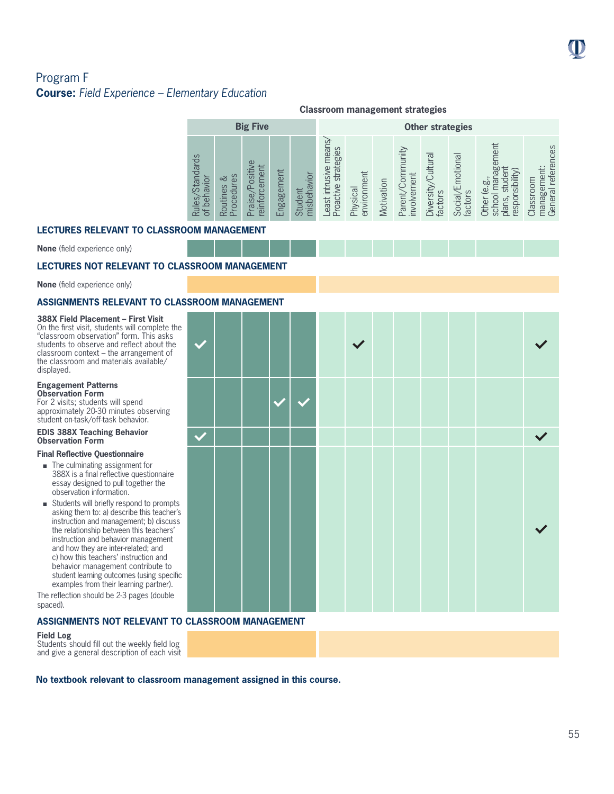# Program F **Course:** *Field Experience – Elementary Education*

|                                                           | <b>Classroom management strategies</b> |                                  |            |                        |                                                    |                         |            |                                 |                               |                             |                                                                        |                                                          |  |
|-----------------------------------------------------------|----------------------------------------|----------------------------------|------------|------------------------|----------------------------------------------------|-------------------------|------------|---------------------------------|-------------------------------|-----------------------------|------------------------------------------------------------------------|----------------------------------------------------------|--|
| <b>Big Five</b>                                           |                                        |                                  |            |                        |                                                    | <b>Other strategies</b> |            |                                 |                               |                             |                                                                        |                                                          |  |
| <b>Standards</b><br>behavior<br>Rules,<br>bf <sub>l</sub> | Sə<br>చ<br>Procedur<br>Routines        | Praise/Positive<br>reinforcement | Engagement | misbehavior<br>Student | means<br>strategies<br>east intrusive<br>Proactive | Physical<br>environment | Motivation | Parent/Community<br>involvement | Diversity/Cultural<br>factors | Social/Emotional<br>factors | agement<br>(Vilidist<br>þö<br>ق<br>school<br>respor<br>plans,<br>Other | references<br>igement:<br>Classroom<br>manage<br>General |  |

### **LECTURES RELEVANT TO CLASSROOM MANAGEMENT**

**None** (field experience only)

### **LECTURES NOT RELEVANT TO CLASSROOM MANAGEMENT**

**None** (field experience only)

### **ASSIGNMENTS RELEVANT TO CLASSROOM MANAGEMENT**

### **388X Field Placement – First Visit**

On the first visit, students will complete the "classroom observation" form. This asks students to observe and reflect about the classroom context – the arrangement of the classroom and materials available/ displayed.

#### **Engagement Patterns Observation Form**

For 2 visits; students will spend approximately 20-30 minutes observing student on-task/off-task behavior.

#### **EDIS 388X Teaching Behavior Observation Form**

#### **Final Reflective Questionnaire**

- The culminating assignment for 388X is a final reflective questionnaire essay designed to pull together the observation information.
- $\blacksquare$  Students will briefly respond to prompts asking them to: a) describe this teacher's instruction and management; b) discuss the relationship between this teachers' instruction and behavior management and how they are inter-related; and c) how this teachers' instruction and behavior management contribute to student learning outcomes (using specific examples from their learning partner).

The reflection should be 2-3 pages (double spaced).

### **ASSIGNMENTS NOT RELEVANT TO CLASSROOM MANAGEMENT**

#### **Field Log**

Students should fill out the weekly field log and give a general description of each visit

Ċ.

**No textbook relevant to classroom management assigned in this course.**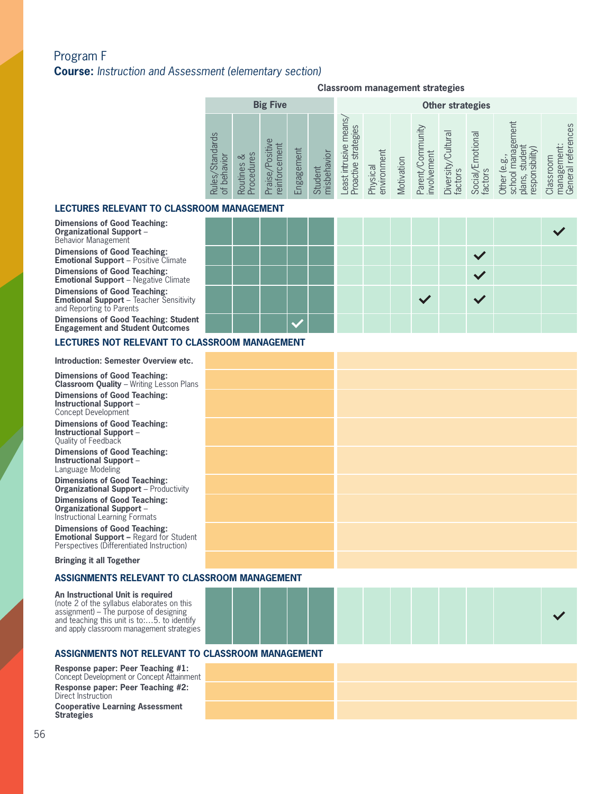# Program F **Course:** *Instruction and Assessment (elementary section)*

#### **Classroom management strategies**

| <b>Big Five</b>                                                                                                                                                      |                                                   |                                                                    |                         |            | <b>Other strategies</b>               |                                        |                                        |                                                                                                               |                                                                                      |
|----------------------------------------------------------------------------------------------------------------------------------------------------------------------|---------------------------------------------------|--------------------------------------------------------------------|-------------------------|------------|---------------------------------------|----------------------------------------|----------------------------------------|---------------------------------------------------------------------------------------------------------------|--------------------------------------------------------------------------------------|
| condards<br>$\omega$<br>ositiv<br>es<br>చ<br><u>io</u><br>൧<br>⋾<br>Routines<br>ु<br>న<br>oced<br>$\omega$<br>infor<br>beh<br>les<br>ais<br>$\overline{5}$<br>⊄<br>മ | cement<br>Engagement<br>Student<br>$\mathfrak{D}$ | means,<br>strategies<br>east intrusive<br>nisbehavior<br>Proactive | Physical<br>environment | Motivation | nmunity<br>involvement<br>Parent/Corr | Cultura<br><b>Diversity</b><br>factors | motional<br><b>Social/E</b><br>factors | ഇ<br>$\overline{\mathtt{\omega}}$<br>ರೂ<br>≔<br>esponsibi<br>þi<br>$\omega$<br>school<br>1S,<br>Other<br>plar | references<br>ent:<br>Classroom<br>æ<br>$\overline{\sigma}$<br>60<br>manag<br>Genera |

### **LECTURES RELEVANT TO CLASSROOM MANAGEMENT**

**Dimensions of Good Teaching: Organizational Support** – Behavior Management

**Dimensions of Good Teaching: Emotional Support** – Positive Climate

**Dimensions of Good Teaching: Emotional Support** – Negative Climate

**Dimensions of Good Teaching: Emotional Support** – Teacher Sensitivity and Reporting to Parents

**Dimensions of Good Teaching: Student Engagement and Student Outcomes**

### **LECTURES NOT RELEVANT TO CLASSROOM MANAGEMENT**

# **2013 Introduction: Semester Overview etc.**

**Dimensions of Good Teaching: Classroom Quality** – Writing Lesson Plans **Dimensions of Good Teaching: Instructional Support** – Concept Development

**Dimensions of Good Teaching: Instructional Support** – Quality of Feedback

**Dimensions of Good Teaching: Instructional Support** – Language Modeling

**Dimensions of Good Teaching: Organizational Support** – Productivity

**Dimensions of Good Teaching: Organizational Support** – Instructional Learning Formats

**Dimensions of Good Teaching: Emotional Support –** Regard for Student Perspectives (Differentiated Instruction)

**Bringing it all Together**

#### **ASSIGNMENTS RELEVANT TO CLASSROOM MANAGEMENT**

**An Instructional Unit is required**  (note 2 of the syllabus elaborates on this assignment) – The purpose of designing and teaching this unit is to:…5. to identify and apply classroom management strategies



### **ASSIGNMENTS NOT RELEVANT TO CLASSROOM MANAGEMENT**

**Response paper: Peer Teaching #1:**  Concept Development or Concept Attainment **Response paper: Peer Teaching #2:**  Direct Instruction

**Cooperative Learning Assessment Strategies**

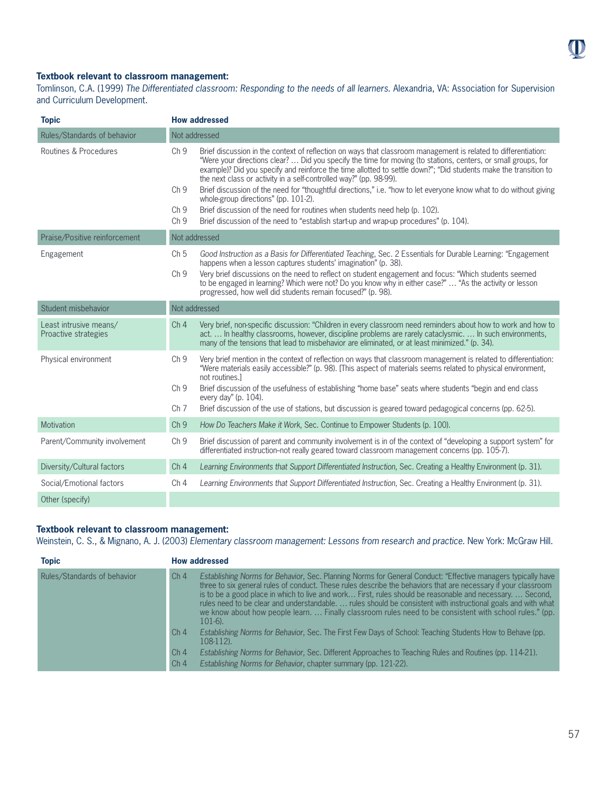

### **Textbook relevant to classroom management:**

Tomlinson, C.A. (1999) *The Differentiated classroom: Responding to the needs of all learners*. Alexandria, VA: Association for Supervision and Curriculum Development.

| <b>Topic</b>                                   | <b>How addressed</b>                                                                                                                                                                                                                                                                                                                                                                                                                                                                                                                                                                                                                                                                                                                                                                                                                        |
|------------------------------------------------|---------------------------------------------------------------------------------------------------------------------------------------------------------------------------------------------------------------------------------------------------------------------------------------------------------------------------------------------------------------------------------------------------------------------------------------------------------------------------------------------------------------------------------------------------------------------------------------------------------------------------------------------------------------------------------------------------------------------------------------------------------------------------------------------------------------------------------------------|
| Rules/Standards of behavior                    | Not addressed                                                                                                                                                                                                                                                                                                                                                                                                                                                                                                                                                                                                                                                                                                                                                                                                                               |
| Routines & Procedures                          | Ch <sub>9</sub><br>Brief discussion in the context of reflection on ways that classroom management is related to differentiation:<br>"Were your directions clear?  Did you specify the time for moving (to stations, centers, or small groups, for<br>example)? Did you specify and reinforce the time allotted to settle down?"; "Did students make the transition to<br>the next class or activity in a self-controlled way?" (pp. 98-99).<br>Ch <sub>9</sub><br>Brief discussion of the need for "thoughtful directions," i.e. "how to let everyone know what to do without giving<br>whole-group directions" (pp. 101-2).<br>Brief discussion of the need for routines when students need help (p. 102).<br>Ch <sub>9</sub><br>Brief discussion of the need to "establish start-up and wrap-up procedures" (p. 104).<br>Ch <sub>9</sub> |
| Praise/Positive reinforcement                  | Not addressed                                                                                                                                                                                                                                                                                                                                                                                                                                                                                                                                                                                                                                                                                                                                                                                                                               |
| Engagement                                     | Ch <sub>5</sub><br>Good Instruction as a Basis for Differentiated Teaching, Sec. 2 Essentials for Durable Learning: "Engagement<br>happens when a lesson captures students' imagination" (p. 38).<br>Very brief discussions on the need to reflect on student engagement and focus: "Which students seemed<br>Ch <sub>9</sub><br>to be engaged in learning? Which were not? Do you know why in either case?"  "As the activity or lesson<br>progressed, how well did students remain focused?" (p. 98).                                                                                                                                                                                                                                                                                                                                     |
| Student misbehavior                            | Not addressed                                                                                                                                                                                                                                                                                                                                                                                                                                                                                                                                                                                                                                                                                                                                                                                                                               |
| Least intrusive means/<br>Proactive strategies | Ch <sub>4</sub><br>Very brief, non-specific discussion: "Children in every classroom need reminders about how to work and how to<br>act.  In healthy classrooms, however, discipline problems are rarely cataclysmic.  In such environments,<br>many of the tensions that lead to misbehavior are eliminated, or at least minimized." (p. 34).                                                                                                                                                                                                                                                                                                                                                                                                                                                                                              |
| Physical environment                           | Ch <sub>9</sub><br>Very brief mention in the context of reflection on ways that classroom management is related to differentiation:<br>"Were materials easily accessible?" (p. 98). [This aspect of materials seems related to physical environment,<br>not routines.<br>Ch <sub>9</sub><br>Brief discussion of the usefulness of establishing "home base" seats where students "begin and end class<br>every day" (p. 104).<br>Ch <sub>7</sub><br>Brief discussion of the use of stations, but discussion is geared toward pedagogical concerns (pp. 62-5).                                                                                                                                                                                                                                                                                |
| Motivation                                     | Ch <sub>9</sub><br>How Do Teachers Make it Work, Sec. Continue to Empower Students (p. 100).                                                                                                                                                                                                                                                                                                                                                                                                                                                                                                                                                                                                                                                                                                                                                |
| Parent/Community involvement                   | Ch <sub>9</sub><br>Brief discussion of parent and community involvement is in of the context of "developing a support system" for<br>differentiated instruction-not really geared toward classroom management concerns (pp. 105-7).                                                                                                                                                                                                                                                                                                                                                                                                                                                                                                                                                                                                         |
| Diversity/Cultural factors                     | Ch <sub>4</sub><br>Learning Environments that Support Differentiated Instruction, Sec. Creating a Healthy Environment (p. 31).                                                                                                                                                                                                                                                                                                                                                                                                                                                                                                                                                                                                                                                                                                              |
| Social/Emotional factors                       | Ch <sub>4</sub><br>Learning Environments that Support Differentiated Instruction, Sec. Creating a Healthy Environment (p. 31).                                                                                                                                                                                                                                                                                                                                                                                                                                                                                                                                                                                                                                                                                                              |
| Other (specify)                                |                                                                                                                                                                                                                                                                                                                                                                                                                                                                                                                                                                                                                                                                                                                                                                                                                                             |

### **Textbook relevant to classroom management:**

Weinstein, C. S., & Mignano, A. J. (2003) *Elementary classroom management: Lessons from research and practice*. New York: McGraw Hill.

| <b>Topic</b>                | <b>How addressed</b>                                                                                                                                                                                                                                                                                                                                                                                                                                                                                                                                                                                   |
|-----------------------------|--------------------------------------------------------------------------------------------------------------------------------------------------------------------------------------------------------------------------------------------------------------------------------------------------------------------------------------------------------------------------------------------------------------------------------------------------------------------------------------------------------------------------------------------------------------------------------------------------------|
| Rules/Standards of behavior | Ch <sub>4</sub><br>Establishing Norms for Behavior, Sec. Planning Norms for General Conduct: "Effective managers typically have<br>three to six general rules of conduct. These rules describe the behaviors that are necessary if your classroom<br>is to be a good place in which to live and work First, rules should be reasonable and necessary Second,<br>rules need to be clear and understandable.  rules should be consistent with instructional goals and with what<br>we know about how people learn.  Finally classroom rules need to be consistent with school rules." (pp.<br>$101-6$ ). |
|                             | Establishing Norms for Behavior, Sec. The First Few Days of School: Teaching Students How to Behave (pp.<br>Ch <sub>4</sub><br>108-112).                                                                                                                                                                                                                                                                                                                                                                                                                                                               |
|                             | Ch <sub>4</sub><br>Establishing Norms for Behavior, Sec. Different Approaches to Teaching Rules and Routines (pp. 114-21).<br>Establishing Norms for Behavior, chapter summary (pp. 121-22).<br>Ch <sub>4</sub>                                                                                                                                                                                                                                                                                                                                                                                        |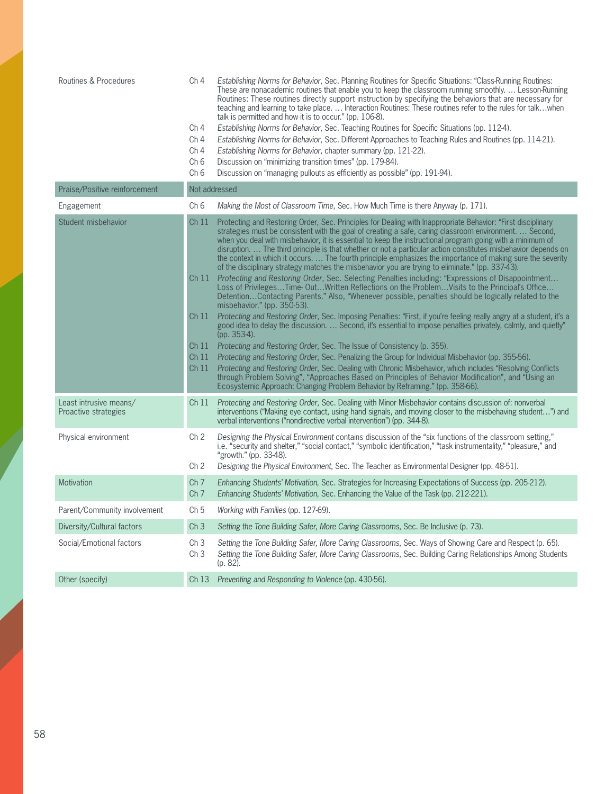| Routines & Procedures                          | Ch <sub>4</sub><br>Ch <sub>4</sub><br>Ch <sub>4</sub><br>Ch <sub>4</sub><br>Ch <sub>6</sub><br>Ch <sub>6</sub> | Establishing Norms for Behavior, Sec. Planning Routines for Specific Situations: "Class-Running Routines:<br>These are nonacademic routines that enable you to keep the classroom running smoothly.  Lesson-Running<br>Routines: These routines directly support instruction by specifying the behaviors that are necessary for<br>teaching and learning to take place.  Interaction Routines: These routines refer to the rules for talkwhen<br>talk is permitted and how it is to occur." (pp. 106-8).<br>Establishing Norms for Behavior, Sec. Teaching Routines for Specific Situations (pp. 112-4).<br>Establishing Norms for Behavior, Sec. Different Approaches to Teaching Rules and Routines (pp. 114-21).<br>Establishing Norms for Behavior, chapter summary (pp. 121-22).<br>Discussion on "minimizing transition times" (pp. 179-84).<br>Discussion on "managing pullouts as efficiently as possible" (pp. 191-94). |
|------------------------------------------------|----------------------------------------------------------------------------------------------------------------|----------------------------------------------------------------------------------------------------------------------------------------------------------------------------------------------------------------------------------------------------------------------------------------------------------------------------------------------------------------------------------------------------------------------------------------------------------------------------------------------------------------------------------------------------------------------------------------------------------------------------------------------------------------------------------------------------------------------------------------------------------------------------------------------------------------------------------------------------------------------------------------------------------------------------------|
| Praise/Positive reinforcement                  |                                                                                                                | Not addressed                                                                                                                                                                                                                                                                                                                                                                                                                                                                                                                                                                                                                                                                                                                                                                                                                                                                                                                    |
| Engagement                                     | Ch <sub>6</sub>                                                                                                | Making the Most of Classroom Time, Sec. How Much Time is there Anyway (p. 171).                                                                                                                                                                                                                                                                                                                                                                                                                                                                                                                                                                                                                                                                                                                                                                                                                                                  |
| Student misbehavior                            | Ch <sub>11</sub>                                                                                               | Protecting and Restoring Order, Sec. Principles for Dealing with Inappropriate Behavior: "First disciplinary<br>strategies must be consistent with the goal of creating a safe, caring classroom environment.  Second,<br>when you deal with misbehavior, it is essential to keep the instructional program going with a minimum of<br>disruption The third principle is that whether or not a particular action constitutes misbehavior depends on<br>the context in which it occurs.  The fourth principle emphasizes the importance of making sure the severity<br>of the disciplinary strategy matches the misbehavior you are trying to eliminate." (pp. 337-43).                                                                                                                                                                                                                                                           |
|                                                | Ch11                                                                                                           | Protecting and Restoring Order, Sec. Selecting Penalties including: "Expressions of Disappointment<br>Loss of PrivilegesTime-OutWritten Reflections on the ProblemVisits to the Principal's Office<br>DetentionContacting Parents." Also, "Whenever possible, penalties should be logically related to the<br>misbehavior." (pp. 350-53).                                                                                                                                                                                                                                                                                                                                                                                                                                                                                                                                                                                        |
|                                                | Ch <sub>11</sub>                                                                                               | Protecting and Restoring Order, Sec. Imposing Penalties: "First, if you're feeling really angry at a student, it's a<br>good idea to delay the discussion.  Second, it's essential to impose penalties privately, calmly, and quietly"<br>(pp. 353-4).                                                                                                                                                                                                                                                                                                                                                                                                                                                                                                                                                                                                                                                                           |
|                                                | Ch <sub>11</sub>                                                                                               | Protecting and Restoring Order, Sec. The Issue of Consistency (p. 355).                                                                                                                                                                                                                                                                                                                                                                                                                                                                                                                                                                                                                                                                                                                                                                                                                                                          |
|                                                | Ch <sub>11</sub><br>Ch <sub>11</sub>                                                                           | Protecting and Restoring Order, Sec. Penalizing the Group for Individual Misbehavior (pp. 355-56).<br>Protecting and Restoring Order, Sec. Dealing with Chronic Misbehavior, which includes "Resolving Conflicts<br>through Problem Solving", "Approaches Based on Principles of Behavior Modification", and "Using an<br>Ecosystemic Approach: Changing Problem Behavior by Reframing." (pp. 358-66).                                                                                                                                                                                                                                                                                                                                                                                                                                                                                                                           |
| Least intrusive means/<br>Proactive strategies | Ch <sub>11</sub>                                                                                               | Protecting and Restoring Order, Sec. Dealing with Minor Misbehavior contains discussion of: nonverbal<br>interventions ("Making eye contact, using hand signals, and moving closer to the misbehaving student") and<br>verbal interventions ("nondirective verbal intervention") (pp. 344-8).                                                                                                                                                                                                                                                                                                                                                                                                                                                                                                                                                                                                                                    |
| Physical environment                           | Ch <sub>2</sub><br>Ch <sub>2</sub>                                                                             | Designing the Physical Environment contains discussion of the "six functions of the classroom setting,"<br>i.e. "security and shelter," "social contact," "symbolic identification," "task instrumentality," "pleasure," and<br>"growth." (pp. 33-48).<br>Designing the Physical Environment, Sec. The Teacher as Environmental Designer (pp. 48-51).                                                                                                                                                                                                                                                                                                                                                                                                                                                                                                                                                                            |
| <b>Motivation</b>                              | Ch <sub>7</sub>                                                                                                | Enhancing Students' Motivation, Sec. Strategies for Increasing Expectations of Success (pp. 205-212).                                                                                                                                                                                                                                                                                                                                                                                                                                                                                                                                                                                                                                                                                                                                                                                                                            |
|                                                | Ch <sub>7</sub>                                                                                                | Enhancing Students' Motivation, Sec. Enhancing the Value of the Task (pp. 212-221).                                                                                                                                                                                                                                                                                                                                                                                                                                                                                                                                                                                                                                                                                                                                                                                                                                              |
| Parent/Community involvement                   | Ch <sub>5</sub>                                                                                                | Working with Families (pp. 127-69).                                                                                                                                                                                                                                                                                                                                                                                                                                                                                                                                                                                                                                                                                                                                                                                                                                                                                              |
| Diversity/Cultural factors                     | Ch <sub>3</sub>                                                                                                | Setting the Tone Building Safer, More Caring Classrooms, Sec. Be Inclusive (p. 73).                                                                                                                                                                                                                                                                                                                                                                                                                                                                                                                                                                                                                                                                                                                                                                                                                                              |
| Social/Emotional factors                       | Ch <sub>3</sub><br>Ch <sub>3</sub>                                                                             | Setting the Tone Building Safer, More Caring Classrooms, Sec. Ways of Showing Care and Respect (p. 65).<br>Setting the Tone Building Safer, More Caring Classrooms, Sec. Building Caring Relationships Among Students<br>(p. 82).                                                                                                                                                                                                                                                                                                                                                                                                                                                                                                                                                                                                                                                                                                |
| Other (specify)                                |                                                                                                                | Ch 13 Preventing and Responding to Violence (pp. 430-56).                                                                                                                                                                                                                                                                                                                                                                                                                                                                                                                                                                                                                                                                                                                                                                                                                                                                        |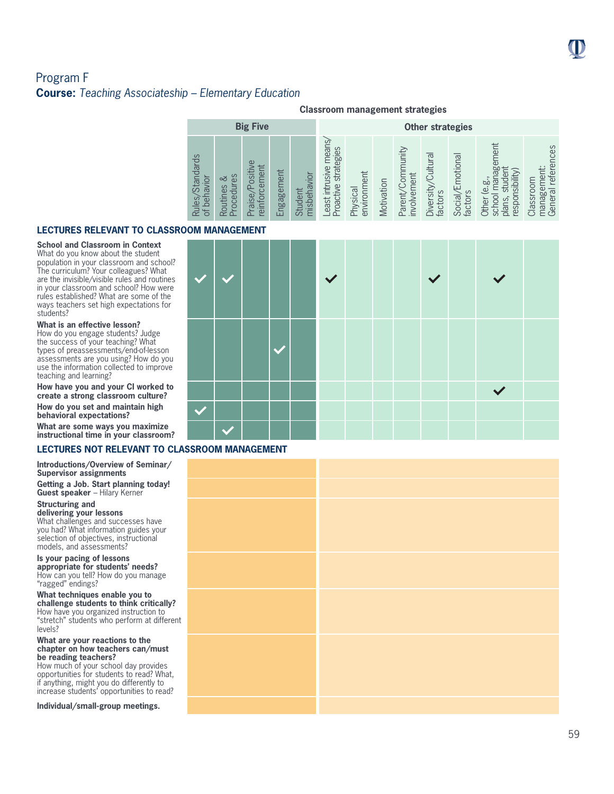# Program F **Course:** *Teaching Associateship – Elementary Education*

|                                                                       | <b>Classroom management strategies</b>         |                                    |            |                            |                                                   |                         |            |                                      |                               |                                        |                                                                                    |                                                                      |  |
|-----------------------------------------------------------------------|------------------------------------------------|------------------------------------|------------|----------------------------|---------------------------------------------------|-------------------------|------------|--------------------------------------|-------------------------------|----------------------------------------|------------------------------------------------------------------------------------|----------------------------------------------------------------------|--|
|                                                                       |                                                | <b>Big Five</b>                    |            |                            |                                                   | <b>Other strategies</b> |            |                                      |                               |                                        |                                                                                    |                                                                      |  |
| <b>Standards</b><br><b>NOINDI</b><br>ber<br>Rules,<br>bf <sub>l</sub> | rocedures<br>∞<br>Routines<br>$\tilde{\Omega}$ | Positive<br>reinforcement<br>aise/ | Engagement | misbehavior<br>ent<br>Stud | means<br>strategies<br>east intrusive<br>roactive | Physical<br>environment | Motivation | hmunity<br>involvement<br>Parent/Com | Diversity/Cultural<br>factors | motional<br><b>Social/E</b><br>factors | gement<br>(vility)<br>þö<br>$\omega$<br>respor<br>school<br>plans,<br><b>Other</b> | references<br>ment:<br>Classroom<br>es<br>Se<br>ಸ<br>manag<br>Gener: |  |

### **LECTURES RELEVANT TO CLASSROOM MANAGEMENT**

**School and Classroom in Context** What do you know about the student population in your classroom and school? The curriculum? Your colleagues? What are the invisible/visible rules and routines in your classroom and school? How were rules established? What are some of the ways teachers set high expectations for students?

#### **What is an effective lesson?**

How do you engage students? Judge the success of your teaching? What types of preassessments/end-of-lesson assessments are you using? How do you use the information collected to improve teaching and learning?

**How have you and your CI worked to create a strong classroom culture?**

**How do you set and maintain high behavioral expectations?**

**What are some ways you maximize instructional time in your classroom?**

### **LECTURES NOT RELEVANT TO CLASSROOM MANAGEMENT**

**Introductions/Overview of Seminar/ Supervisor assignments**

**Getting a Job. Start planning today! Guest speaker** – Hilary Kerner

**Structuring and delivering your lessons** What challenges and successes have you had? What information guides your selection of objectives, instructional

models, and assessments? **Is your pacing of lessons appropriate for students' needs?**  How can you tell? How do you manage "ragged" endings?

**What techniques enable you to challenge students to think critically?**  How have you organized instruction to "stretch" students who perform at different levels?

#### **What are your reactions to the chapter on how teachers can/must be reading teachers?**

How much of your school day provides opportunities for students to read? What, if anything, might you do differently to increase students' opportunities to read?

**Individual/small-group meetings.** 

| $\blacktriangledown$ |  | $\vee$ |  |  |              |  |
|----------------------|--|--------|--|--|--------------|--|
|                      |  |        |  |  |              |  |
|                      |  |        |  |  | $\checkmark$ |  |
|                      |  |        |  |  |              |  |
|                      |  |        |  |  |              |  |

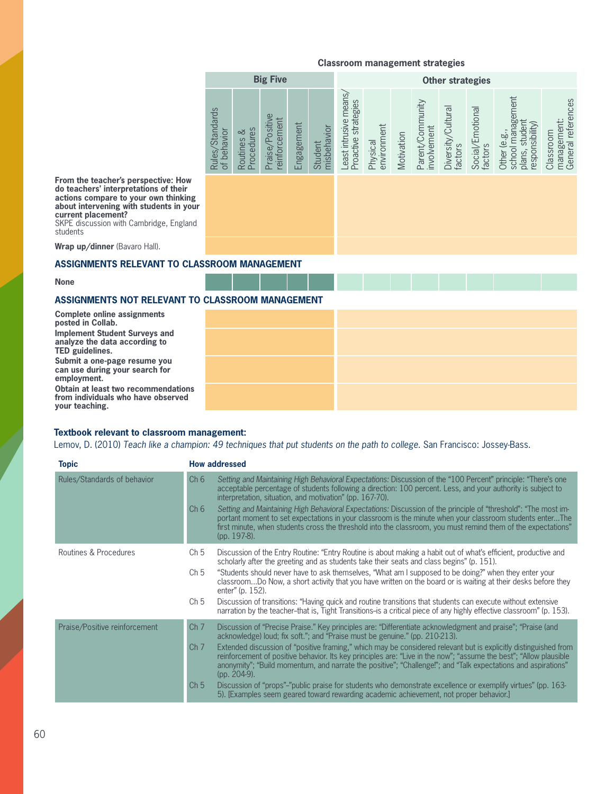|                                |                             | <b>Big Five</b>                  |            |                        |                                                |                         |            |                                 | <b>Other strategies</b>       |                             |                                                                        |                                                |
|--------------------------------|-----------------------------|----------------------------------|------------|------------------------|------------------------------------------------|-------------------------|------------|---------------------------------|-------------------------------|-----------------------------|------------------------------------------------------------------------|------------------------------------------------|
| Rules/Standards<br>of behavior | Procedures<br>ವ<br>Routines | Praise/Positive<br>reinforcement | Engagement | misbehavior<br>Student | Least intrusive means/<br>Proactive strategies | environment<br>Physical | Motivation | Parent/Community<br>involvement | Diversity/Cultural<br>factors | Social/Emotional<br>factors | Other (e.g.,<br>school management<br>plans, student<br>responsibility) | General references<br>management:<br>Classroom |
|                                |                             |                                  |            |                        |                                                |                         |            |                                 |                               |                             |                                                                        |                                                |

**From the teacher's perspective: How do teachers' interpretations of their actions compare to your own thinking about intervening with students in your current placement?** 

SKPE discussion with Cambridge, England students

**Wrap up/dinner** (Bavaro Hall).

### **ASSIGNMENTS RELEVANT TO CLASSROOM MANAGEMENT**

**None**

### **ASSIGNMENTS NOT RELEVANT TO CLASSROOM MANAGEMENT**

**2013**<br>**2013 CED** guidelines.<br>**2013 CED CED CED CED CED CED Complete online assignments posted in Collab. Implement Student Surveys and analyze the data according to** 

**Submit a one-page resume you can use during your search for employment.**

**Obtain at least two recommendations from individuals who have observed your teaching.** 

### **Textbook relevant to classroom management:**

Lemov, D. (2010) *Teach like a champion: 49 techniques that put students on the path to college*. San Francisco: Jossey-Bass.

| <b>Topic</b>                  | <b>How addressed</b>                                                                                                                                                                                                                                                                                                                                                                                                                                                                                                                                                                                                                                                                                                                                                                                                                     |
|-------------------------------|------------------------------------------------------------------------------------------------------------------------------------------------------------------------------------------------------------------------------------------------------------------------------------------------------------------------------------------------------------------------------------------------------------------------------------------------------------------------------------------------------------------------------------------------------------------------------------------------------------------------------------------------------------------------------------------------------------------------------------------------------------------------------------------------------------------------------------------|
| Rules/Standards of behavior   | Ch6<br>Setting and Maintaining High Behavioral Expectations: Discussion of the "100 Percent" principle: "There's one<br>acceptable percentage of students following a direction: 100 percent. Less, and your authority is subject to<br>interpretation, situation, and motivation" (pp. 167-70).<br>Setting and Maintaining High Behavioral Expectations: Discussion of the principle of "threshold": "The most im-<br>Ch 6<br>portant moment to set expectations in your classroom is the minute when your classroom students enterThe<br>first minute, when students cross the threshold into the classroom, you must remind them of the expectations"<br>(pp. 197-8).                                                                                                                                                                 |
| Routines & Procedures         | Ch <sub>5</sub><br>Discussion of the Entry Routine: "Entry Routine is about making a habit out of what's efficient, productive and<br>scholarly after the greeting and as students take their seats and class begins" (p. 151).<br>"Students should never have to ask themselves, "What am I supposed to be doing?" when they enter your<br>Ch <sub>5</sub><br>classroomDo Now, a short activity that you have written on the board or is waiting at their desks before they<br>enter" (p. 152).<br>Ch <sub>5</sub><br>Discussion of transitions: "Having quick and routine transitions that students can execute without extensive<br>narration by the teacher-that is, Tight Transitions-is a critical piece of any highly effective classroom" (p. 153).                                                                              |
| Praise/Positive reinforcement | Ch <sub>7</sub><br>Discussion of "Precise Praise." Key principles are: "Differentiate acknowledgment and praise"; "Praise (and<br>acknowledge) loud; fix soft."; and "Praise must be genuine." (pp. 210-213).<br>Ch <sub>7</sub><br>Extended discussion of "positive framing," which may be considered relevant but is explicitly distinguished from<br>reinforcement of positive behavior. Its key principles are: "Live in the now": "assume the best": "Allow plausible<br>anonymity"; "Build momentum, and narrate the positive"; "Challenge!"; and "Talk expectations and aspirations"<br>(pp. 204-9).<br>Discussion of "props"-"public praise for students who demonstrate excellence or exemplify virtues" (pp. 163-<br>Ch <sub>5</sub><br>5). [Examples seem geared toward rewarding academic achievement, not proper behavior.] |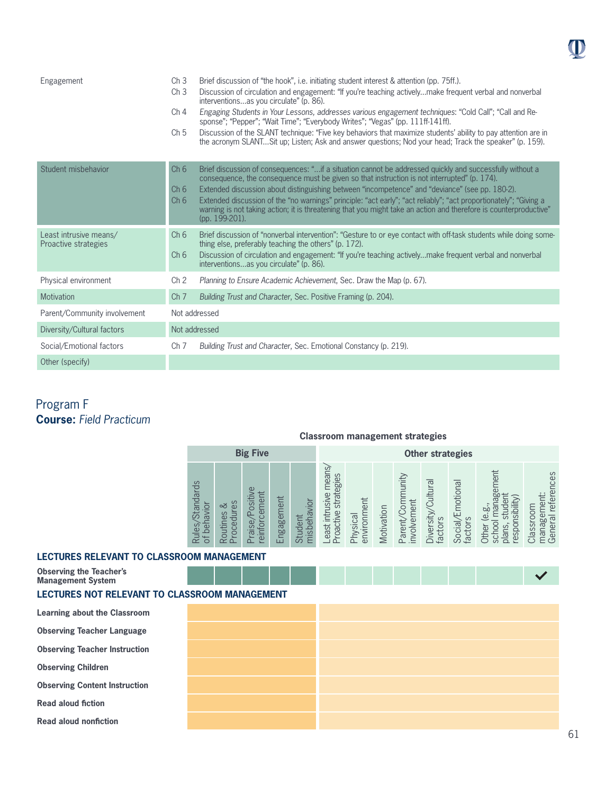| Engagement                                     | Ch <sub>3</sub><br>Ch <sub>3</sub><br>Ch <sub>4</sub><br>Ch <sub>5</sub> | Brief discussion of "the hook", i.e. initiating student interest & attention (pp. 75ff.).<br>Discussion of circulation and engagement: "If you're teaching activelymake frequent verbal and nonverbal<br>interventionsas you circulate" (p. 86).<br>Engaging Students in Your Lessons, addresses various engagement techniques: "Cold Call"; "Call and Re-<br>sponse"; "Pepper"; "Wait Time"; "Everybody Writes"; "Vegas" (pp. 111ff-141ff).<br>Discussion of the SLANT technique: "Five key behaviors that maximize students' ability to pay attention are in<br>the acronym SLANTSit up; Listen; Ask and answer questions; Nod your head; Track the speaker" (p. 159). |
|------------------------------------------------|--------------------------------------------------------------------------|--------------------------------------------------------------------------------------------------------------------------------------------------------------------------------------------------------------------------------------------------------------------------------------------------------------------------------------------------------------------------------------------------------------------------------------------------------------------------------------------------------------------------------------------------------------------------------------------------------------------------------------------------------------------------|
| Student misbehavior                            | Ch <sub>6</sub><br>Ch <sub>6</sub><br>Ch <sub>6</sub>                    | Brief discussion of consequences: "if a situation cannot be addressed quickly and successfully without a<br>consequence, the consequence must be given so that instruction is not interrupted" (p. 174).<br>Extended discussion about distinguishing between "incompetence" and "deviance" (see pp. 180-2).<br>Extended discussion of the "no warnings" principle: "act early"; "act reliably"; "act proportionately"; "Giving a<br>warning is not taking action; it is threatening that you might take an action and therefore is counterproductive"<br>(pp. 199-201).                                                                                                  |
| Least intrusive means/<br>Proactive strategies | Ch <sub>6</sub><br>Ch <sub>6</sub>                                       | Brief discussion of "nonverbal intervention": "Gesture to or eye contact with off-task students while doing some-<br>thing else, preferably teaching the others" (p. 172).<br>Discussion of circulation and engagement: "If you're teaching activelymake frequent verbal and nonverbal<br>interventionsas you circulate" (p. 86).                                                                                                                                                                                                                                                                                                                                        |
| Physical environment                           | Ch <sub>2</sub>                                                          | Planning to Ensure Academic Achievement, Sec. Draw the Map (p. 67).                                                                                                                                                                                                                                                                                                                                                                                                                                                                                                                                                                                                      |
| Motivation                                     | Ch <sub>7</sub>                                                          | Building Trust and Character, Sec. Positive Framing (p. 204).                                                                                                                                                                                                                                                                                                                                                                                                                                                                                                                                                                                                            |
| Parent/Community involvement                   |                                                                          | Not addressed                                                                                                                                                                                                                                                                                                                                                                                                                                                                                                                                                                                                                                                            |
| Diversity/Cultural factors                     |                                                                          | Not addressed                                                                                                                                                                                                                                                                                                                                                                                                                                                                                                                                                                                                                                                            |
| Social/Emotional factors                       | Ch <sub>7</sub>                                                          | Building Trust and Character, Sec. Emotional Constancy (p. 219).                                                                                                                                                                                                                                                                                                                                                                                                                                                                                                                                                                                                         |
| Other (specify)                                |                                                                          |                                                                                                                                                                                                                                                                                                                                                                                                                                                                                                                                                                                                                                                                          |

# Program F **Course:** *Field Practicum*

# **Classroom management strategies**

|                                                                | <b>Big Five</b>                                        |                                                                 |                                               |                                                |                                                   | <b>Other strategies</b>     |            |                                                    |                                   |                                        |                                                                                  |                                                                        |  |
|----------------------------------------------------------------|--------------------------------------------------------|-----------------------------------------------------------------|-----------------------------------------------|------------------------------------------------|---------------------------------------------------|-----------------------------|------------|----------------------------------------------------|-----------------------------------|----------------------------------------|----------------------------------------------------------------------------------|------------------------------------------------------------------------|--|
| <b>Standards</b><br>navior<br>ned<br>Ded<br>Rules,<br>$\sigma$ | ΘS<br>చ<br>Ĕ<br>es<br>outin<br>ēg<br>$\circ$<br>≃<br>≏ | $\omega$<br>siti<br>nen<br>$\mathbf{\Omega}$<br>aise<br>reinfor | nent<br>em<br>$\infty$<br>gä<br>$\equiv$<br>ш | vior<br><u>लि</u><br>hisbeh<br>මි<br>Stud<br>≻ | means<br>strategies<br>east intrusive<br>roactive | nent<br>environm<br>Physica | Motivation | nmunity<br>involvement<br>mo.<br>arent<br>$\Omega$ | Cultural<br>Diversity,<br>factors | motional<br><b>Social/E</b><br>factors | 靊<br>es<br>Se<br>nsibilit<br><b>bc</b><br>$\omega$<br>lodsə<br>应<br>ၯႍ<br>Ь<br>主 | rces<br>referer<br>nent:<br>lassroor<br>ΕE<br>General<br><b>Janage</b> |  |

### **LECTURES RELEVANT TO CLASSROOM MANAGEMENT**

| <b>Observing the Teacher's</b><br><b>Management System</b><br>LECTURES NOT RELEVANT TO CLASSROOM MANAGEMENT |  |  |  |  |  |
|-------------------------------------------------------------------------------------------------------------|--|--|--|--|--|
| Learning about the Classroom                                                                                |  |  |  |  |  |
| <b>Observing Teacher Language</b>                                                                           |  |  |  |  |  |
| <b>Observing Teacher Instruction</b>                                                                        |  |  |  |  |  |
| <b>Observing Children</b>                                                                                   |  |  |  |  |  |
| <b>Observing Content Instruction</b>                                                                        |  |  |  |  |  |
| <b>Read aloud fiction</b>                                                                                   |  |  |  |  |  |
| <b>Read aloud nonfiction</b>                                                                                |  |  |  |  |  |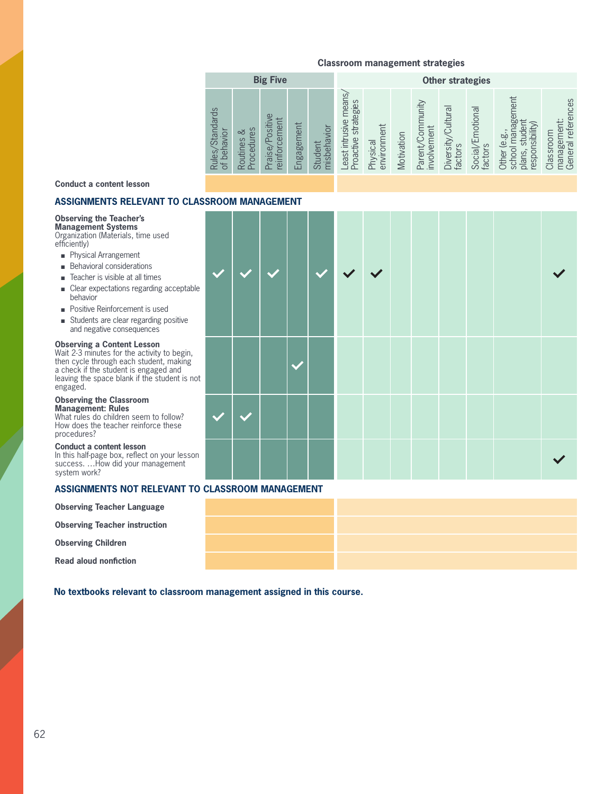|                                                 | <b>Big Five</b>                            |                                                      |            |                        |                                                 | <b>Other strategies</b> |            |                                        |                                                       |                                             |                                                                                              |                                                           |  |
|-------------------------------------------------|--------------------------------------------|------------------------------------------------------|------------|------------------------|-------------------------------------------------|-------------------------|------------|----------------------------------------|-------------------------------------------------------|---------------------------------------------|----------------------------------------------------------------------------------------------|-----------------------------------------------------------|--|
| <b>Standards</b><br>of behavior<br><b>Rules</b> | es<br>చ<br>rocedur<br>Routines<br>$\Delta$ | $\omega$<br>ositi<br>per<br>ΘL<br>einforc<br>Praise, | Engagement | misbehavior<br>Student | east intrusive means<br>strategies<br>Proactive | environment<br>Physical | Motivation | yinunity<br>involvement<br>Parent/Corr | $\overline{\sigma}$<br>Cultur<br>Diversity<br>factors | Emotional<br>factors<br>Social <sub>/</sub> | nagement<br>⊭<br>responsibility)<br>Jeb<br>ρý<br>пр<br>ق<br>school<br>plans,<br><b>Other</b> | references<br>ent:<br>Classroom<br>Φ<br>manage<br>General |  |
|                                                 |                                            |                                                      |            |                        |                                                 |                         |            |                                        |                                                       |                                             |                                                                                              |                                                           |  |

#### **Conduct a content lesson**

#### **ASSIGNMENTS RELEVANT TO CLAS**

#### **Observing the Teacher's Management Systems**

Organization (Materials, time used efficiently)

- **n** Physical Arrangement
- $\blacksquare$  Behavioral considerations
- $\blacksquare$  Teacher is visible at all times
- $\blacksquare$  Clear expectations regarding acceptable behavior
- Positive Reinforcement is used
- $\blacksquare$  Students are clear regarding positive and negative consequences

### **Observing a Content Lesson**

**2013 2-3** minutes for the activity to begin,<br>
then cycle through each student, making then cycle through each student, making a check if the student is engaged and leaving the space blank if the student is not engaged.

### **Observing the Classroom**

**Management: Rules**  What rules do children seem to follow? How does the teacher reinforce these procedures?

#### **Conduct a content lesson**

In this half-page box, reflect on your lesson success. …How did your management system work?

#### **ASSIGNMENTS NOT RELEVANT TO CLASSROOM MANAGEMENT**

|  | <b>Observing Teacher Language</b> |
|--|-----------------------------------|
|  |                                   |

**Observing Teacher instruction**

**Observing Children**

**Read aloud nonfiction**

**No textbooks relevant to classroom management assigned in this course.**

| <b>SSROOM MANAGEMENT</b> |  |  |                         |                         |  |  |  |
|--------------------------|--|--|-------------------------|-------------------------|--|--|--|
|                          |  |  | $\overline{\mathbf{v}}$ | $\overline{\mathsf{v}}$ |  |  |  |
|                          |  |  |                         |                         |  |  |  |
|                          |  |  |                         |                         |  |  |  |
|                          |  |  |                         |                         |  |  |  |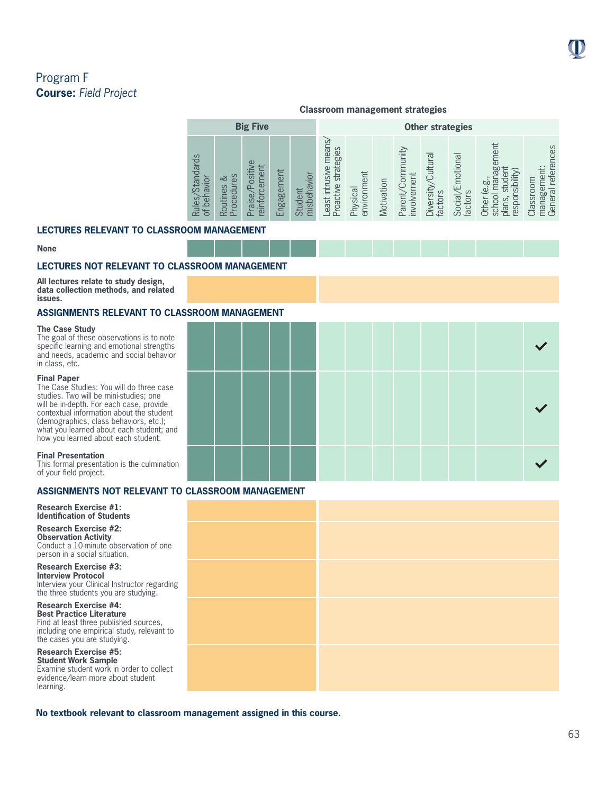**Big Five COLLECTION COLLECTION Other strategies** Least intrusive means/ \_east intrusive means school management Other (e.g.,<br>school management management:<br>General references Parent/Community General references Proactive strategies Proactive strategies Parent/Community Diversity/Cultural Diversity/Cultural<br>factors Social/Emotional Rules/Standards Social/Emotional Rules/Standards Praise/Positive Praise/Positive management: reinforcement plans, student reinforcement plans, student responsibility) responsibility) Routines &<br>Procedures Engagement Engagement Student<br>misbehavior environment involvement misbehavior environment involvement behavior Routines & Procedures Classroom Classroom of behavior Motivation Physical factors  $\overline{\sigma}$ 

### **LECTURES RELEVANT TO CLASSROOM MANAGEMENT**

#### **None**

### **LECTURES NOT RELEVANT TO CLASSROOM MANAGEMENT**

**All lectures relate to study design, data collection methods, and related issues.**

#### **ASSIGNMENTS RELEVANT TO CLASSROOM MANAGEMENT**

#### **The Case Study**

The goal of these observations is to note specific learning and emotional strengths and needs, academic and social behavior in class, etc.

#### **Final Paper**

The Case Studies: You will do three case studies. Two will be mini-studies; one will be in-depth. For each case, provide contextual information about the student (demographics, class behaviors, etc.); what you learned about each student; and how you learned about each student.

#### **Final Presentation**

This formal presentation is the culmination of your field project.

### **ASSIGNMENTS NOT RELEVANT TO CLASSROOM MANAGEMENT**

**Research Exercise #1: Identification of Students** 

**Research Exercise #2: Observation Activity**  Conduct a 10-minute observation of one person in a social situation.

**Research Exercise #3: Interview Protocol** Interview your Clinical Instructor regarding the three students you are studying.

**Research Exercise #4: Best Practice Literature**  Find at least three published sources, including one empirical study, relevant to the cases you are studying.

**Research Exercise #5: Student Work Sample** Examine student work in order to collect evidence/learn more about student learning.

**No textbook relevant to classroom management assigned in this course.**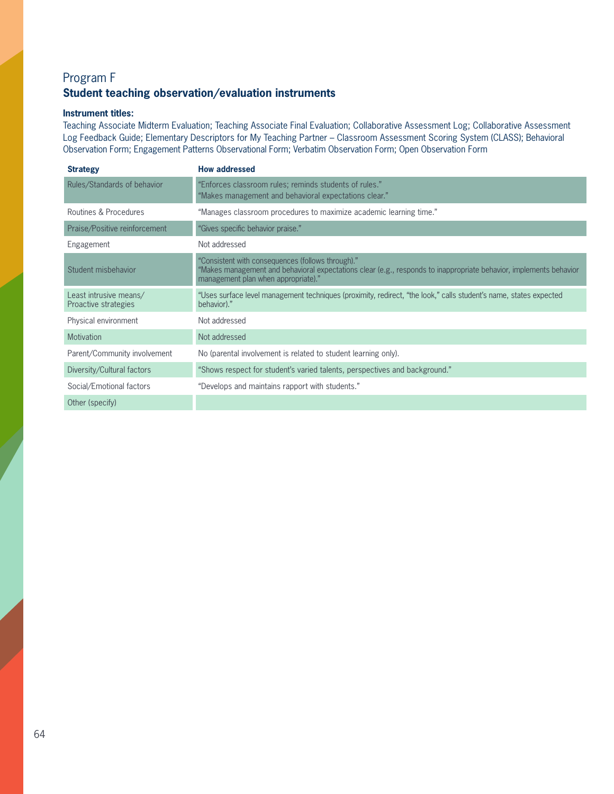# Program F **Student teaching observation/evaluation instruments**

### **Instrument titles:**

Teaching Associate Midterm Evaluation; Teaching Associate Final Evaluation; Collaborative Assessment Log; Collaborative Assessment Log Feedback Guide; Elementary Descriptors for My Teaching Partner – Classroom Assessment Scoring System (CLASS); Behavioral Observation Form; Engagement Patterns Observational Form; Verbatim Observation Form; Open Observation Form

| <b>Strategy</b>                                | <b>How addressed</b>                                                                                                                                                                                           |
|------------------------------------------------|----------------------------------------------------------------------------------------------------------------------------------------------------------------------------------------------------------------|
| Rules/Standards of behavior                    | "Enforces classroom rules; reminds students of rules."<br>"Makes management and behavioral expectations clear."                                                                                                |
| Routines & Procedures                          | "Manages classroom procedures to maximize academic learning time."                                                                                                                                             |
| Praise/Positive reinforcement                  | "Gives specific behavior praise."                                                                                                                                                                              |
| Engagement                                     | Not addressed                                                                                                                                                                                                  |
| Student misbehavior                            | "Consistent with consequences (follows through)."<br>"Makes management and behavioral expectations clear (e.g., responds to inappropriate behavior, implements behavior<br>management plan when appropriate)." |
| Least intrusive means/<br>Proactive strategies | "Uses surface level management techniques (proximity, redirect, "the look," calls student's name, states expected<br>behavior)."                                                                               |
| Physical environment                           | Not addressed                                                                                                                                                                                                  |
| <b>Motivation</b>                              | Not addressed                                                                                                                                                                                                  |
| Parent/Community involvement                   | No (parental involvement is related to student learning only).                                                                                                                                                 |
| Diversity/Cultural factors                     | "Shows respect for student's varied talents, perspectives and background."                                                                                                                                     |
| Social/Emotional factors                       | "Develops and maintains rapport with students."                                                                                                                                                                |
| Other (specify)                                |                                                                                                                                                                                                                |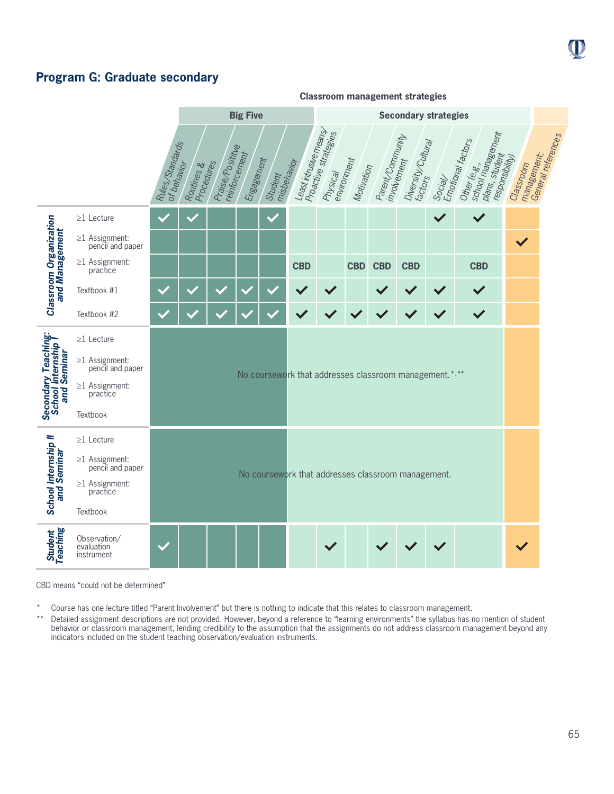# **Program G: Graduate secondary**



CBD means "could not be determined"

Course has one lecture titled "Parent Involvement" but there is nothing to indicate that this relates to classroom management.

\*\* Detailed assignment descriptions are not provided. However, beyond a reference to "learning environments" the syllabus has no mention of student behavior or classroom management, lending credibility to the assumption that the assignments do not address classroom management beyond any indicators included on the student teaching observation/evaluation instruments.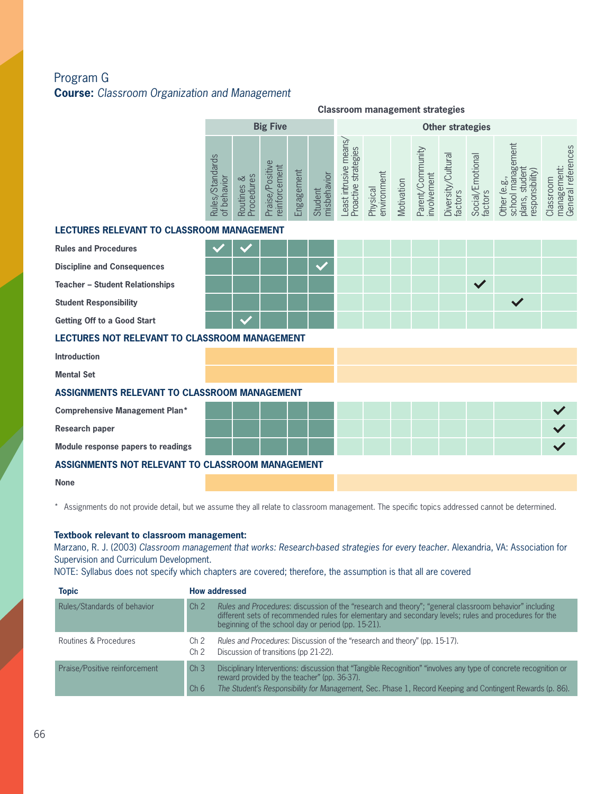# Program G **Course:** *Classroom Organization and Management*

|                                                      | <b>Classroom management strategies</b> |                          |                                 |            |                        |                                                |                         |            |                                 |                               |                             |                                                                        |                                                |
|------------------------------------------------------|----------------------------------------|--------------------------|---------------------------------|------------|------------------------|------------------------------------------------|-------------------------|------------|---------------------------------|-------------------------------|-----------------------------|------------------------------------------------------------------------|------------------------------------------------|
|                                                      |                                        |                          | <b>Big Five</b>                 |            |                        |                                                |                         |            |                                 | <b>Other strategies</b>       |                             |                                                                        |                                                |
|                                                      | Rules/Standards<br>of behavior         | Procedures<br>Routines & | Praise/Positive<br>einforcement | Engagement | misbehavior<br>Student | Least intrusive means/<br>Proactive strategies | environment<br>Physical | Motivation | Parent/Community<br>involvement | Diversity/Cultural<br>factors | Social/Emotional<br>factors | school management<br>plans, student<br>responsibility)<br>Other (e.g., | management:<br>General references<br>Classroom |
| <b>LECTURES RELEVANT TO CLASSROOM MANAGEMENT</b>     |                                        |                          |                                 |            |                        |                                                |                         |            |                                 |                               |                             |                                                                        |                                                |
| <b>Rules and Procedures</b>                          |                                        |                          |                                 |            |                        |                                                |                         |            |                                 |                               |                             |                                                                        |                                                |
| <b>Discipline and Consequences</b>                   |                                        |                          |                                 |            | $\checkmark$           |                                                |                         |            |                                 |                               |                             |                                                                        |                                                |
| <b>Teacher - Student Relationships</b>               |                                        |                          |                                 |            |                        |                                                |                         |            |                                 |                               | $\checkmark$                |                                                                        |                                                |
| <b>Student Responsibility</b>                        |                                        |                          |                                 |            |                        |                                                |                         |            |                                 |                               |                             | $\checkmark$                                                           |                                                |
| Getting Off to a Good Start                          |                                        |                          |                                 |            |                        |                                                |                         |            |                                 |                               |                             |                                                                        |                                                |
| <b>LECTURES NOT RELEVANT TO CLASSROOM MANAGEMENT</b> |                                        |                          |                                 |            |                        |                                                |                         |            |                                 |                               |                             |                                                                        |                                                |
| <b>Introduction</b>                                  |                                        |                          |                                 |            |                        |                                                |                         |            |                                 |                               |                             |                                                                        |                                                |
| <b>Mental Set</b>                                    |                                        |                          |                                 |            |                        |                                                |                         |            |                                 |                               |                             |                                                                        |                                                |
| ASSIGNMENTS RELEVANT TO CLASSROOM MANAGEMENT         |                                        |                          |                                 |            |                        |                                                |                         |            |                                 |                               |                             |                                                                        |                                                |
| <b>Comprehensive Management Plan*</b>                |                                        |                          |                                 |            |                        |                                                |                         |            |                                 |                               |                             |                                                                        | $\checkmark$                                   |
| <b>Research paper</b>                                |                                        |                          |                                 |            |                        |                                                |                         |            |                                 |                               |                             |                                                                        |                                                |
| Module response papers to readings                   |                                        |                          |                                 |            |                        |                                                |                         |            |                                 |                               |                             |                                                                        |                                                |
| ASSIGNMENTS NOT RELEVANT TO CLASSROOM MANAGEMENT     |                                        |                          |                                 |            |                        |                                                |                         |            |                                 |                               |                             |                                                                        |                                                |
| <b>None</b>                                          |                                        |                          |                                 |            |                        |                                                |                         |            |                                 |                               |                             |                                                                        |                                                |

\* Assignments do not provide detail, but we assume they all relate to classroom management. The specific topics addressed cannot be determined.

### **Textbook relevant to classroom management:**

Marzano, R. J. (2003) *Classroom management that works: Research-based strategies for every teacher*. Alexandria, VA: Association for Supervision and Curriculum Development.

NOTE: Syllabus does not specify which chapters are covered; therefore, the assumption is that all are covered

| <b>Topic</b>                  | <b>How addressed</b>               |                                                                                                                                                                                                                                                                               |  |  |  |  |  |  |  |  |  |
|-------------------------------|------------------------------------|-------------------------------------------------------------------------------------------------------------------------------------------------------------------------------------------------------------------------------------------------------------------------------|--|--|--|--|--|--|--|--|--|
| Rules/Standards of behavior   | Ch <sub>2</sub>                    | Rules and Procedures: discussion of the "research and theory"; "general classroom behavior" including<br>different sets of recommended rules for elementary and secondary levels; rules and procedures for the<br>beginning of the school day or period (pp. 15-21).          |  |  |  |  |  |  |  |  |  |
| Routines & Procedures         | Ch 2<br>Ch 2                       | Rules and Procedures: Discussion of the "research and theory" (pp. 15-17).<br>Discussion of transitions (pp 21-22).                                                                                                                                                           |  |  |  |  |  |  |  |  |  |
| Praise/Positive reinforcement | Ch <sub>3</sub><br>Ch <sub>6</sub> | Disciplinary Interventions: discussion that "Tangible Recognition" "involves any type of concrete recognition or<br>reward provided by the teacher" (pp. 36-37).<br>The Student's Responsibility for Management, Sec. Phase 1, Record Keeping and Contingent Rewards (p. 86). |  |  |  |  |  |  |  |  |  |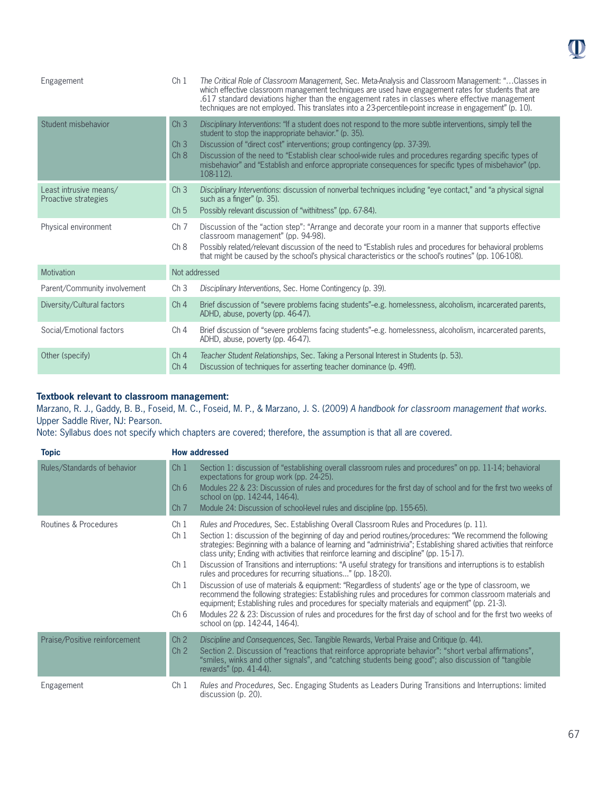| Engagement                                     | Ch <sub>1</sub>                            | The Critical Role of Classroom Management, Sec. Meta-Analysis and Classroom Management: "Classes in<br>which effective classroom management techniques are used have engagement rates for students that are<br>.617 standard deviations higher than the engagement rates in classes where effective management<br>techniques are not employed. This translates into a 23-percentile-point increase in engagement" (p. 10).                                                             |
|------------------------------------------------|--------------------------------------------|----------------------------------------------------------------------------------------------------------------------------------------------------------------------------------------------------------------------------------------------------------------------------------------------------------------------------------------------------------------------------------------------------------------------------------------------------------------------------------------|
| Student misbehavior                            | Ch <sub>3</sub><br>Ch <sub>3</sub><br>Ch 8 | Disciplinary Interventions: "If a student does not respond to the more subtle interventions, simply tell the<br>student to stop the inappropriate behavior." (p. 35).<br>Discussion of "direct cost" interventions; group contingency (pp. 37-39).<br>Discussion of the need to "Establish clear school-wide rules and procedures regarding specific types of<br>misbehavior" and "Establish and enforce appropriate consequences for specific types of misbehavior" (pp.<br>108-112). |
| Least intrusive means/<br>Proactive strategies | Ch <sub>3</sub><br>Ch <sub>5</sub>         | Disciplinary Interventions: discussion of nonverbal techniques including "eye contact," and "a physical signal<br>such as a finger" (p. 35).<br>Possibly relevant discussion of "withitness" (pp. 67-84).                                                                                                                                                                                                                                                                              |
| Physical environment                           | Ch <sub>7</sub><br>Ch 8                    | Discussion of the "action step": "Arrange and decorate your room in a manner that supports effective<br>classroom management" (pp. 94-98).<br>Possibly related/relevant discussion of the need to "Establish rules and procedures for behavioral problems<br>that might be caused by the school's physical characteristics or the school's routines" (pp. 106-108).                                                                                                                    |
| Motivation                                     |                                            | Not addressed                                                                                                                                                                                                                                                                                                                                                                                                                                                                          |
| Parent/Community involvement                   | Ch <sub>3</sub>                            | Disciplinary Interventions, Sec. Home Contingency (p. 39).                                                                                                                                                                                                                                                                                                                                                                                                                             |
| Diversity/Cultural factors                     | Ch <sub>4</sub>                            | Brief discussion of "severe problems facing students"-e.g. homelessness, alcoholism, incarcerated parents,<br>ADHD, abuse, poverty (pp. 46-47).                                                                                                                                                                                                                                                                                                                                        |
| Social/Emotional factors                       | Ch <sub>4</sub>                            | Brief discussion of "severe problems facing students"-e.g. homelessness, alcoholism, incarcerated parents,<br>ADHD, abuse, poverty (pp. 46-47).                                                                                                                                                                                                                                                                                                                                        |
| Other (specify)                                | Ch <sub>4</sub><br>Ch <sub>4</sub>         | Teacher Student Relationships, Sec. Taking a Personal Interest in Students (p. 53).<br>Discussion of techniques for asserting teacher dominance (p. 49ff).                                                                                                                                                                                                                                                                                                                             |

### **Textbook relevant to classroom management:**

Marzano, R. J., Gaddy, B. B., Foseid, M. C., Foseid, M. P., & Marzano, J. S. (2009) *A handbook for classroom management that works*. Upper Saddle River, NJ: Pearson.

Note: Syllabus does not specify which chapters are covered; therefore, the assumption is that all are covered.

| <b>Topic</b>                  | <b>How addressed</b>                                                                                                                                                                                                                                                                                                                                                                                                                                                                                                                                                                                                                                                                                                                                                                                                                                                                                                                                                                                                                                                                                                                                                        |
|-------------------------------|-----------------------------------------------------------------------------------------------------------------------------------------------------------------------------------------------------------------------------------------------------------------------------------------------------------------------------------------------------------------------------------------------------------------------------------------------------------------------------------------------------------------------------------------------------------------------------------------------------------------------------------------------------------------------------------------------------------------------------------------------------------------------------------------------------------------------------------------------------------------------------------------------------------------------------------------------------------------------------------------------------------------------------------------------------------------------------------------------------------------------------------------------------------------------------|
| Rules/Standards of behavior   | Section 1: discussion of "establishing overall classroom rules and procedures" on pp. 11-14; behavioral<br>Ch <sub>1</sub><br>expectations for group work (pp. 24-25).<br>Modules 22 & 23: Discussion of rules and procedures for the first day of school and for the first two weeks of<br>Ch <sub>6</sub><br>school on (pp. 142-44, 146-4).<br>Module 24: Discussion of school-level rules and discipline (pp. 155-65).<br>Ch <sub>7</sub>                                                                                                                                                                                                                                                                                                                                                                                                                                                                                                                                                                                                                                                                                                                                |
| Routines & Procedures         | Rules and Procedures, Sec. Establishing Overall Classroom Rules and Procedures (p. 11).<br>Ch 1<br>Section 1: discussion of the beginning of day and period routines/procedures: "We recommend the following<br>Ch <sub>1</sub><br>strategies: Beginning with a balance of learning and "administrivia"; Establishing shared activities that reinforce<br>class unity; Ending with activities that reinforce learning and discipline" (pp. 15-17).<br>Discussion of Transitions and interruptions: "A useful strategy for transitions and interruptions is to establish<br>Ch <sub>1</sub><br>rules and procedures for recurring situations" (pp. 18-20).<br>Discussion of use of materials & equipment: "Regardless of students' age or the type of classroom, we<br>Ch <sub>1</sub><br>recommend the following strategies: Establishing rules and procedures for common classroom materials and<br>equipment; Establishing rules and procedures for specialty materials and equipment" (pp. 21-3).<br>Ch <sub>6</sub><br>Modules 22 & 23: Discussion of rules and procedures for the first day of school and for the first two weeks of<br>school on (pp. 142-44, 146-4). |
| Praise/Positive reinforcement | Ch <sub>2</sub><br>Discipline and Consequences, Sec. Tangible Rewards, Verbal Praise and Critique (p. 44).<br>Section 2. Discussion of "reactions that reinforce appropriate behavior": "short verbal affirmations",<br>Ch <sub>2</sub><br>"smiles, winks and other signals", and "catching students being good"; also discussion of "tangible"<br>rewards" (pp. $41-44$ ).                                                                                                                                                                                                                                                                                                                                                                                                                                                                                                                                                                                                                                                                                                                                                                                                 |
| Engagement                    | Rules and Procedures, Sec. Engaging Students as Leaders During Transitions and Interruptions: limited<br>Ch 1<br>discussion (p. 20).                                                                                                                                                                                                                                                                                                                                                                                                                                                                                                                                                                                                                                                                                                                                                                                                                                                                                                                                                                                                                                        |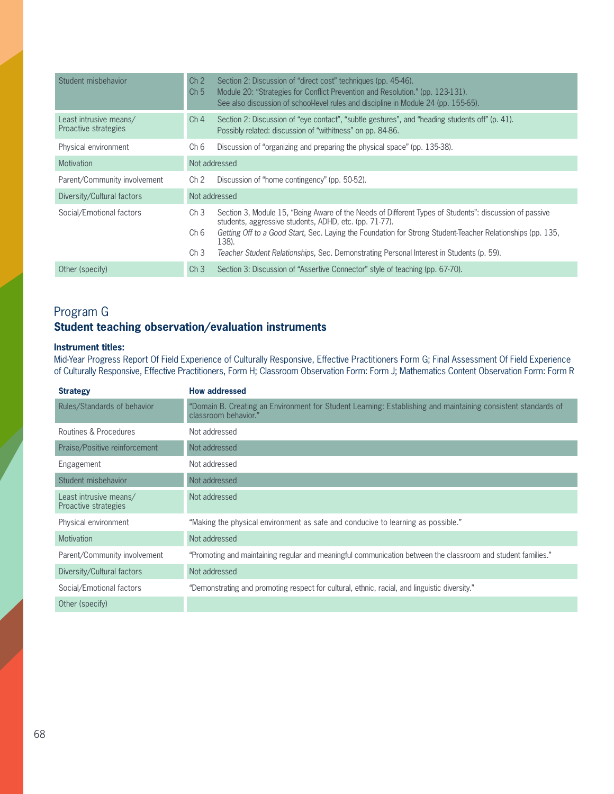| Student misbehavior                            | Ch <sub>2</sub><br>Ch <sub>5</sub>         | Section 2: Discussion of "direct cost" techniques (pp. 45-46).<br>Module 20: "Strategies for Conflict Prevention and Resolution." (pp. 123-131).<br>See also discussion of school-level rules and discipline in Module 24 (pp. 155-65).                                                                                                                                             |
|------------------------------------------------|--------------------------------------------|-------------------------------------------------------------------------------------------------------------------------------------------------------------------------------------------------------------------------------------------------------------------------------------------------------------------------------------------------------------------------------------|
| Least intrusive means/<br>Proactive strategies | Ch <sub>4</sub>                            | Section 2: Discussion of "eye contact", "subtle gestures", and "heading students off" (p. 41).<br>Possibly related: discussion of "withitness" on pp. 84-86.                                                                                                                                                                                                                        |
| Physical environment                           | Ch 6                                       | Discussion of "organizing and preparing the physical space" (pp. 135-38).                                                                                                                                                                                                                                                                                                           |
| <b>Motivation</b>                              |                                            | Not addressed                                                                                                                                                                                                                                                                                                                                                                       |
| Parent/Community involvement                   | Ch <sub>2</sub>                            | Discussion of "home contingency" (pp. 50-52).                                                                                                                                                                                                                                                                                                                                       |
| Diversity/Cultural factors                     |                                            | Not addressed                                                                                                                                                                                                                                                                                                                                                                       |
| Social/Emotional factors                       | Ch <sub>3</sub><br>Ch 6<br>Ch <sub>3</sub> | Section 3, Module 15, "Being Aware of the Needs of Different Types of Students": discussion of passive<br>students, aggressive students, ADHD, etc. (pp. 71-77).<br>Getting Off to a Good Start, Sec. Laying the Foundation for Strong Student-Teacher Relationships (pp. 135,<br>138).<br>Teacher Student Relationships, Sec. Demonstrating Personal Interest in Students (p. 59). |
| Other (specify)                                | Ch <sub>3</sub>                            | Section 3: Discussion of "Assertive Connector" style of teaching (pp. 67-70).                                                                                                                                                                                                                                                                                                       |

# Program G **Student teaching observation/evaluation instruments**

### **Instrument titles:**

**2013** Mid-Year Progress Report Of Field Experience of Culturally Responsive, Effective Practitioners Form G; Final Assessment Of Field Experience of Culturally Responsive, Effective Practitioners, Form H; Classroom Observation Form: Form J; Mathematics Content Observation Form: Form R

| <b>Strategy</b>                                | <b>How addressed</b>                                                                                                                  |
|------------------------------------------------|---------------------------------------------------------------------------------------------------------------------------------------|
| Rules/Standards of behavior                    | "Domain B. Creating an Environment for Student Learning: Establishing and maintaining consistent standards of<br>classroom behavior." |
| Routines & Procedures                          | Not addressed                                                                                                                         |
| Praise/Positive reinforcement                  | Not addressed                                                                                                                         |
| Engagement                                     | Not addressed                                                                                                                         |
| Student misbehavior                            | Not addressed                                                                                                                         |
| Least intrusive means/<br>Proactive strategies | Not addressed                                                                                                                         |
| Physical environment                           | "Making the physical environment as safe and conducive to learning as possible."                                                      |
| <b>Motivation</b>                              | Not addressed                                                                                                                         |
| Parent/Community involvement                   | "Promoting and maintaining regular and meaningful communication between the classroom and student families."                          |
| Diversity/Cultural factors                     | Not addressed                                                                                                                         |
| Social/Emotional factors                       | "Demonstrating and promoting respect for cultural, ethnic, racial, and linguistic diversity."                                         |
| Other (specify)                                |                                                                                                                                       |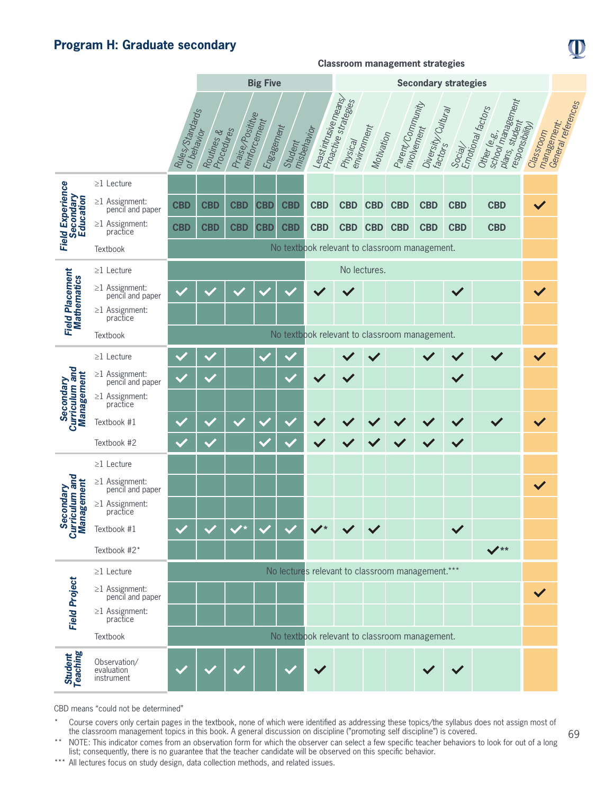# **Program H: Graduate secondary**

|                                           |                                          |                                               |                          |                  | <b>Big Five</b>             |                        | <b>Secondary strategies</b> |                                  |                           |                                                  |                    |              |                                                                                     |                                             |                    |
|-------------------------------------------|------------------------------------------|-----------------------------------------------|--------------------------|------------------|-----------------------------|------------------------|-----------------------------|----------------------------------|---------------------------|--------------------------------------------------|--------------------|--------------|-------------------------------------------------------------------------------------|---------------------------------------------|--------------------|
|                                           |                                          | Rules Standards<br>of behavior                | Procedures<br>Routines & | Praise/Posititue | reinforcement<br>Engagement | misbehavior<br>Student | Least intrusive means       | Proactive strategies<br>Physical | environment<br>Motivation | Parent/Community<br>involvement                  | Diversity/Cultural |              | school management<br>Social/<br>Emotional factors<br>plans, student<br>Other (e.g., | management:<br>responsibility)<br>Classroom | General references |
|                                           | $\geq$ 1 Lecture                         |                                               |                          |                  |                             |                        |                             |                                  |                           |                                                  |                    |              |                                                                                     |                                             |                    |
| Secondary<br>Education                    | $\geq$ 1 Assignment:<br>pencil and paper | <b>CBD</b>                                    | <b>CBD</b>               | <b>CBD</b>       | <b>CBD</b>                  | <b>CBD</b>             | <b>CBD</b>                  | <b>CBD</b>                       | <b>CBD</b>                | <b>CBD</b>                                       | <b>CBD</b>         | <b>CBD</b>   | <b>CBD</b>                                                                          |                                             |                    |
| <b>Field Experience</b>                   | $\geq$ 1 Assignment:<br>practice         | <b>CBD</b>                                    | <b>CBD</b>               | <b>CBD</b>       | <b>CBD</b>                  | <b>CBD</b>             | <b>CBD</b>                  | <b>CBD</b>                       | <b>CBD</b>                | <b>CBD</b>                                       | <b>CBD</b>         | <b>CBD</b>   | <b>CBD</b>                                                                          |                                             |                    |
|                                           | Textbook                                 |                                               |                          |                  |                             |                        |                             |                                  |                           | No textbook relevant to classroom management.    |                    |              |                                                                                     |                                             |                    |
|                                           | $\geq$ 1 Lecture                         |                                               | No lectures.             |                  |                             |                        |                             |                                  |                           |                                                  |                    |              |                                                                                     |                                             |                    |
| <b>Field Placement</b><br>Mathematics     | $\geq$ 1 Assignment:<br>pencil and paper |                                               |                          |                  |                             |                        |                             |                                  |                           |                                                  |                    | $\checkmark$ |                                                                                     | $\checkmark$                                |                    |
|                                           | $\geq$ 1 Assignment:<br>practice         |                                               |                          |                  |                             |                        |                             |                                  |                           |                                                  |                    |              |                                                                                     |                                             |                    |
|                                           | Textbook                                 | No textbook relevant to classroom management. |                          |                  |                             |                        |                             |                                  |                           |                                                  |                    |              |                                                                                     |                                             |                    |
| Secondary<br>Curriculum and               | $\geq$ 1 Lecture                         |                                               |                          |                  |                             |                        |                             |                                  |                           |                                                  |                    |              |                                                                                     |                                             |                    |
|                                           | $\geq$ 1 Assignment:<br>pencil and paper |                                               |                          |                  |                             |                        |                             |                                  |                           |                                                  |                    | $\checkmark$ |                                                                                     |                                             |                    |
| Management                                | $\geq$ 1 Assignment:<br>practice         |                                               |                          |                  |                             |                        |                             |                                  |                           |                                                  |                    |              |                                                                                     |                                             |                    |
|                                           | Textbook #1                              |                                               |                          |                  |                             |                        |                             |                                  |                           |                                                  |                    |              |                                                                                     |                                             |                    |
|                                           | Textbook #2                              |                                               |                          |                  |                             |                        |                             |                                  |                           |                                                  |                    |              |                                                                                     |                                             |                    |
|                                           | $\geq$ 1 Lecture                         |                                               |                          |                  |                             |                        |                             |                                  |                           |                                                  |                    |              |                                                                                     |                                             |                    |
|                                           | $\geq$ 1 Assignment:<br>pencil and paper |                                               |                          |                  |                             |                        |                             |                                  |                           |                                                  |                    |              |                                                                                     | $\checkmark$                                |                    |
| Secondary<br>Curriculum and<br>Management | $\geq$ 1 Assignment:<br>practice         |                                               |                          |                  |                             |                        |                             |                                  |                           |                                                  |                    |              |                                                                                     |                                             |                    |
|                                           | Textbook #1                              |                                               |                          |                  |                             |                        |                             |                                  |                           |                                                  |                    |              |                                                                                     |                                             |                    |
|                                           | Textbook #2*                             |                                               |                          |                  |                             |                        |                             |                                  |                           |                                                  |                    |              | $\sqrt{**}$                                                                         |                                             |                    |
|                                           | $\geq$ 1 Lecture                         |                                               |                          |                  |                             |                        |                             |                                  |                           | No lectures relevant to classroom management.*** |                    |              |                                                                                     |                                             |                    |
|                                           | $\geq$ 1 Assignment:<br>pencil and paper |                                               |                          |                  |                             |                        |                             |                                  |                           |                                                  |                    |              |                                                                                     | $\checkmark$                                |                    |
| <b>Field Project</b>                      | $\geq$ 1 Assignment:<br>practice         |                                               |                          |                  |                             |                        |                             |                                  |                           |                                                  |                    |              |                                                                                     |                                             |                    |
|                                           | Textbook                                 |                                               |                          |                  |                             |                        |                             |                                  |                           | No textbook relevant to classroom management.    |                    |              |                                                                                     |                                             |                    |
| Student<br>Teaching                       | Observation/<br>evaluation<br>instrument |                                               |                          |                  |                             |                        |                             |                                  |                           |                                                  |                    |              |                                                                                     |                                             |                    |

**Classroom management strategies**

CBD means "could not be determined"

\* Course covers only certain pages in the textbook, none of which were identified as addressing these topics/the syllabus does not assign most of the classroom management topics in this book. A general discussion on discipline ("promoting self discipline") is covered.

\*\* NOTE: This indicator comes from an observation form for which the observer can select a few specific teacher behaviors to look for out of a long list; consequently, there is no guarantee that the teacher candidate will be observed on this specific behavior.

\*\*\* All lectures focus on study design, data collection methods, and related issues.

D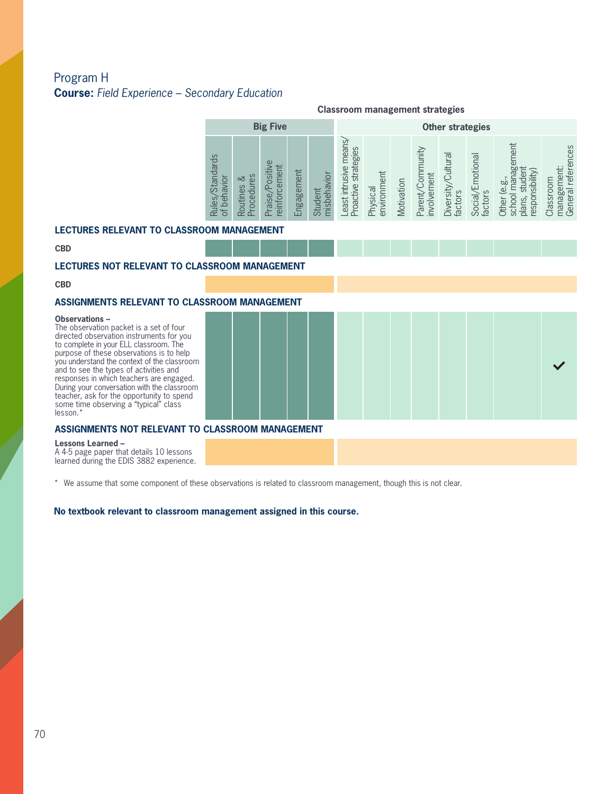# Program H **Course:** *Field Experience – Secondary Education*

|                                                            |               | <b>Big Five</b>                                                                        |                |             |                                                                           | <b>Classroom management strategies</b><br><b>Other strategies</b> |            |                                   |                                             |                                          |                                                      |                                   |  |  |
|------------------------------------------------------------|---------------|----------------------------------------------------------------------------------------|----------------|-------------|---------------------------------------------------------------------------|-------------------------------------------------------------------|------------|-----------------------------------|---------------------------------------------|------------------------------------------|------------------------------------------------------|-----------------------------------|--|--|
| $\circ$<br>andard<br>yior<br>$\overline{\mathbb{Q}}$<br>es | చ<br>Routines | nent<br>泊<br>$\overline{\mathcal{S}}$<br>cem<br>ധ<br>intor<br>$\overline{\sigma}$<br>Φ | lent<br>ngagem | ior<br>dair | ear<br>ഗ<br>egie<br>ਨਿੰ<br>Œ<br><b>AISI</b><br>눉<br>roactive<br>計<br>east | ent<br>Physical<br>environm                                       | Motivation | unity<br>involvement<br>ō<br>arer | $\overline{\sigma}$<br>Diversity<br>factors | notional<br>$\omega$<br>Social<br>factor | sibility<br>ъ<br>logsə<br>ົດ<br>$\bar{\overline{2}}$ | referer<br>lassroom<br>ಯ<br>Gener |  |  |

#### **LECTURES RELEVANT TO CLASSROOM MANAGEMENT**

**CBD**

### **LECTURES NOT RELEVANT TO CLASSROOM MANAGEMENT**

**CBD**

### **ASSIGNMENTS RELEVANT TO CLASSROOM MANAGEMENT**

#### **Observations –**

to complete in your ELL classroom. The<br>purpose of these observations is to help<br>you understand the context of the classroo The observation packet is a set of four directed observation instruments for you to complete in your ELL classroom. The you understand the context of the classroom and to see the types of activities and responses in which teachers are engaged. During your conversation with the classroom teacher, ask for the opportunity to spend some time observing a "typical" class lesson.\*

### **ASSIGNMENTS NOT RELEVANT TO CLASSROOM MANAGEMENT**

**Lessons Learned –** 

A 4-5 page paper that details 10 lessons learned during the EDIS 3882 experience.

\* We assume that some component of these observations is related to classroom management, though this is not clear.

#### **No textbook relevant to classroom management assigned in this course.**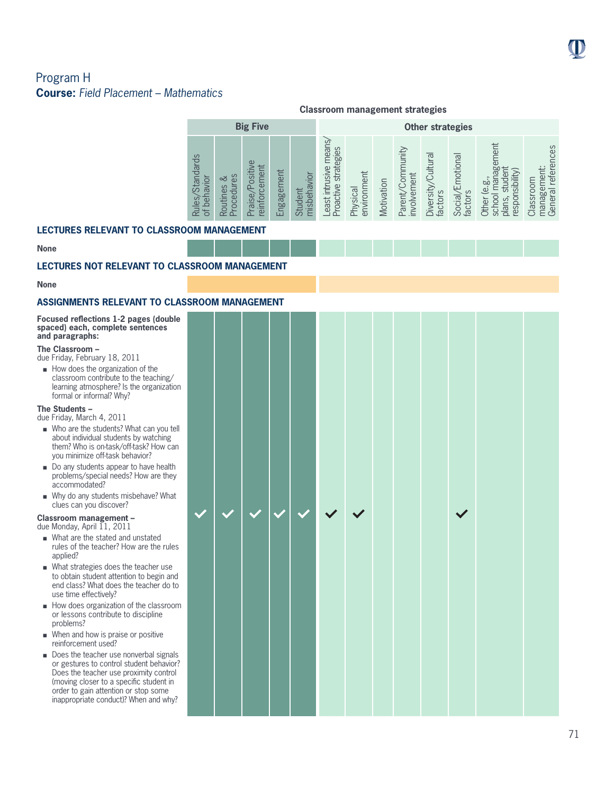# Program H **Course:** *Field Placement – Mathematics*

|                                                  |                                                                  | <b>Classroom management strategies</b> |                                                                     |                 |                             |                                                                                                        |                             |            |                                                |                                           |                                                  |                                                                     |                                                                                     |  |
|--------------------------------------------------|------------------------------------------------------------------|----------------------------------------|---------------------------------------------------------------------|-----------------|-----------------------------|--------------------------------------------------------------------------------------------------------|-----------------------------|------------|------------------------------------------------|-------------------------------------------|--------------------------------------------------|---------------------------------------------------------------------|-------------------------------------------------------------------------------------|--|
|                                                  |                                                                  |                                        | <b>Big Five</b>                                                     |                 |                             | <b>Other strategies</b>                                                                                |                             |            |                                                |                                           |                                                  |                                                                     |                                                                                     |  |
|                                                  | <b>Standards</b><br>$\bar{\circ}$<br><b>Rules</b><br>ල<br>ප<br>ď | es<br>∞<br>ΘS<br>Routin<br>Proce       | ல<br>Ξ<br>it.<br>S<br>0<br>Φ<br>Ξ<br>ದ<br>φ,<br>$\overline{\Omega}$ | lent<br>Engagem | iol<br>Student<br>sbel<br>Ē | means/<br>egies<br>usive<br>ਨ<br>븠<br>$\omega$<br>È<br>÷.<br><b>east</b><br>oac<br>$\overline{\Omega}$ | ent<br>environm<br>Physical | Motivation | ommunity<br>ment<br>$\omega$<br>Parent<br>nvol | leurlu:<br>sity<br>ပ္ပ<br>factor<br>Diver | motional<br>щ<br>$\omega$<br>Social <sub>z</sub> | ment<br>මි<br>bí<br>respor<br>8<br>$\overline{5}$<br>plar<br>š<br>吉 | ces<br>岂<br>efer<br>mei<br>Classroom<br>සි<br>$\overline{\sigma}$<br>manag<br>Gener |  |
| <b>LECTURES RELEVANT TO CLASSROOM MANAGEMENT</b> |                                                                  |                                        |                                                                     |                 |                             |                                                                                                        |                             |            |                                                |                                           |                                                  |                                                                     |                                                                                     |  |

#### **None**

### **LECTURES NOT RELEVANT TO CLASSROOM MANAGEMENT**

#### **None**

# **ASSIGNMENTS RELEVANT TO CLASSROOM MANAGEMENT**

| Focused reflections 1-2 pages (double)<br>spaced) each, complete sentences<br>and paragraphs:                                                                                                                                                                                                                                                                                          |  |  |  |  |  |  |
|----------------------------------------------------------------------------------------------------------------------------------------------------------------------------------------------------------------------------------------------------------------------------------------------------------------------------------------------------------------------------------------|--|--|--|--|--|--|
| The Classroom -<br>due Friday, February 18, 2011<br>How does the organization of the<br>classroom contribute to the teaching/<br>learning atmosphere? Is the organization<br>formal or informal? Why?                                                                                                                                                                                  |  |  |  |  |  |  |
| The Students -<br>due Friday, March 4, 2011<br>■ Who are the students? What can you tell<br>about individual students by watching<br>them? Who is on-task/off-task? How can<br>vou minimize off-task behavior?<br>■ Do any students appear to have health<br>problems/special needs? How are they<br>accommodated?<br>■ Why do any students misbehave? What<br>clues can you discover? |  |  |  |  |  |  |
| Classroom management -<br>due Monday, April 11, 2011                                                                                                                                                                                                                                                                                                                                   |  |  |  |  |  |  |
| ■ What are the stated and unstated<br>rules of the teacher? How are the rules<br>applied?<br>• What strategies does the teacher use<br>to obtain student attention to begin and<br>end class? What does the teacher do to<br>use time effectively?                                                                                                                                     |  |  |  |  |  |  |
| How does organization of the classroom<br>or lessons contribute to discipline<br>problems?                                                                                                                                                                                                                                                                                             |  |  |  |  |  |  |
| ■ When and how is praise or positive<br>reinforcement used?                                                                                                                                                                                                                                                                                                                            |  |  |  |  |  |  |
| Does the teacher use nonverbal signals<br>or gestures to control student behavior?<br>Does the teacher use proximity control<br>(moving closer to a specific student in<br>order to gain attention or stop some<br>inappropriate conduct)? When and why?                                                                                                                               |  |  |  |  |  |  |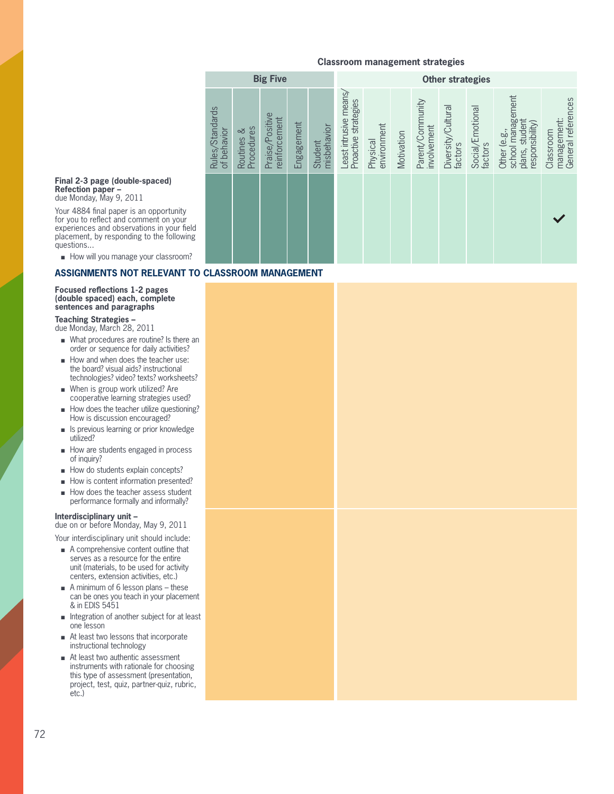|                                |                          | <b>Big Five</b>                  |            |                        |                                                |                         |            |                                 | <b>Other strategies</b>       |                             |                                                                        |                                                |
|--------------------------------|--------------------------|----------------------------------|------------|------------------------|------------------------------------------------|-------------------------|------------|---------------------------------|-------------------------------|-----------------------------|------------------------------------------------------------------------|------------------------------------------------|
| Rules/Standards<br>of behavior | Procedures<br>Routines & | Praise/Positive<br>reinforcement | Engagement | misbehavior<br>Student | Least intrusive means/<br>Proactive strategies | environment<br>Physical | Motivation | Parent/Community<br>involvement | Diversity/Cultural<br>factors | Social/Emotional<br>factors | school management<br>plans, student<br>responsibility)<br>Other (e.g., | General references<br>management:<br>Classroom |
|                                |                          |                                  |            |                        |                                                |                         |            |                                 |                               |                             |                                                                        |                                                |

#### **Final 2-3 page (double-spaced) Refection paper –**

due Monday, May 9, 2011

Your 4884 final paper is an opportunity for you to reflect and comment on your experiences and observations in your field placement, by responding to the following questions...

How will you manage your classroom?

### **ASSIGNMENTS NOT RELEVANT TO CLASSROOM MANAGEMENT**

#### **Focused reflections 1-2 pages (double spaced) each, complete sentences and paragraphs**

#### **Teaching Strategies –**

due Monday, March 28, 2011

- <sup>n</sup> What procedures are routine? Is there an order or sequence for daily activities?
- order or sequence for daily activities?<br>■ How and when does the teacher use:<br>the board? visual aids? instructional the board? visual aids? instructional technologies? video? texts? worksheets?
	- $\blacksquare$  When is group work utilized? Are cooperative learning strategies used?
	- **n** How does the teacher utilize questioning? How is discussion encouraged?
	- **n** Is previous learning or prior knowledge utilized?
	- $\blacksquare$  How are students engaged in process of inquiry?
	- $\blacksquare$  How do students explain concepts?
	- How is content information presented?
	- **n** How does the teacher assess student performance formally and informally?

#### **Interdisciplinary unit –**

due on or before Monday, May 9, 2011 Your interdisciplinary unit should include:

- $\blacksquare$  A comprehensive content outline that serves as a resource for the entire unit (materials, to be used for activity centers, extension activities, etc.)
- $A$  minimum of 6 lesson plans these can be ones you teach in your placement & in EDIS 5451
- $\blacksquare$  Integration of another subject for at least one lesson
- At least two lessons that incorporate instructional technology
- At least two authentic assessment instruments with rationale for choosing this type of assessment (presentation, project, test, quiz, partner-quiz, rubric, etc.)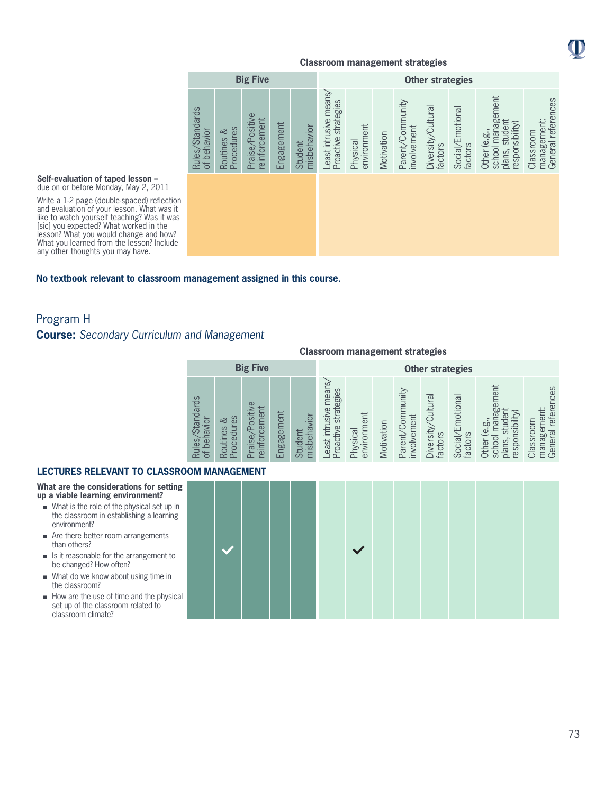

|                                |                             | <b>Big Five</b>                  |            |                        |                                                |                         |            |                                 | <b>Other strategies</b>       |                             |                                                                        |                                                |
|--------------------------------|-----------------------------|----------------------------------|------------|------------------------|------------------------------------------------|-------------------------|------------|---------------------------------|-------------------------------|-----------------------------|------------------------------------------------------------------------|------------------------------------------------|
| Rules/Standards<br>of behavior | Procedures<br>ವ<br>Routines | Praise/Positive<br>reinforcement | Engagement | misbehavior<br>Student | Least intrusive means/<br>Proactive strategies | environment<br>Physical | Motivation | Parent/Community<br>involvement | Diversity/Cultural<br>factors | Social/Emotional<br>factors | Other (e.g.,<br>school management<br>plans, student<br>responsibility) | General references<br>management:<br>Classroom |

#### **Self-evaluation of taped lesson –** due on or before Monday, May 2, 2011

Write a 1-2 page (double-spaced) reflection and evaluation of your lesson. What was it like to watch yourself teaching? Was it was [sic] you expected? What worked in the lesson? What you would change and how? What you learned from the lesson? Include any other thoughts you may have.

### **No textbook relevant to classroom management assigned in this course.**

# Program H

### **Course:** *Secondary Curriculum and Management*

#### **Classroom management strategies**

|                                                    |                                          | <b>Big Five</b>                                      |                |                                             |                                                 |                         |            |                                         | <b>Other strategies</b>                                 |                                                 |                                                                                              |                                                                   |
|----------------------------------------------------|------------------------------------------|------------------------------------------------------|----------------|---------------------------------------------|-------------------------------------------------|-------------------------|------------|-----------------------------------------|---------------------------------------------------------|-------------------------------------------------|----------------------------------------------------------------------------------------------|-------------------------------------------------------------------|
| <b>Standards</b><br>behavior<br>Rules/<br>$\sigma$ | ΘS<br>చ<br>$\sigma$<br>ocedur<br>Routine | $\omega$<br>nent<br>ositi<br>cen<br>aise,<br>reinfor | ngagement<br>ш | <b>isbehavior</b><br><b>udent</b><br>お<br>⋿ | east intrusive means<br>strategies<br>Proactive | Physical<br>environment | Motivation | ytinum<br>involvement<br>noc<br>Parent/ | $\overline{\sigma}$<br>Cultur:<br>Diversity,<br>factors | motional<br>屯<br>factors<br>Social <sub>/</sub> | ment<br>ه<br>অ<br>hsibility<br>e.g<br>espor<br>lans,<br>schoo<br>Other<br>$\overline{\circ}$ | references<br>ent:<br>Classroom<br>Φ<br>General<br>$\overline{a}$ |

#### **LECTURES RELEVANT TO CLASSRO**

**What are the considerations for setting up a viable learning environment?**

- <sup>n</sup> What is the role of the physical set up in the classroom in establishing a learning environment?
- n Are there better room arrangements than others?
- Is it reasonable for the arrangement to be changed? How often?
- What do we know about using time in the classroom?
- $\blacksquare$  How are the use of time and the physical set up of the classroom related to classroom climate?

|  | OOM MANAGEMENT |  |  |  |  |  |
|--|----------------|--|--|--|--|--|
|  |                |  |  |  |  |  |
|  |                |  |  |  |  |  |
|  |                |  |  |  |  |  |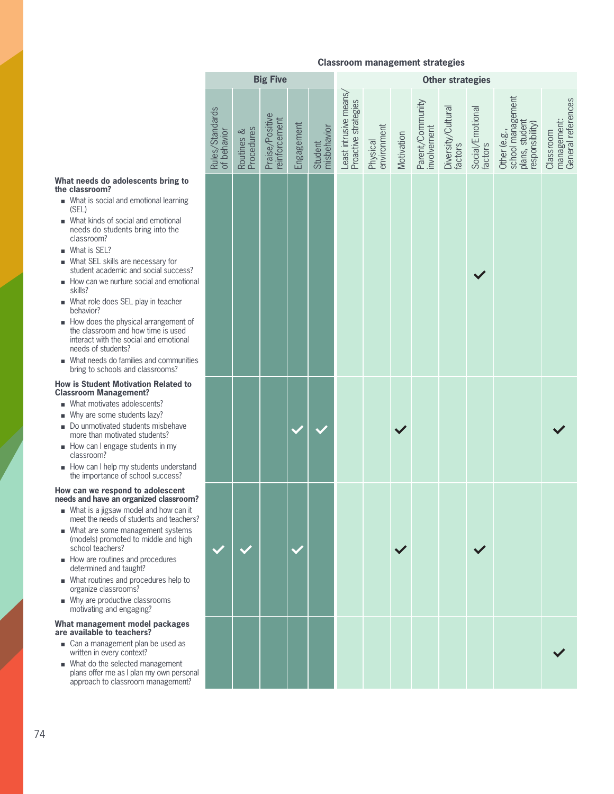|                                                      |                                |                          | <b>Big Five</b>                  |            |                        |                                                |                         |              |                                 | Other strategies              |                             |                                                                        |                                                |
|------------------------------------------------------|--------------------------------|--------------------------|----------------------------------|------------|------------------------|------------------------------------------------|-------------------------|--------------|---------------------------------|-------------------------------|-----------------------------|------------------------------------------------------------------------|------------------------------------------------|
|                                                      | Rules/Standards<br>of behavior | Routines &<br>Procedures | Praise/Positive<br>reinforcement | Engagement | misbehavior<br>Student | Least intrusive means/<br>Proactive strategies | Physical<br>environment | Motivation   | Parent/Community<br>involvement | Diversity/Cultural<br>factors | Social/Emotional<br>factors | school management<br>plans, student<br>responsibility)<br>Other (e.g., | management:<br>General references<br>Classroom |
| ; to                                                 |                                |                          |                                  |            |                        |                                                |                         |              |                                 |                               |                             |                                                                        |                                                |
| ing                                                  |                                |                          |                                  |            |                        |                                                |                         |              |                                 |                               |                             |                                                                        |                                                |
| al<br>!                                              |                                |                          |                                  |            |                        |                                                |                         |              |                                 |                               |                             |                                                                        |                                                |
|                                                      |                                |                          |                                  |            |                        |                                                |                         |              |                                 |                               |                             |                                                                        |                                                |
| ess?<br>otional                                      |                                |                          |                                  |            |                        |                                                |                         |              |                                 |                               |                             |                                                                        |                                                |
| :r                                                   |                                |                          |                                  |            |                        |                                                |                         |              |                                 |                               |                             |                                                                        |                                                |
| ent of<br>ed<br>onal                                 |                                |                          |                                  |            |                        |                                                |                         |              |                                 |                               |                             |                                                                        |                                                |
| unities                                              |                                |                          |                                  |            |                        |                                                |                         |              |                                 |                               |                             |                                                                        |                                                |
| d to                                                 |                                |                          |                                  |            |                        |                                                |                         |              |                                 |                               |                             |                                                                        |                                                |
| ive                                                  |                                |                          |                                  |            |                        |                                                |                         |              |                                 |                               |                             |                                                                        |                                                |
| stand<br>?                                           |                                |                          |                                  |            |                        |                                                |                         |              |                                 |                               |                             |                                                                        |                                                |
| <b>nt<br/>oom?</b><br>an it<br>chers?<br>ems<br>high |                                |                          |                                  |            |                        |                                                |                         | $\checkmark$ |                                 |                               | $\checkmark$                |                                                                        |                                                |
| p to                                                 |                                |                          |                                  |            |                        |                                                |                         |              |                                 |                               |                             |                                                                        |                                                |
| ges                                                  |                                |                          |                                  |            |                        |                                                |                         |              |                                 |                               |                             |                                                                        |                                                |
| as                                                   |                                |                          |                                  |            |                        |                                                |                         |              |                                 |                               |                             |                                                                        |                                                |
| ıt<br>ersonal<br>ent?                                |                                |                          |                                  |            |                        |                                                |                         |              |                                 |                               |                             |                                                                        |                                                |

#### **What needs do adolescents bring the classroom?**

- $\blacksquare$  What is social and emotional learni (SEL)
- **n** What kinds of social and emotional needs do students bring into the classroom?
- **No What is SEL?**
- What SEL skills are necessary for student academic and social succe
- $\blacksquare$  How can we nurture social and emotion skills?
- What role does SEL play in teacher behavior?
- $\blacksquare$  How does the physical arrangement the classroom and how time is use interact with the social and emotion needs of students?
- needs of students?<br>■ What needs do families and communities<br>htips to cobook and classrooms? bring to schools and classrooms?

#### **How is Student Motivation Related Classroom Management?**

- What motivates adolescents?
- $\blacksquare$  Why are some students lazy?
- $\Box$  Do unmotivated students misbehave more than motivated students?
- **n** How can I engage students in my classroom?
- $\blacksquare$  How can I help my students unders the importance of school success?

#### **How can we respond to adolescent needs and have an organized classre**

- $\blacksquare$  What is a jigsaw model and how ca meet the needs of students and tead
- $\blacksquare$  What are some management systems (models) promoted to middle and school teachers?
- $\blacksquare$  How are routines and procedures determined and taught?
- $\blacksquare$  What routines and procedures help organize classrooms?
- **Now My are productive classrooms** motivating and engaging?

#### **What management model packag are available to teachers?**

- $\Box$  Can a management plan be used written in every context?
- $\blacksquare$  What do the selected management plans offer me as I plan my own pe approach to classroom manageme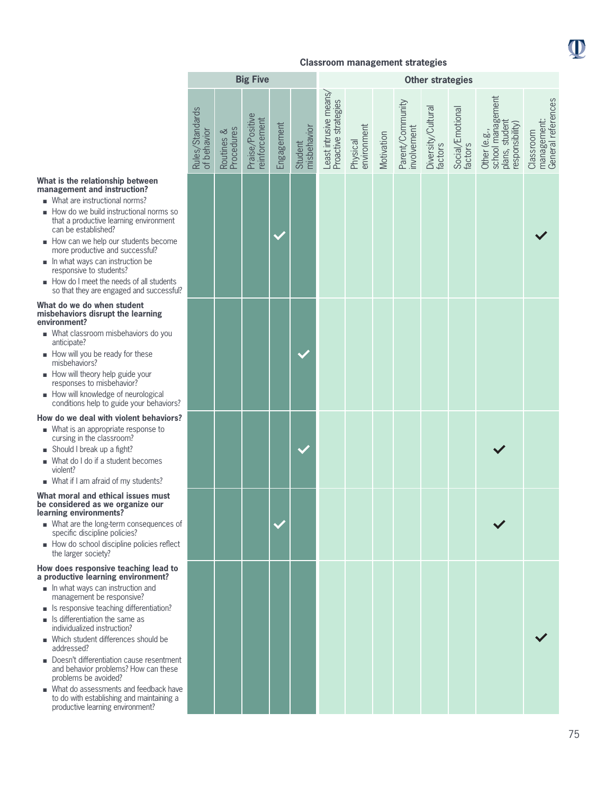

|  |  |  | What is the relationship between |
|--|--|--|----------------------------------|
|  |  |  | management and instruction?      |

- What are instructional norms?
- $\blacksquare$  How do we build instructional norms so that a productive learning environment can be established?
- How can we help our students become more productive and successful?
- $\blacksquare$  In what ways can instruction be responsive to students?
- <sup>n</sup> How do I meet the needs of all students so that they are engaged and successful?

#### **What do we do when student misbehaviors disrupt the learning environment?**

- What classroom misbehaviors do you anticipate?
- $\blacksquare$  How will you be ready for these misbehaviors?
- $\blacksquare$  How will theory help guide your responses to misbehavior?
- How will knowledge of neurological conditions help to guide your behaviors?

#### **How do we deal with violent behaviors?**

- $\blacksquare$  What is an appropriate response to cursing in the classroom?
- $\Box$  Should I break up a fight?
- $\blacksquare$  What do I do if a student becomes violent?
- What if I am afraid of my students?

#### **What moral and ethical issues must be considered as we organize our learning environments?**

- $\blacksquare$  What are the long-term consequences of specific discipline policies?
- <sup>n</sup> How do school discipline policies reflect the larger society?

#### **How does responsive teaching lead to a productive learning environment?**

- $\blacksquare$  In what ways can instruction and management be responsive?
- $\blacksquare$  Is responsive teaching differentiation?
- $\blacksquare$  Is differentiation the same as individualized instruction?
- $\blacksquare$  Which student differences should be addressed?
- Doesn't differentiation cause resentment and behavior problems? How can these problems be avoided?
- What do assessments and feedback have to do with establishing and maintaining a productive learning environment?

|                                |                          | <b>Big Five</b>                  |            |                        | <b>Other strategies</b>                        |                         |            |                                 |                               |                             |                                                                        |                                                |
|--------------------------------|--------------------------|----------------------------------|------------|------------------------|------------------------------------------------|-------------------------|------------|---------------------------------|-------------------------------|-----------------------------|------------------------------------------------------------------------|------------------------------------------------|
| Rules/Standards<br>of behavior | Procedures<br>Routines & | Praise/Positive<br>reinforcement | Engagement | misbehavior<br>Student | Least intrusive means/<br>Proactive strategies | Physical<br>environment | Motivation | Parent/Community<br>involvement | Diversity/Cultural<br>factors | Social/Emotional<br>factors | school management<br>plans, student<br>responsibility)<br>Other (e.g., | General references<br>management:<br>Classroom |
|                                |                          |                                  |            |                        |                                                |                         |            |                                 |                               |                             |                                                                        |                                                |
|                                |                          |                                  |            |                        |                                                |                         |            |                                 |                               |                             |                                                                        |                                                |
|                                |                          |                                  |            |                        |                                                |                         |            |                                 |                               |                             |                                                                        |                                                |
|                                |                          |                                  |            |                        |                                                |                         |            |                                 |                               |                             |                                                                        |                                                |
|                                |                          |                                  |            |                        |                                                |                         |            |                                 |                               |                             |                                                                        |                                                |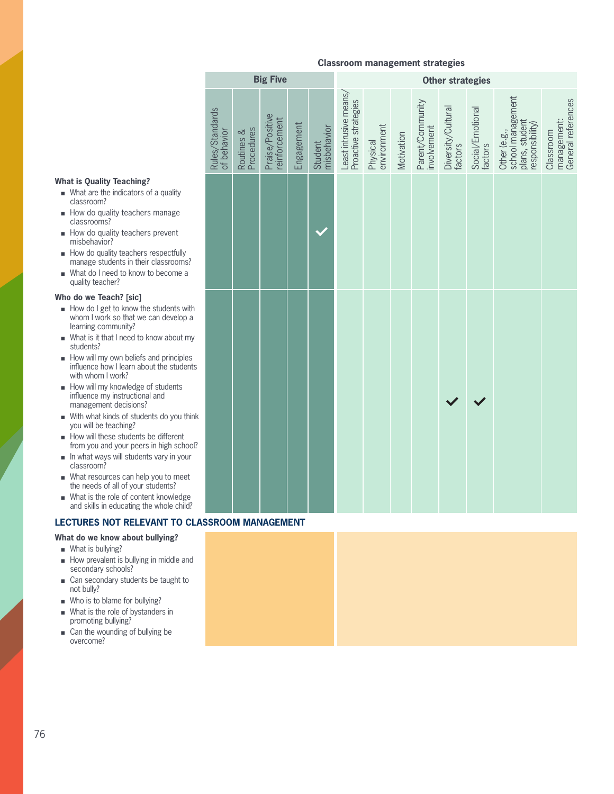# **What is Quality Teaching?**

- $\blacksquare$  What are the indicators of a quality classroom?
- $\blacksquare$  How do quality teachers manage classrooms?
- $\blacksquare$  How do quality teachers prevent misbehavior?
- $\blacksquare$  How do quality teachers respectfully manage students in their classrooms?
- $\blacksquare$  What do I need to know to become a quality teacher?

#### **Who do we Teach? [sic]**

- $\blacksquare$  How do I get to know the students with whom I work so that we can develop a learning community?
- $\blacksquare$  What is it that I need to know about my students?
- students?<br>■ How will my own beliefs and principles<br>influence how I learn about the student influence how I learn about the students with whom I work?
	- $\blacksquare$  How will my knowledge of students influence my instructional and management decisions?
	- $\blacksquare$  With what kinds of students do you think you will be teaching?
	- $\blacksquare$  How will these students be different from you and your peers in high school?
	- $\blacksquare$  In what ways will students vary in your classroom?
	- $\blacksquare$  What resources can help you to meet the needs of all of your students?
	- $\blacksquare$  What is the role of content knowledge and skills in educating the whole child?

### **LECTURES NOT RELEVANT TO CLASSROOM MANAGEMENT**

#### **What do we know about bullying?**

- $\blacksquare$  What is bullying?
- $\blacksquare$  How prevalent is bullying in middle and secondary schools?
- Can secondary students be taught to not bully?
- $\blacksquare$  Who is to blame for bullying?
- $\blacksquare$  What is the role of bystanders in promoting bullying?
- $\Box$  Can the wounding of bullying be overcome?

|                                |                          | <b>Big Five</b>                  |            |                        |                                                |                         |            |                                 | <b>Other strategies</b>       |                             |                                                                        |                                                |
|--------------------------------|--------------------------|----------------------------------|------------|------------------------|------------------------------------------------|-------------------------|------------|---------------------------------|-------------------------------|-----------------------------|------------------------------------------------------------------------|------------------------------------------------|
| Rules/Standards<br>of behavior | Procedures<br>Routines & | Praise/Positive<br>reinforcement | Engagement | misbehavior<br>Student | Least intrusive means/<br>Proactive strategies | environment<br>Physical | Motivation | Parent/Community<br>involvement | Diversity/Cultural<br>factors | Social/Emotional<br>factors | school management<br>plans, student<br>responsibility)<br>Other (e.g., | General references<br>management:<br>Classroom |
|                                |                          |                                  |            |                        |                                                |                         |            |                                 |                               |                             |                                                                        |                                                |
|                                |                          |                                  |            |                        |                                                |                         |            |                                 |                               |                             |                                                                        |                                                |
|                                |                          |                                  |            |                        |                                                |                         |            |                                 |                               |                             |                                                                        |                                                |
|                                |                          |                                  |            |                        |                                                |                         |            |                                 |                               |                             |                                                                        |                                                |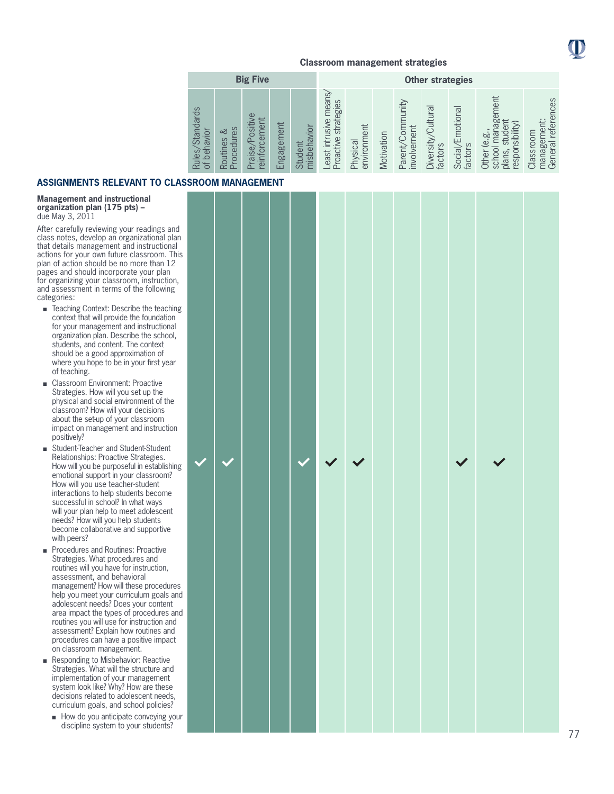

|                                                                                  |                                        | <b>Big Five</b>                            |                |                            |                                                    |                         |            |                                 | <b>Other strategies</b>          |                                     |                                                                                            |                                                                             |
|----------------------------------------------------------------------------------|----------------------------------------|--------------------------------------------|----------------|----------------------------|----------------------------------------------------|-------------------------|------------|---------------------------------|----------------------------------|-------------------------------------|--------------------------------------------------------------------------------------------|-----------------------------------------------------------------------------|
| <b>Standards</b><br><b>IQMPI</b><br><u>der</u><br>Rules <sub>/</sub><br>$\sigma$ | rocedures<br>ವ<br>Routines<br>$\Omega$ | Φ<br>ement<br>Positive<br>reinforc<br>aise | ngagement<br>ய | misbehavior<br>ent<br>Stud | means<br>strategies<br>east intrusive<br>Proactive | environment<br>Physical | Motivation | Parent/Community<br>involvement | Cultura<br>Diversity/<br>factors | _<br>/Emotiona<br>factors<br>Social | ment<br>nager<br>responsibility)<br>stude<br>ugl<br>e.g<br>schoo<br>plans,<br><b>Other</b> | references<br>ent:<br>Classroom<br>Φ<br>manage<br>General<br>$\overline{a}$ |

### **ASSIGNMENTS RELEVANT TO CLASSR**

#### **Management and instructional organization plan (175 pts) –**  due May 3, 2011

After carefully reviewing your readings and class notes, develop an organizational plan that details management and instructional actions for your own future classroom. This plan of action should be no more than 12 pages and should incorporate your plan for organizing your classroom, instruction, and assessment in terms of the following categories:

- Teaching Context: Describe the teaching context that will provide the foundation for your management and instructional organization plan. Describe the school, students, and content. The context should be a good approximation of where you hope to be in your first year of teaching.
- Classroom Environment: Proactive Strategies. How will you set up the physical and social environment of the classroom? How will your decisions about the set-up of your classroom impact on management and instruction positively?
- Student-Teacher and Student-Student Relationships: Proactive Strategies. How will you be purposeful in establishing emotional support in your classroom? How will you use teacher-student interactions to help students become successful in school? In what ways will your plan help to meet adolescent needs? How will you help students become collaborative and supportive with peers?
- **n** Procedures and Routines: Proactive Strategies. What procedures and routines will you have for instruction, assessment, and behavioral management? How will these procedures help you meet your curriculum goals and adolescent needs? Does your content area impact the types of procedures and routines you will use for instruction and assessment? Explain how routines and procedures can have a positive impact on classroom management.
- Responding to Misbehavior: Reactive Strategies. What will the structure and implementation of your management system look like? Why? How are these decisions related to adolescent needs, curriculum goals, and school policies?
	- $\blacksquare$  How do you anticipate conveying your discipline system to your students?

|  | <b>OOM MANAGEMENT</b> |  |  |  |  |  |
|--|-----------------------|--|--|--|--|--|
|  |                       |  |  |  |  |  |
|  |                       |  |  |  |  |  |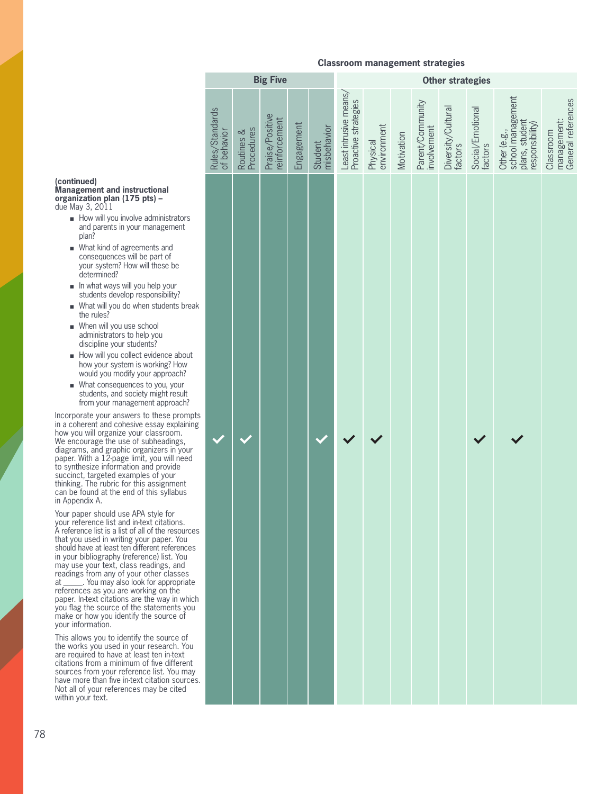**Big Five Discussed Contracts Other strategies** 

|                                                                                                                 | Rules/Standards<br>of behavior | Routines &<br>Procedures | Praise/Positive<br>reinforcement | Engagement | Student<br>misbehavior | Least intrusive means/<br>Proactive strategies | Physical<br>environment | Motivation | Parent/Community<br>involvement | Diversity/Cultural<br>factors | Social/Emotional<br>factors | school management<br>plans, student<br>responsibility)<br>Other (e.g., | management:<br>General references<br>Classroom |
|-----------------------------------------------------------------------------------------------------------------|--------------------------------|--------------------------|----------------------------------|------------|------------------------|------------------------------------------------|-------------------------|------------|---------------------------------|-------------------------------|-----------------------------|------------------------------------------------------------------------|------------------------------------------------|
| ators<br>ent<br>e<br>.<br>/?<br>s break                                                                         |                                |                          |                                  |            |                        |                                                |                         |            |                                 |                               |                             |                                                                        |                                                |
| about<br>Iow<br>ch?<br>pur<br>sult<br>ach?<br>rrem<br>plaining<br>m.<br>gs,<br>your<br>need<br>le<br>ent<br>bus |                                |                          |                                  |            |                        |                                                |                         |            |                                 |                               |                             |                                                                        |                                                |
| ns.<br>sources<br>You<br>ences<br>You<br>ınd<br>sses<br>priate<br>e<br>า which<br>ts you<br>of :                |                                |                          |                                  |            |                        |                                                |                         |            |                                 |                               |                             |                                                                        |                                                |
| e of<br>. You<br>ext<br>erent<br>u may<br>ources.<br>ted                                                        |                                |                          |                                  |            |                        |                                                |                         |            |                                 |                               |                             |                                                                        |                                                |
|                                                                                                                 |                                |                          |                                  |            |                        |                                                |                         |            |                                 |                               |                             |                                                                        |                                                |

### **(continued)**

**Management and instructional organization plan (175 pts) –**  due May 3, 2011

- $\blacksquare$  How will you involve administration and parents in your management plan?
- $\blacksquare$  What kind of agreements and consequences will be part of your system? How will these be determined?
- $\blacksquare$  In what ways will you help your students develop responsibility
- $\blacksquare$  What will you do when students the rules?
- $\blacksquare$  When will you use school administrators to help you discipline your students?
- arscrp<br>■ How v<br>how y ■ How will you collect evidence about how your system is working? H would you modify your approac
	- $\blacksquare$  What consequences to you, your students, and society might re from your management approa

Incorporate your answers to these p in a coherent and cohesive essay exp how you will organize your classroom. We encourage the use of subheading diagrams, and graphic organizers in your paper. With a 12-page limit, you will need to synthesize information and provid succinct, targeted examples of your thinking. The rubric for this assignment can be found at the end of this syllal in Appendix A.

Your paper should use APA style for your reference list and in-text citation A reference list is a list of all of the res that you used in writing your paper. should have at least ten different refer in your bibliography (reference) list. You may use your text, class readings, and readings from any of your other clas at \_\_\_\_\_\_. You may also look for appro references as you are working on the paper. In-text citations are the way in you flag the source of the statement make or how you identify the source your information.

This allows you to identify the source the works you used in your research are required to have at least ten in-te citations from a minimum of five differsources from your reference list. You have more than five in-text citation so Not all of your references may be cit within your text.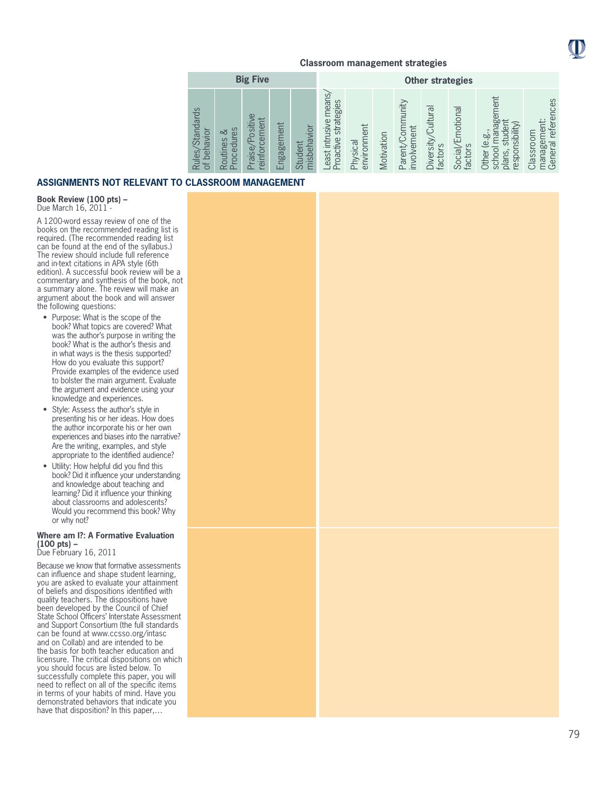

|                                                    |                                            | <b>Big Five</b>                                                   |                |                        |                                                |                         |            |                                 | <b>Other strategies</b>                                        |                             |                                                                                                      |                                                                   |
|----------------------------------------------------|--------------------------------------------|-------------------------------------------------------------------|----------------|------------------------|------------------------------------------------|-------------------------|------------|---------------------------------|----------------------------------------------------------------|-----------------------------|------------------------------------------------------------------------------------------------------|-------------------------------------------------------------------|
| <b>Standards</b><br>behavior<br>Rules,<br>$\sigma$ | Sə<br>∞<br>rocedur<br>Routines<br>$\Omega$ | Positive<br>lent<br>ā<br>$\circ$<br>Praise <sub>/</sub><br>einfor | ngagement<br>ш | misbehavior<br>Student | east intrusive mear<br>strategies<br>Proactive | environment<br>Physical | Motivation | Parent/Community<br>involvement | $\overline{\sigma}$<br><b>Cultura</b><br>Diversity,<br>factors | Social/Emotional<br>factors | ment<br>manager<br>$=$<br>responsibility)<br>đer<br>$\overline{6}$<br>Ē<br>school<br>plans,<br>Other | references<br>nent:<br>Classroom<br>ia<br>Be<br>manage<br>General |

### **ASSIGNMENTS NOT RELEVANT TO CLASSROOM MANAGEMENT**

**Book Review (100 pts) –**  Due March 16, 2011 -

A 1200-word essay review of one of the books on the recommended reading list is required. (The recommended reading list can be found at the end of the syllabus.) The review should include full reference and in-text citations in APA style (6th edition). A successful book review will be a commentary and synthesis of the book, not a summary alone. The review will make an argument about the book and will answer the following questions:

- Purpose: What is the scope of the book? What topics are covered? What was the author's purpose in writing the book? What is the author's thesis and in what ways is the thesis supported? How do you evaluate this support? Provide examples of the evidence used to bolster the main argument. Evaluate the argument and evidence using your knowledge and experiences.
- Style: Assess the author's style in presenting his or her ideas. How does the author incorporate his or her own experiences and biases into the narrative? Are the writing, examples, and style appropriate to the identified audience?
- Utility: How helpful did you find this book? Did it influence your understanding and knowledge about teaching and learning? Did it influence your thinking about classrooms and adolescents? Would you recommend this book? Why or why not?

### **Where am I?: A Formative Evaluation (100 pts) –**

Due February 16, 2011

Because we know that formative assessments can influence and shape student learning, you are asked to evaluate your attainment of beliefs and dispositions identified with quality teachers. The dispositions have been developed by the Council of Chief State School Officers' Interstate Assessment and Support Consortium (the full standards can be found at www.ccsso.org/intasc and on Collab) and are intended to be the basis for both teacher education and licensure. The critical dispositions on which you should focus are listed below. To successfully complete this paper, you will need to reflect on all of the specific items in terms of your habits of mind. Have you demonstrated behaviors that indicate you have that disposition? In this paper,…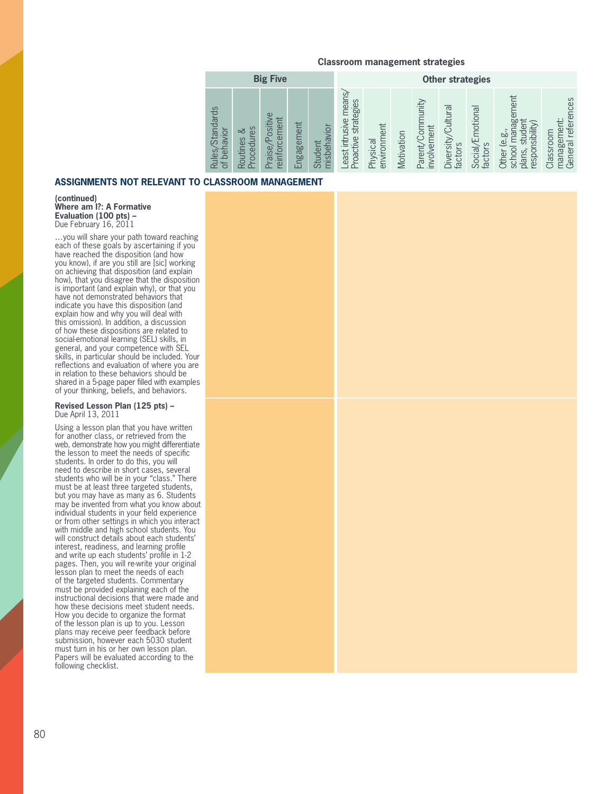| <b>Big Five</b>                                         |                                            |                                                      |                |                        |                                                 |                         |            | <b>Other strategies</b>         |                                 |                             |                                                                                        |                                                                              |
|---------------------------------------------------------|--------------------------------------------|------------------------------------------------------|----------------|------------------------|-------------------------------------------------|-------------------------|------------|---------------------------------|---------------------------------|-----------------------------|----------------------------------------------------------------------------------------|------------------------------------------------------------------------------|
| <b>Standards</b><br>navior<br>beh<br>Rules,<br>$\sigma$ | $\sigma$<br>ವ<br>ocedure<br>Routines<br>ءُ | $\omega$<br>inforcement<br>sitiv<br>Po<br>aise,<br>ഉ | ngagement<br>ш | misbehavior<br>Student | east intrusive means<br>strategies<br>Proactive | environment<br>Physical | Motivation | Parent/Community<br>involvement | Cultura<br>Diversity<br>factors | Social/Emotional<br>factors | nagement<br>だ<br>responsibility)<br>studer<br>ìgl<br>e.gi<br>school<br>plans,<br>Other | references<br>ement:<br>Classroom<br>$\overline{\sigma}$<br>manage<br>Genera |

### **ASSIGNMENTS NOT RELEVANT TO**

**(continued) Where am I?: A Formative Evaluation (100 pts) –** Due February 16, 2011

general, and your competence with SEL<br>
skills, in particular should be included. Your<br>
reflections and evaluation of where you a …you will share your path toward reaching each of these goals by ascertaining if you have reached the disposition (and how you know), if are you still are [sic] working on achieving that disposition (and explain how), that you disagree that the disposition is important (and explain why), or that you have not demonstrated behaviors that indicate you have this disposition (and explain how and why you will deal with this omission). In addition, a discussion of how these dispositions are related to social-emotional learning (SEL) skills, in skills, in particular should be included. Your reflections and evaluation of where you are in relation to these behaviors should be shared in a 5-page paper filled with examples of your thinking, beliefs, and behaviors.

#### **Revised Lesson Plan (125 pts) –** Due April 13, 2011

Using a lesson plan that you have written for another class, or retrieved from the web, demonstrate how you might differentiate the lesson to meet the needs of specific students. In order to do this, you will need to describe in short cases, several students who will be in your "class." There must be at least three targeted students, but you may have as many as 6. Students may be invented from what you know about individual students in your field experience or from other settings in which you interact with middle and high school students. You will construct details about each students' interest, readiness, and learning profile and write up each students' profile in 1-2 pages. Then, you will re-write your original lesson plan to meet the needs of each of the targeted students. Commentary must be provided explaining each of the instructional decisions that were made and how these decisions meet student needs. How you decide to organize the format of the lesson plan is up to you. Lesson plans may receive peer feedback before submission, however each 5030 student must turn in his or her own lesson plan. Papers will be evaluated according to the following checklist.

|  |                             |  |  |  |  | ਤੁਙ ਨਵਾ ਦੁਛ ਦਾ ਖੇਵ ਜਦ ਵਾ≊ ਵਾਵ ਵਾਵ ਕਾਫ ੨੪ ਵੁਙ ੦ |  |
|--|-----------------------------|--|--|--|--|------------------------------------------------|--|
|  | <b>CLASSROOM MANAGEMENT</b> |  |  |  |  |                                                |  |
|  |                             |  |  |  |  |                                                |  |
|  |                             |  |  |  |  |                                                |  |
|  |                             |  |  |  |  |                                                |  |
|  |                             |  |  |  |  |                                                |  |
|  |                             |  |  |  |  |                                                |  |
|  |                             |  |  |  |  |                                                |  |
|  |                             |  |  |  |  |                                                |  |
|  |                             |  |  |  |  |                                                |  |
|  |                             |  |  |  |  |                                                |  |
|  |                             |  |  |  |  |                                                |  |
|  |                             |  |  |  |  |                                                |  |
|  |                             |  |  |  |  |                                                |  |
|  |                             |  |  |  |  |                                                |  |
|  |                             |  |  |  |  |                                                |  |
|  |                             |  |  |  |  |                                                |  |
|  |                             |  |  |  |  |                                                |  |
|  |                             |  |  |  |  |                                                |  |
|  |                             |  |  |  |  |                                                |  |
|  |                             |  |  |  |  |                                                |  |
|  |                             |  |  |  |  |                                                |  |
|  |                             |  |  |  |  |                                                |  |
|  |                             |  |  |  |  |                                                |  |
|  |                             |  |  |  |  |                                                |  |
|  |                             |  |  |  |  |                                                |  |
|  |                             |  |  |  |  |                                                |  |
|  |                             |  |  |  |  |                                                |  |
|  |                             |  |  |  |  |                                                |  |
|  |                             |  |  |  |  |                                                |  |
|  |                             |  |  |  |  |                                                |  |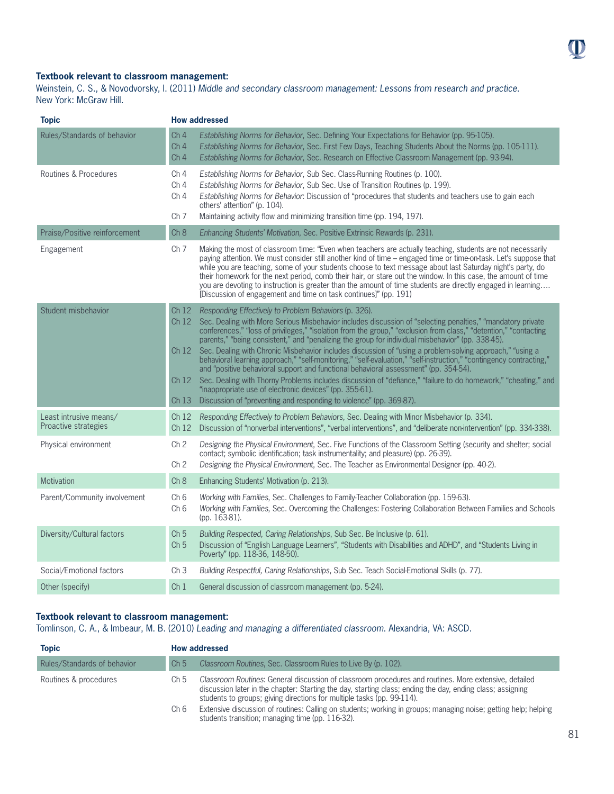### **Textbook relevant to classroom management:**

Weinstein, C. S., & Novodvorsky, I. (2011) *Middle and secondary classroom management: Lessons from research and practice*. New York: McGraw Hill.

| <b>Topic</b>                                   | <b>How addressed</b>                                                                                                                                                                                                                                                                                                                                                                                                                                                                                                                                                                                                                                                                                                                                                                                                                                                                                                                                                                                                |
|------------------------------------------------|---------------------------------------------------------------------------------------------------------------------------------------------------------------------------------------------------------------------------------------------------------------------------------------------------------------------------------------------------------------------------------------------------------------------------------------------------------------------------------------------------------------------------------------------------------------------------------------------------------------------------------------------------------------------------------------------------------------------------------------------------------------------------------------------------------------------------------------------------------------------------------------------------------------------------------------------------------------------------------------------------------------------|
| Rules/Standards of behavior                    | Ch <sub>4</sub><br>Establishing Norms for Behavior, Sec. Defining Your Expectations for Behavior (pp. 95-105).<br>Ch <sub>4</sub><br>Establishing Norms for Behavior, Sec. First Few Days, Teaching Students About the Norms (pp. 105-111).<br>Establishing Norms for Behavior, Sec. Research on Effective Classroom Management (pp. 93-94).<br>Ch <sub>4</sub>                                                                                                                                                                                                                                                                                                                                                                                                                                                                                                                                                                                                                                                     |
| Routines & Procedures                          | Ch <sub>4</sub><br>Establishing Norms for Behavior, Sub Sec. Class-Running Routines (p. 100).<br>Ch <sub>4</sub><br>Establishing Norms for Behavior, Sub Sec. Use of Transition Routines (p. 199).<br>Establishing Norms for Behavior: Discussion of "procedures that students and teachers use to gain each<br>Ch <sub>4</sub><br>others' attention" (p. 104).<br>Ch <sub>7</sub><br>Maintaining activity flow and minimizing transition time (pp. 194, 197).                                                                                                                                                                                                                                                                                                                                                                                                                                                                                                                                                      |
| Praise/Positive reinforcement                  | Ch 8<br>Enhancing Students' Motivation, Sec. Positive Extrinsic Rewards (p. 231).                                                                                                                                                                                                                                                                                                                                                                                                                                                                                                                                                                                                                                                                                                                                                                                                                                                                                                                                   |
| Engagement                                     | Ch <sub>7</sub><br>Making the most of classroom time: "Even when teachers are actually teaching, students are not necessarily<br>paying attention. We must consider still another kind of time – engaged time or time-on-task. Let's suppose that<br>while you are teaching, some of your students choose to text message about last Saturday night's party, do<br>their homework for the next period, comb their hair, or stare out the window. In this case, the amount of time<br>you are devoting to instruction is greater than the amount of time students are directly engaged in learning<br>[Discussion of engagement and time on task continues]" (pp. 191)                                                                                                                                                                                                                                                                                                                                               |
| Student misbehavior                            | Ch 12 Responding Effectively to Problem Behaviors (p. 326).<br>Ch 12 Sec. Dealing with More Serious Misbehavior includes discussion of "selecting penalties," "mandatory private<br>conferences," "loss of privileges," "isolation from the group," "exclusion from class," "detention," "contacting<br>parents," "being consistent," and "penalizing the group for individual misbehavior" (pp. 338-45).<br>Sec. Dealing with Chronic Misbehavior includes discussion of "using a problem-solving approach," "using a<br>Ch12<br>behavioral learning approach," "self-monitoring," "self-evaluation," "self-instruction," "contingency contracting,"<br>and "positive behavioral support and functional behavioral assessment" (pp. 354-54).<br>Sec. Dealing with Thorny Problems includes discussion of "defiance," "failure to do homework," "cheating," and<br>Ch 12<br>"inappropriate use of electronic devices" (pp. 355-61).<br>Discussion of "preventing and responding to violence" (pp. 369-87).<br>Ch 13 |
| Least intrusive means/<br>Proactive strategies | Responding Effectively to Problem Behaviors, Sec. Dealing with Minor Misbehavior (p. 334).<br>Ch 12<br>Discussion of "nonverbal interventions", "verbal interventions", and "deliberate non-intervention" (pp. 334-338).<br>Ch12                                                                                                                                                                                                                                                                                                                                                                                                                                                                                                                                                                                                                                                                                                                                                                                    |
| Physical environment                           | Ch <sub>2</sub><br>Designing the Physical Environment, Sec. Five Functions of the Classroom Setting (security and shelter; social<br>contact; symbolic identification; task instrumentality; and pleasure) (pp. 26-39).<br>Ch <sub>2</sub><br>Designing the Physical Environment, Sec. The Teacher as Environmental Designer (pp. 40-2).                                                                                                                                                                                                                                                                                                                                                                                                                                                                                                                                                                                                                                                                            |
| Motivation                                     | Ch 8<br>Enhancing Students' Motivation (p. 213).                                                                                                                                                                                                                                                                                                                                                                                                                                                                                                                                                                                                                                                                                                                                                                                                                                                                                                                                                                    |
| Parent/Community involvement                   | Ch <sub>6</sub><br>Working with Families, Sec. Challenges to Family-Teacher Collaboration (pp. 159-63).<br>Ch <sub>6</sub><br>Working with Families, Sec. Overcoming the Challenges: Fostering Collaboration Between Families and Schools<br>(pp. 163-81).                                                                                                                                                                                                                                                                                                                                                                                                                                                                                                                                                                                                                                                                                                                                                          |
| Diversity/Cultural factors                     | Building Respected, Caring Relationships, Sub Sec. Be Inclusive (p. 61).<br>Ch <sub>5</sub><br>Discussion of "English Language Learners", "Students with Disabilities and ADHD", and "Students Living in<br>Ch <sub>5</sub><br>Poverty" (pp. 118-36, 148-50).                                                                                                                                                                                                                                                                                                                                                                                                                                                                                                                                                                                                                                                                                                                                                       |
| Social/Emotional factors                       | Ch <sub>3</sub><br>Building Respectful, Caring Relationships, Sub Sec. Teach Social-Emotional Skills (p. 77).                                                                                                                                                                                                                                                                                                                                                                                                                                                                                                                                                                                                                                                                                                                                                                                                                                                                                                       |
| Other (specify)                                | Ch <sub>1</sub><br>General discussion of classroom management (pp. 5-24).                                                                                                                                                                                                                                                                                                                                                                                                                                                                                                                                                                                                                                                                                                                                                                                                                                                                                                                                           |

### **Textbook relevant to classroom management:**

Tomlinson, C. A., & Imbeaur, M. B. (2010) *Leading and managing a differentiated classroom*. Alexandria, VA: ASCD.

| <b>Topic</b>                |                 | <b>How addressed</b>                                                                                                                                                                                                                                                                          |
|-----------------------------|-----------------|-----------------------------------------------------------------------------------------------------------------------------------------------------------------------------------------------------------------------------------------------------------------------------------------------|
| Rules/Standards of behavior | Ch <sub>5</sub> | Classroom Routines, Sec. Classroom Rules to Live By (p. 102).                                                                                                                                                                                                                                 |
| Routines & procedures       | Ch 5.           | Classroom Routines: General discussion of classroom procedures and routines. More extensive, detailed<br>discussion later in the chapter: Starting the day, starting class; ending the day, ending class; assigning<br>students to groups; giving directions for multiple tasks (pp. 99-114). |
|                             | Ch 6            | Extensive discussion of routines: Calling on students; working in groups; managing noise; getting help; helping<br>students transition; managing time (pp. 116-32).                                                                                                                           |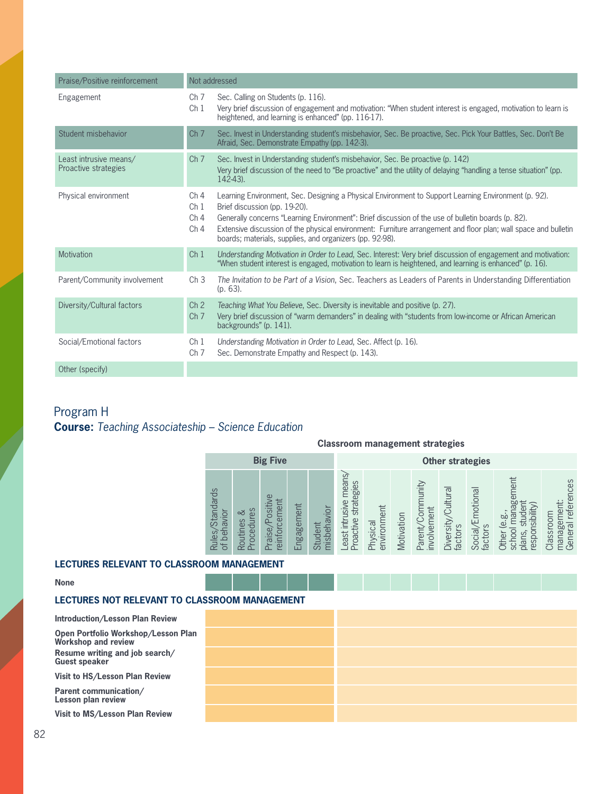| Praise/Positive reinforcement                  |                                                                          | Not addressed                                                                                                                                                                                                                                                                                                                                                                                                              |
|------------------------------------------------|--------------------------------------------------------------------------|----------------------------------------------------------------------------------------------------------------------------------------------------------------------------------------------------------------------------------------------------------------------------------------------------------------------------------------------------------------------------------------------------------------------------|
| Engagement                                     | Ch <sub>7</sub><br>Ch <sub>1</sub>                                       | Sec. Calling on Students (p. 116).<br>Very brief discussion of engagement and motivation: "When student interest is engaged, motivation to learn is<br>heightened, and learning is enhanced" (pp. 116-17).                                                                                                                                                                                                                 |
| Student misbehavior                            | Ch <sub>7</sub>                                                          | Sec. Invest in Understanding student's misbehavior, Sec. Be proactive, Sec. Pick Your Battles, Sec. Don't Be<br>Afraid, Sec. Demonstrate Empathy (pp. 142-3).                                                                                                                                                                                                                                                              |
| Least intrusive means/<br>Proactive strategies | Ch <sub>7</sub>                                                          | Sec. Invest in Understanding student's misbehavior, Sec. Be proactive (p. 142)<br>Very brief discussion of the need to "Be proactive" and the utility of delaying "handling a tense situation" (pp.<br>$142-43$ ).                                                                                                                                                                                                         |
| Physical environment                           | Ch <sub>4</sub><br>Ch <sub>1</sub><br>Ch <sub>4</sub><br>Ch <sub>4</sub> | Learning Environment, Sec. Designing a Physical Environment to Support Learning Environment (p. 92).<br>Brief discussion (pp. 19-20).<br>Generally concerns "Learning Environment": Brief discussion of the use of bulletin boards (p. 82).<br>Extensive discussion of the physical environment: Furniture arrangement and floor plan; wall space and bulletin<br>boards; materials, supplies, and organizers (pp. 92-98). |
| Motivation                                     | Ch <sub>1</sub>                                                          | Understanding Motivation in Order to Lead, Sec. Interest: Very brief discussion of engagement and motivation:<br>"When student interest is engaged, motivation to learn is heightened, and learning is enhanced" (p. 16).                                                                                                                                                                                                  |
| Parent/Community involvement                   | Ch <sub>3</sub>                                                          | The Invitation to be Part of a Vision, Sec. Teachers as Leaders of Parents in Understanding Differentiation<br>$(p. 63)$ .                                                                                                                                                                                                                                                                                                 |
| Diversity/Cultural factors                     | Ch <sub>2</sub><br>Ch <sub>7</sub>                                       | Teaching What You Believe, Sec. Diversity is inevitable and positive (p. 27).<br>Very brief discussion of "warm demanders" in dealing with "students from low-income or African American<br>backgrounds" (p. 141).                                                                                                                                                                                                         |
| Social/Emotional factors                       | Ch <sub>1</sub><br>Ch <sub>7</sub>                                       | Understanding Motivation in Order to Lead, Sec. Affect (p. 16).<br>Sec. Demonstrate Empathy and Respect (p. 143).                                                                                                                                                                                                                                                                                                          |
| Other (specify)                                |                                                                          |                                                                                                                                                                                                                                                                                                                                                                                                                            |

# Program H **Course:** *Teaching Associateship – Science Education*

**Classroom management strategies**

| <b>Big Five</b>                      |                                |                                            |                                |                            |                                                  |                         |            |                                 | <b>Other strategies</b>           |                             |                                                                            |                                                |
|--------------------------------------|--------------------------------|--------------------------------------------|--------------------------------|----------------------------|--------------------------------------------------|-------------------------|------------|---------------------------------|-----------------------------------|-----------------------------|----------------------------------------------------------------------------|------------------------------------------------|
| Standards<br>behavior<br>Rules/<br>ð | Sə.<br>చ<br>ocedur<br>Routines | $\omega$<br>einforcement<br>ositiv<br>aise | ngagement<br>$\mathbf{\omega}$ | isbehavior<br>Student<br>는 | east intrusive means,<br>strategies<br>Proactive | environment<br>Physical | Motivation | Parent/Community<br>involvement | Cultural<br>Diversity/<br>factors | Social/Emotional<br>factors | gement<br>(Vilipiy<br>studer<br>e.g<br>school<br>respon<br>plans,<br>Other | General references<br>management:<br>Classroom |

### **LECTURES RELEVANT TO CLASSROOM MANAGEMENT**

### **None**

### **LECTURES NOT RELEVANT TO CLASSROOM MANAGEMENT**

**Introduction/Lesson Plan Review Open Portfolio Workshop/Lesson Plan Workshop and review Resume writing and job search/ Guest speaker**

**Visit to HS/Lesson Plan Review**

**Parent communication/ Lesson plan review**

**Visit to MS/Lesson Plan Review**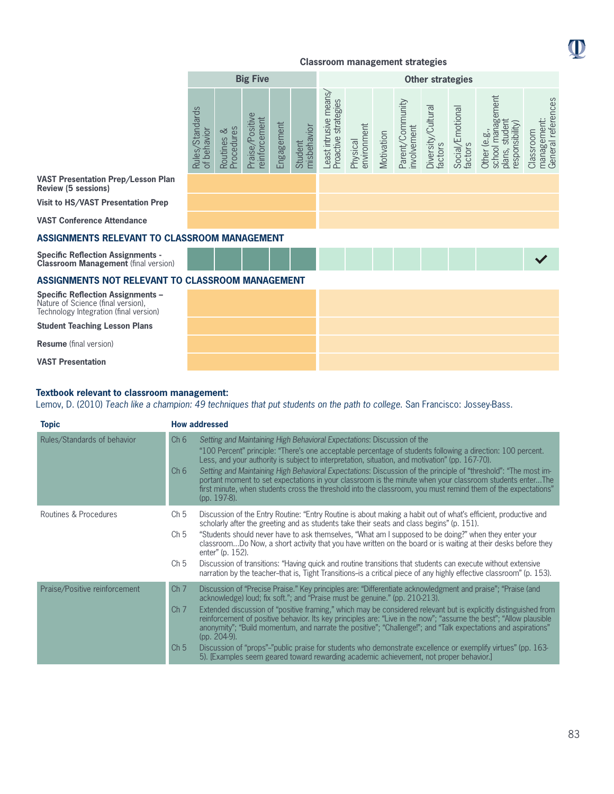

**VAST Presentation Prep/Lesson Plan Review (5 sessions)**

**Visit to HS/VAST Presentation Prep**

**VAST Conference Attendance**

### **ASSIGNMENTS RELEVANT TO CLASSROOM MANAGEMENT**

**Specific Reflection Assignments - Classroom Management** (final version)

### **ASSIGNMENTS NOT RELEVANT TO CLASSROOM MANAGEMENT**

**Specific Reflection Assignments –**  Nature of Science (final version), Technology Integration (final version)

**Student Teaching Lesson Plans**

**Resume** (final version)

**VAST Presentation**

### **Textbook relevant to classroom management:**

Lemov, D. (2010) *Teach like a champion: 49 techniques that put students on the path to college*. San Francisco: Jossey-Bass.

| <b>Topic</b>                  | <b>How addressed</b>                                                                                                                                                                                                                                                                                                                                                                                                                                                                                                                                                                                                                                                                                                                                                                                                                     |
|-------------------------------|------------------------------------------------------------------------------------------------------------------------------------------------------------------------------------------------------------------------------------------------------------------------------------------------------------------------------------------------------------------------------------------------------------------------------------------------------------------------------------------------------------------------------------------------------------------------------------------------------------------------------------------------------------------------------------------------------------------------------------------------------------------------------------------------------------------------------------------|
| Rules/Standards of behavior   | Ch <sub>6</sub><br>Setting and Maintaining High Behavioral Expectations: Discussion of the<br>"100 Percent" principle: "There's one acceptable percentage of students following a direction: 100 percent.<br>Less, and your authority is subject to interpretation, situation, and motivation" (pp. 167-70).<br>Setting and Maintaining High Behavioral Expectations: Discussion of the principle of "threshold": "The most im-<br>Ch <sub>6</sub><br>portant moment to set expectations in your classroom is the minute when your classroom students enterThe<br>first minute, when students cross the threshold into the classroom, you must remind them of the expectations"<br>(pp. 197-8).                                                                                                                                          |
| Routines & Procedures         | Discussion of the Entry Routine: "Entry Routine is about making a habit out of what's efficient, productive and<br>Ch <sub>5</sub><br>scholarly after the greeting and as students take their seats and class begins" (p. 151).<br>"Students should never have to ask themselves, "What am I supposed to be doing?" when they enter your<br>Ch <sub>5</sub><br>classroomDo Now, a short activity that you have written on the board or is waiting at their desks before they<br>enter" (p. 152).<br>Discussion of transitions: "Having quick and routine transitions that students can execute without extensive<br>Ch <sub>5</sub><br>narration by the teacher-that is, Tight Transitions-is a critical piece of any highly effective classroom" (p. 153).                                                                              |
| Praise/Positive reinforcement | Discussion of "Precise Praise." Key principles are: "Differentiate acknowledgment and praise"; "Praise (and<br>Ch <sub>7</sub><br>acknowledge) loud; fix soft."; and "Praise must be genuine." (pp. 210-213).<br>Extended discussion of "positive framing," which may be considered relevant but is explicitly distinguished from<br>Ch <sub>7</sub><br>reinforcement of positive behavior. Its key principles are: "Live in the now": "assume the best": "Allow plausible<br>anonymity"; "Build momentum, and narrate the positive"; "Challenge!"; and "Talk expectations and aspirations"<br>(pp. 204-9).<br>Discussion of "props"-"public praise for students who demonstrate excellence or exemplify virtues" (pp. 163-<br>Ch <sub>5</sub><br>5). [Examples seem geared toward rewarding academic achievement, not proper behavior.] |

O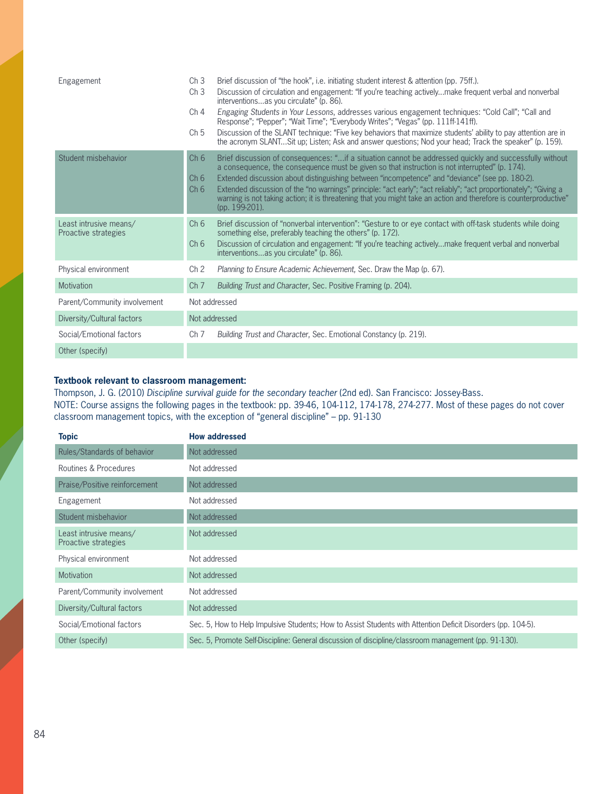| Engagement                                     | Ch <sub>3</sub><br>Ch <sub>3</sub>                    | Brief discussion of "the hook", i.e. initiating student interest & attention (pp. 75ff.).<br>Discussion of circulation and engagement: "If you're teaching activelymake frequent verbal and nonverbal<br>interventionsas you circulate" (p. 86).                                                                                                                                                                                                                                                                                                                        |
|------------------------------------------------|-------------------------------------------------------|-------------------------------------------------------------------------------------------------------------------------------------------------------------------------------------------------------------------------------------------------------------------------------------------------------------------------------------------------------------------------------------------------------------------------------------------------------------------------------------------------------------------------------------------------------------------------|
|                                                | Ch <sub>4</sub>                                       | Engaging Students in Your Lessons, addresses various engagement techniques: "Cold Call"; "Call and<br>Response"; "Pepper"; "Wait Time"; "Everybody Writes"; "Vegas" (pp. 111ff-141ff).                                                                                                                                                                                                                                                                                                                                                                                  |
|                                                | Ch <sub>5</sub>                                       | Discussion of the SLANT technique: "Five key behaviors that maximize students' ability to pay attention are in<br>the acronym SLANTSit up; Listen; Ask and answer questions; Nod your head; Track the speaker" (p. 159).                                                                                                                                                                                                                                                                                                                                                |
| Student misbehavior                            | Ch <sub>6</sub><br>Ch <sub>6</sub><br>Ch <sub>6</sub> | Brief discussion of consequences: "if a situation cannot be addressed quickly and successfully without<br>a consequence, the consequence must be given so that instruction is not interrupted" (p. 174).<br>Extended discussion about distinguishing between "incompetence" and "deviance" (see pp. 180-2).<br>Extended discussion of the "no warnings" principle: "act early"; "act reliably"; "act proportionately"; "Giving a<br>warning is not taking action; it is threatening that you might take an action and therefore is counterproductive"<br>(pp. 199-201). |
| Least intrusive means/<br>Proactive strategies | Ch <sub>6</sub><br>Ch <sub>6</sub>                    | Brief discussion of "nonverbal intervention": "Gesture to or eye contact with off-task students while doing<br>something else, preferably teaching the others" (p. 172).<br>Discussion of circulation and engagement: "If you're teaching activelymake frequent verbal and nonverbal<br>interventionsas you circulate" (p. 86).                                                                                                                                                                                                                                         |
| Physical environment                           | Ch <sub>2</sub>                                       | Planning to Ensure Academic Achievement, Sec. Draw the Map (p. 67).                                                                                                                                                                                                                                                                                                                                                                                                                                                                                                     |
| Motivation                                     | Ch <sub>7</sub>                                       | Building Trust and Character, Sec. Positive Framing (p. 204).                                                                                                                                                                                                                                                                                                                                                                                                                                                                                                           |
| Parent/Community involvement                   |                                                       | Not addressed                                                                                                                                                                                                                                                                                                                                                                                                                                                                                                                                                           |
| Diversity/Cultural factors                     |                                                       | Not addressed                                                                                                                                                                                                                                                                                                                                                                                                                                                                                                                                                           |
| Social/Emotional factors                       | Ch <sub>7</sub>                                       | Building Trust and Character, Sec. Emotional Constancy (p. 219).                                                                                                                                                                                                                                                                                                                                                                                                                                                                                                        |
| Other (specify)                                |                                                       |                                                                                                                                                                                                                                                                                                                                                                                                                                                                                                                                                                         |

### **Textbook relevant to classroom management:**

Thompson, J. G. (2010) *Discipline survival guide for the secondary teacher* (2nd ed). San Francisco: Jossey-Bass. NOTE: Course assigns the following pages in the textbook: pp. 39-46, 104-112, 174-178, 274-277. Most of these pages do not cover classroom management topics, with the exception of "general discipline" – pp. 91-130

| <b>Topic</b>                                   | <b>How addressed</b>                                                                                         |
|------------------------------------------------|--------------------------------------------------------------------------------------------------------------|
| Rules/Standards of behavior                    | Not addressed                                                                                                |
| Routines & Procedures                          | Not addressed                                                                                                |
| Praise/Positive reinforcement                  | Not addressed                                                                                                |
| Engagement                                     | Not addressed                                                                                                |
| Student misbehavior                            | Not addressed                                                                                                |
| Least intrusive means/<br>Proactive strategies | Not addressed                                                                                                |
| Physical environment                           | Not addressed                                                                                                |
| Motivation                                     | Not addressed                                                                                                |
| Parent/Community involvement                   | Not addressed                                                                                                |
| Diversity/Cultural factors                     | Not addressed                                                                                                |
| Social/Emotional factors                       | Sec. 5, How to Help Impulsive Students; How to Assist Students with Attention Deficit Disorders (pp. 104-5). |
| Other (specify)                                | Sec. 5, Promote Self-Discipline: General discussion of discipline/classroom management (pp. 91-130).         |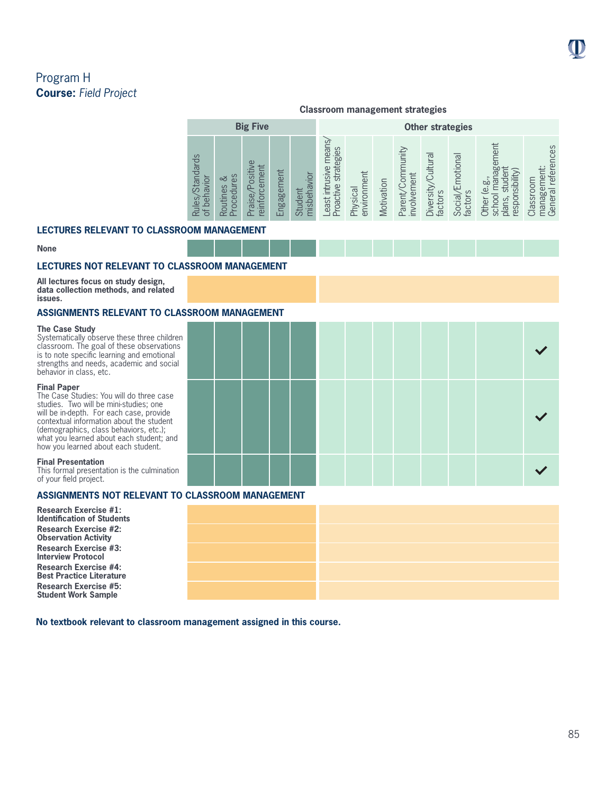O

management: General references

management:<br>General references

# Program H **Course:** *Field Project*

|                                                      |                                                     |                                     |            |                   | <b>Classroom management strategies</b>               |                         |            |                                         |                                  |                             |                                                                            |           |
|------------------------------------------------------|-----------------------------------------------------|-------------------------------------|------------|-------------------|------------------------------------------------------|-------------------------|------------|-----------------------------------------|----------------------------------|-----------------------------|----------------------------------------------------------------------------|-----------|
|                                                      |                                                     | <b>Big Five</b>                     |            |                   |                                                      |                         |            |                                         | <b>Other strategies</b>          |                             |                                                                            |           |
| $\omega$<br><b>Standard</b><br>behavior<br>es.<br>of | చ<br>es<br>rocedur<br>Routin<br>$\overline{\Delta}$ | ositive<br>ement<br>aise<br>reinfor | Engagement | misbehavior<br>මි | mean<br>strategies<br>usive<br>roactive<br>east intr | Physical<br>environment | Motivation | yinun<br>/Com<br>involvement<br>Parenty | Cultural<br>Diversity<br>factors | Social/Emotional<br>factors | gement<br>sibilit<br>рō<br>نه<br>school<br>aspor<br>plans,<br><b>Other</b> | Classroom |

### **LECTURES RELEVANT TO CLASSROOM MANAGEMENT**

#### **None**

### **LECTURES NOT RELEVANT TO CLASSROOM MANAGEMENT**

**All lectures focus on study design, data collection methods, and related issues.**

### **ASSIGNMENTS RELEVANT TO CLASSROOM MANAGEMENT**

#### **The Case Study**

Systematically observe these three children classroom. The goal of these observations is to note specific learning and emotional strengths and needs, academic and social behavior in class, etc.

#### **Final Paper**

The Case Studies: You will do three case studies. Two will be mini-studies; one will be in-depth. For each case, provide contextual information about the student (demographics, class behaviors, etc.); what you learned about each student; and how you learned about each student.

#### **Final Presentation**

This formal presentation is the culmination of your field project.

### **ASSIGNMENTS NOT RELEVANT TO CLASSROOM MANAGEMENT**

| <b>Research Exercise #1:</b><br><b>Identification of Students</b> |  |  |
|-------------------------------------------------------------------|--|--|
| <b>Research Exercise #2:</b><br><b>Observation Activity</b>       |  |  |
| <b>Research Exercise #3:</b><br><b>Interview Protocol</b>         |  |  |
| <b>Research Exercise #4:</b><br>Best Practice Literature          |  |  |
| <b>Research Exercise #5:</b><br><b>Student Work Sample</b>        |  |  |

**No textbook relevant to classroom management assigned in this course.**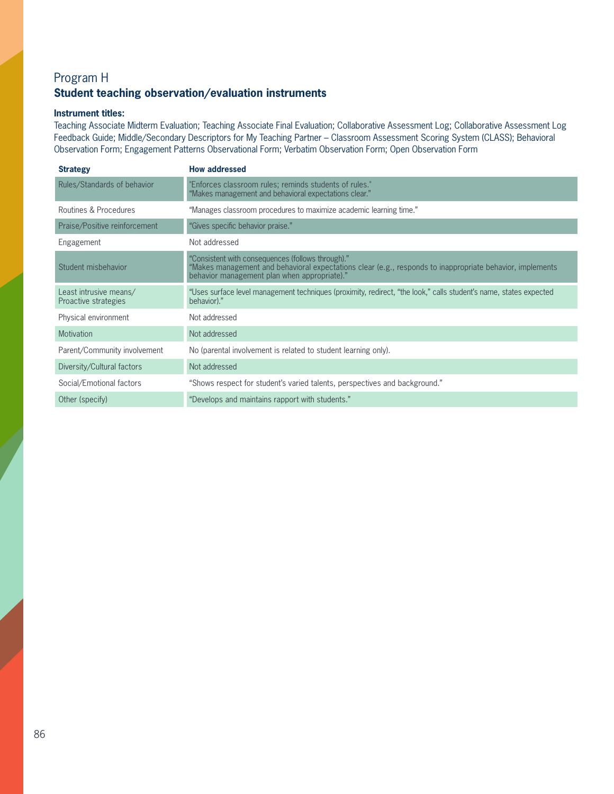# Program H **Student teaching observation/evaluation instruments**

### **Instrument titles:**

Teaching Associate Midterm Evaluation; Teaching Associate Final Evaluation; Collaborative Assessment Log; Collaborative Assessment Log Feedback Guide; Middle/Secondary Descriptors for My Teaching Partner – Classroom Assessment Scoring System (CLASS); Behavioral Observation Form; Engagement Patterns Observational Form; Verbatim Observation Form; Open Observation Form

| <b>Strategy</b>                                | <b>How addressed</b>                                                                                                                                                                                          |
|------------------------------------------------|---------------------------------------------------------------------------------------------------------------------------------------------------------------------------------------------------------------|
| Rules/Standards of behavior                    | 'Enforces classroom rules; reminds students of rules."<br>"Makes management and behavioral expectations clear."                                                                                               |
| Routines & Procedures                          | "Manages classroom procedures to maximize academic learning time."                                                                                                                                            |
| Praise/Positive reinforcement                  | "Gives specific behavior praise."                                                                                                                                                                             |
| Engagement                                     | Not addressed                                                                                                                                                                                                 |
| Student misbehavior                            | "Consistent with consequences (follows through)."<br>Makes management and behavioral expectations clear (e.g., responds to inappropriate behavior, implements<br>behavior management plan when appropriate)." |
| Least intrusive means/<br>Proactive strategies | "Uses surface level management techniques (proximity, redirect, "the look," calls student's name, states expected<br>behavior)."                                                                              |
| Physical environment                           | Not addressed                                                                                                                                                                                                 |
| <b>Motivation</b>                              | Not addressed                                                                                                                                                                                                 |
| Parent/Community involvement                   | No (parental involvement is related to student learning only).                                                                                                                                                |
| Diversity/Cultural factors                     | Not addressed                                                                                                                                                                                                 |
| Social/Emotional factors                       | "Shows respect for student's varied talents, perspectives and background."                                                                                                                                    |
| Other (specify)                                | "Develops and maintains rapport with students."                                                                                                                                                               |